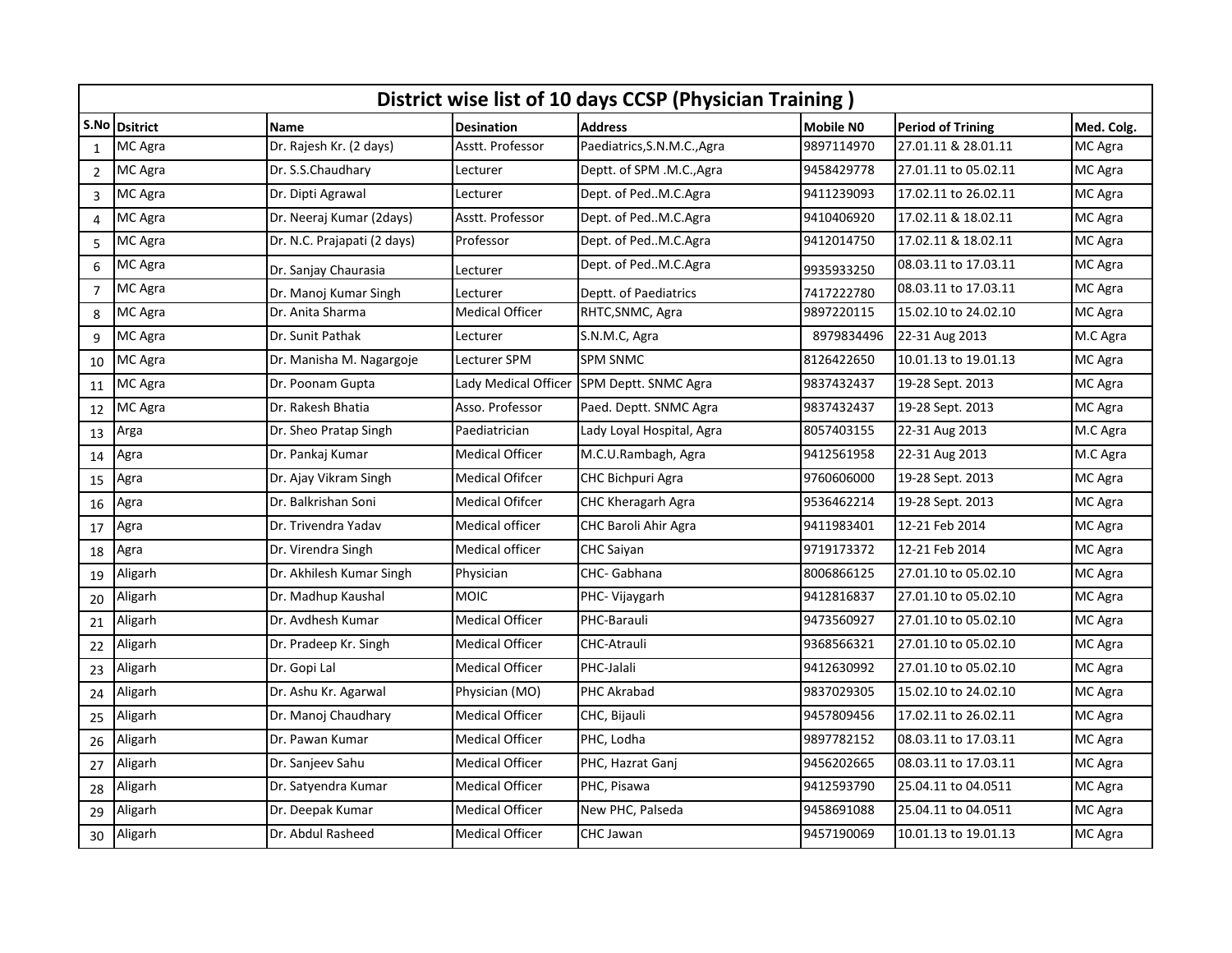|                | District wise list of 10 days CCSP (Physician Training) |                             |                        |                             |                  |                          |            |  |  |  |  |  |
|----------------|---------------------------------------------------------|-----------------------------|------------------------|-----------------------------|------------------|--------------------------|------------|--|--|--|--|--|
| S.No           | <b>Dsitrict</b>                                         | <b>Name</b>                 | <b>Desination</b>      | <b>Address</b>              | <b>Mobile NO</b> | <b>Period of Trining</b> | Med. Colg. |  |  |  |  |  |
| $\mathbf{1}$   | MC Agra                                                 | Dr. Rajesh Kr. (2 days)     | Asstt. Professor       | Paediatrics, S.N.M.C., Agra | 9897114970       | 27.01.11 & 28.01.11      | MC Agra    |  |  |  |  |  |
| $\overline{2}$ | MC Agra                                                 | Dr. S.S.Chaudhary           | Lecturer               | Deptt. of SPM .M.C., Agra   | 9458429778       | 27.01.11 to 05.02.11     | MC Agra    |  |  |  |  |  |
| 3              | MC Agra                                                 | Dr. Dipti Agrawal           | Lecturer               | Dept. of PedM.C.Agra        | 9411239093       | 17.02.11 to 26.02.11     | MC Agra    |  |  |  |  |  |
| $\overline{4}$ | MC Agra                                                 | Dr. Neeraj Kumar (2days)    | Asstt. Professor       | Dept. of PedM.C.Agra        | 9410406920       | 17.02.11 & 18.02.11      | MC Agra    |  |  |  |  |  |
| 5              | MC Agra                                                 | Dr. N.C. Prajapati (2 days) | Professor              | Dept. of PedM.C.Agra        | 9412014750       | 17.02.11 & 18.02.11      | MC Agra    |  |  |  |  |  |
| 6              | MC Agra                                                 | Dr. Sanjay Chaurasia        | Lecturer               | Dept. of PedM.C.Agra        | 9935933250       | 08.03.11 to 17.03.11     | MC Agra    |  |  |  |  |  |
| $\overline{7}$ | MC Agra                                                 | Dr. Manoj Kumar Singh       | Lecturer               | Deptt. of Paediatrics       | 7417222780       | 08.03.11 to 17.03.11     | MC Agra    |  |  |  |  |  |
| 8              | MC Agra                                                 | Dr. Anita Sharma            | <b>Medical Officer</b> | RHTC, SNMC, Agra            | 9897220115       | 15.02.10 to 24.02.10     | MC Agra    |  |  |  |  |  |
| 9              | MC Agra                                                 | Dr. Sunit Pathak            | Lecturer               | S.N.M.C, Agra               | 8979834496       | 22-31 Aug 2013           | M.C Agra   |  |  |  |  |  |
| 10             | MC Agra                                                 | Dr. Manisha M. Nagargoje    | Lecturer SPM           | <b>SPM SNMC</b>             | 8126422650       | 10.01.13 to 19.01.13     | MC Agra    |  |  |  |  |  |
| 11             | MC Agra                                                 | Dr. Poonam Gupta            | Lady Medical Officer   | SPM Deptt. SNMC Agra        | 9837432437       | 19-28 Sept. 2013         | MC Agra    |  |  |  |  |  |
| 12             | MC Agra                                                 | Dr. Rakesh Bhatia           | Asso. Professor        | Paed. Deptt. SNMC Agra      | 9837432437       | 19-28 Sept. 2013         | MC Agra    |  |  |  |  |  |
| 13             | Arga                                                    | Dr. Sheo Pratap Singh       | Paediatrician          | Lady Loyal Hospital, Agra   | 8057403155       | 22-31 Aug 2013           | M.C Agra   |  |  |  |  |  |
| 14             | Agra                                                    | Dr. Pankaj Kumar            | <b>Medical Officer</b> | M.C.U.Rambagh, Agra         | 9412561958       | 22-31 Aug 2013           | M.C Agra   |  |  |  |  |  |
| 15             | Agra                                                    | Dr. Ajay Vikram Singh       | <b>Medical Ofifcer</b> | <b>CHC Bichpuri Agra</b>    | 9760606000       | 19-28 Sept. 2013         | MC Agra    |  |  |  |  |  |
| 16             | Agra                                                    | Dr. Balkrishan Soni         | <b>Medical Ofifcer</b> | CHC Kheragarh Agra          | 9536462214       | 19-28 Sept. 2013         | MC Agra    |  |  |  |  |  |
| 17             | Agra                                                    | Dr. Trivendra Yadav         | Medical officer        | CHC Baroli Ahir Agra        | 9411983401       | 12-21 Feb 2014           | MC Agra    |  |  |  |  |  |
| 18             | Agra                                                    | Dr. Virendra Singh          | Medical officer        | <b>CHC Saiyan</b>           | 9719173372       | 12-21 Feb 2014           | MC Agra    |  |  |  |  |  |
| 19             | Aligarh                                                 | Dr. Akhilesh Kumar Singh    | Physician              | CHC- Gabhana                | 8006866125       | 27.01.10 to 05.02.10     | MC Agra    |  |  |  |  |  |
| 20             | Aligarh                                                 | Dr. Madhup Kaushal          | <b>MOIC</b>            | PHC- Vijaygarh              | 9412816837       | 27.01.10 to 05.02.10     | MC Agra    |  |  |  |  |  |
| 21             | Aligarh                                                 | Dr. Avdhesh Kumar           | <b>Medical Officer</b> | PHC-Barauli                 | 9473560927       | 27.01.10 to 05.02.10     | MC Agra    |  |  |  |  |  |
| 22             | Aligarh                                                 | Dr. Pradeep Kr. Singh       | <b>Medical Officer</b> | CHC-Atrauli                 | 9368566321       | 27.01.10 to 05.02.10     | MC Agra    |  |  |  |  |  |
| 23             | Aligarh                                                 | Dr. Gopi Lal                | <b>Medical Officer</b> | PHC-Jalali                  | 9412630992       | 27.01.10 to 05.02.10     | MC Agra    |  |  |  |  |  |
| 24             | Aligarh                                                 | Dr. Ashu Kr. Agarwal        | Physician (MO)         | PHC Akrabad                 | 9837029305       | 15.02.10 to 24.02.10     | MC Agra    |  |  |  |  |  |
| 25             | Aligarh                                                 | Dr. Manoj Chaudhary         | <b>Medical Officer</b> | CHC, Bijauli                | 9457809456       | 17.02.11 to 26.02.11     | MC Agra    |  |  |  |  |  |
| 26             | Aligarh                                                 | Dr. Pawan Kumar             | <b>Medical Officer</b> | PHC, Lodha                  | 9897782152       | 08.03.11 to 17.03.11     | MC Agra    |  |  |  |  |  |
| 27             | Aligarh                                                 | Dr. Sanjeev Sahu            | <b>Medical Officer</b> | PHC, Hazrat Ganj            | 9456202665       | 08.03.11 to 17.03.11     | MC Agra    |  |  |  |  |  |
| 28             | Aligarh                                                 | Dr. Satyendra Kumar         | <b>Medical Officer</b> | PHC, Pisawa                 | 9412593790       | 25.04.11 to 04.0511      | MC Agra    |  |  |  |  |  |
| 29             | Aligarh                                                 | Dr. Deepak Kumar            | <b>Medical Officer</b> | New PHC, Palseda            | 9458691088       | 25.04.11 to 04.0511      | MC Agra    |  |  |  |  |  |
| 30             | Aligarh                                                 | Dr. Abdul Rasheed           | <b>Medical Officer</b> | CHC Jawan                   | 9457190069       | 10.01.13 to 19.01.13     | MC Agra    |  |  |  |  |  |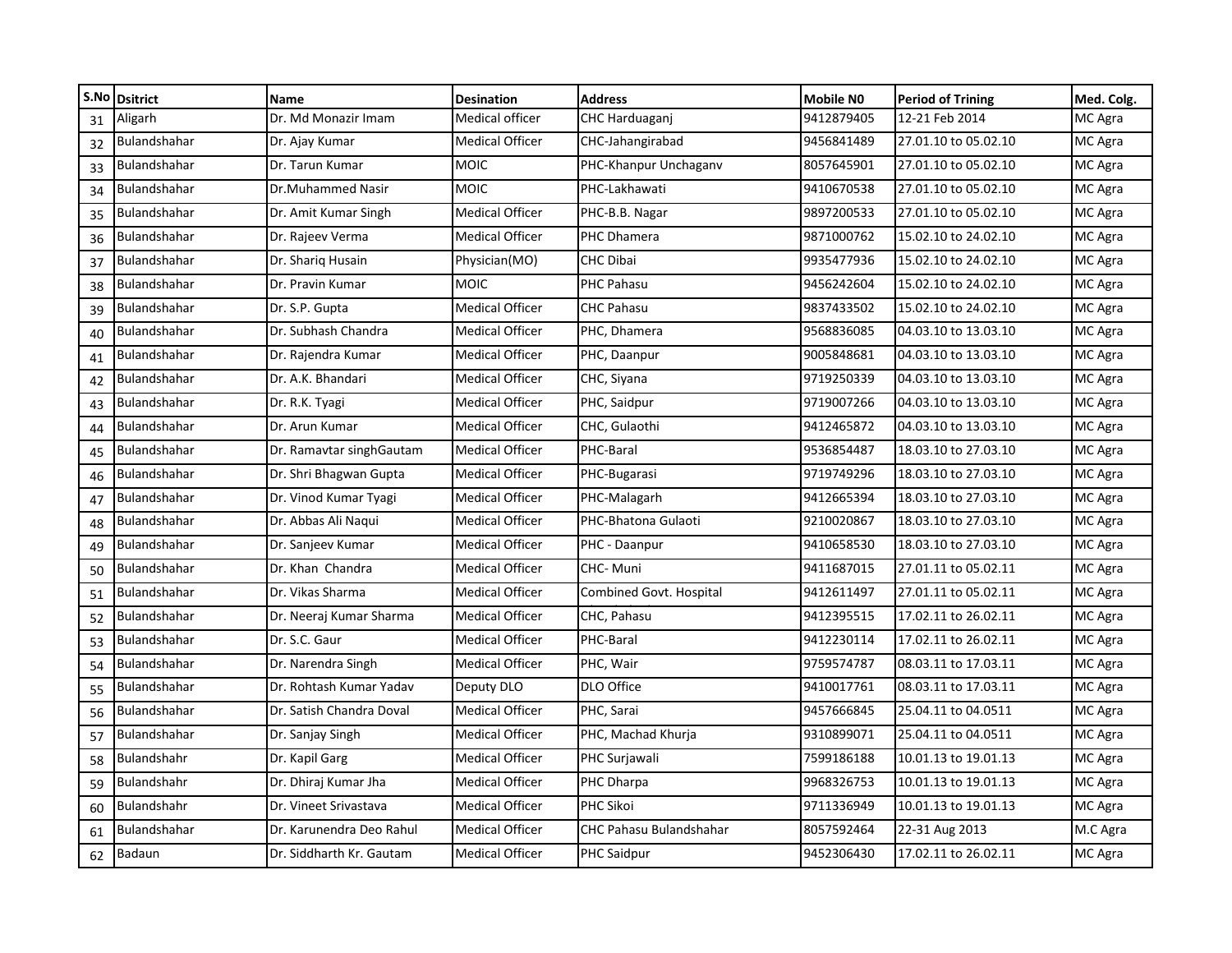|    | S.No Dsitrict       | <b>Name</b>              | <b>Desination</b>      | <b>Address</b>          | <b>Mobile NO</b> | <b>Period of Trining</b> | Med. Colg. |
|----|---------------------|--------------------------|------------------------|-------------------------|------------------|--------------------------|------------|
| 31 | Aligarh             | Dr. Md Monazir Imam      | Medical officer        | CHC Harduaganj          | 9412879405       | 12-21 Feb 2014           | MC Agra    |
| 32 | Bulandshahar        | Dr. Ajay Kumar           | <b>Medical Officer</b> | CHC-Jahangirabad        | 9456841489       | 27.01.10 to 05.02.10     | MC Agra    |
| 33 | Bulandshahar        | Dr. Tarun Kumar          | <b>MOIC</b>            | PHC-Khanpur Unchaganv   | 8057645901       | 27.01.10 to 05.02.10     | MC Agra    |
| 34 | Bulandshahar        | Dr.Muhammed Nasir        | <b>MOIC</b>            | PHC-Lakhawati           | 9410670538       | 27.01.10 to 05.02.10     | MC Agra    |
| 35 | Bulandshahar        | Dr. Amit Kumar Singh     | <b>Medical Officer</b> | PHC-B.B. Nagar          | 9897200533       | 27.01.10 to 05.02.10     | MC Agra    |
| 36 | Bulandshahar        | Dr. Rajeev Verma         | <b>Medical Officer</b> | PHC Dhamera             | 9871000762       | 15.02.10 to 24.02.10     | MC Agra    |
| 37 | <b>Bulandshahar</b> | Dr. Sharig Husain        | Physician(MO)          | <b>CHC Dibai</b>        | 9935477936       | 15.02.10 to 24.02.10     | MC Agra    |
| 38 | Bulandshahar        | Dr. Pravin Kumar         | <b>MOIC</b>            | PHC Pahasu              | 9456242604       | 15.02.10 to 24.02.10     | MC Agra    |
| 39 | Bulandshahar        | Dr. S.P. Gupta           | <b>Medical Officer</b> | <b>CHC Pahasu</b>       | 9837433502       | 15.02.10 to 24.02.10     | MC Agra    |
| 40 | Bulandshahar        | Dr. Subhash Chandra      | <b>Medical Officer</b> | PHC, Dhamera            | 9568836085       | 04.03.10 to 13.03.10     | MC Agra    |
| 41 | Bulandshahar        | Dr. Rajendra Kumar       | <b>Medical Officer</b> | PHC, Daanpur            | 9005848681       | 04.03.10 to 13.03.10     | MC Agra    |
| 42 | Bulandshahar        | Dr. A.K. Bhandari        | <b>Medical Officer</b> | CHC, Siyana             | 9719250339       | 04.03.10 to 13.03.10     | MC Agra    |
| 43 | Bulandshahar        | Dr. R.K. Tyagi           | <b>Medical Officer</b> | PHC, Saidpur            | 9719007266       | 04.03.10 to 13.03.10     | MC Agra    |
| 44 | Bulandshahar        | Dr. Arun Kumar           | <b>Medical Officer</b> | CHC, Gulaothi           | 9412465872       | 04.03.10 to 13.03.10     | MC Agra    |
| 45 | Bulandshahar        | Dr. Ramavtar singhGautam | <b>Medical Officer</b> | PHC-Baral               | 9536854487       | 18.03.10 to 27.03.10     | MC Agra    |
| 46 | Bulandshahar        | Dr. Shri Bhagwan Gupta   | <b>Medical Officer</b> | PHC-Bugarasi            | 9719749296       | 18.03.10 to 27.03.10     | MC Agra    |
| 47 | Bulandshahar        | Dr. Vinod Kumar Tyagi    | <b>Medical Officer</b> | PHC-Malagarh            | 9412665394       | 18.03.10 to 27.03.10     | MC Agra    |
| 48 | Bulandshahar        | Dr. Abbas Ali Naqui      | <b>Medical Officer</b> | PHC-Bhatona Gulaoti     | 9210020867       | 18.03.10 to 27.03.10     | MC Agra    |
| 49 | Bulandshahar        | Dr. Sanjeev Kumar        | <b>Medical Officer</b> | PHC - Daanpur           | 9410658530       | 18.03.10 to 27.03.10     | MC Agra    |
| 50 | Bulandshahar        | Dr. Khan Chandra         | <b>Medical Officer</b> | CHC-Muni                | 9411687015       | 27.01.11 to 05.02.11     | MC Agra    |
| 51 | Bulandshahar        | Dr. Vikas Sharma         | <b>Medical Officer</b> | Combined Govt. Hospital | 9412611497       | 27.01.11 to 05.02.11     | MC Agra    |
| 52 | Bulandshahar        | Dr. Neeraj Kumar Sharma  | <b>Medical Officer</b> | CHC, Pahasu             | 9412395515       | 17.02.11 to 26.02.11     | MC Agra    |
| 53 | Bulandshahar        | Dr. S.C. Gaur            | <b>Medical Officer</b> | PHC-Baral               | 9412230114       | 17.02.11 to 26.02.11     | MC Agra    |
| 54 | Bulandshahar        | Dr. Narendra Singh       | <b>Medical Officer</b> | PHC, Wair               | 9759574787       | 08.03.11 to 17.03.11     | MC Agra    |
| 55 | Bulandshahar        | Dr. Rohtash Kumar Yadav  | Deputy DLO             | DLO Office              | 9410017761       | 08.03.11 to 17.03.11     | MC Agra    |
| 56 | Bulandshahar        | Dr. Satish Chandra Doval | <b>Medical Officer</b> | PHC, Sarai              | 9457666845       | 25.04.11 to 04.0511      | MC Agra    |
| 57 | <b>Bulandshahar</b> | Dr. Sanjay Singh         | <b>Medical Officer</b> | PHC, Machad Khurja      | 9310899071       | 25.04.11 to 04.0511      | MC Agra    |
| 58 | Bulandshahr         | Dr. Kapil Garg           | <b>Medical Officer</b> | PHC Surjawali           | 7599186188       | 10.01.13 to 19.01.13     | MC Agra    |
| 59 | Bulandshahr         | Dr. Dhiraj Kumar Jha     | Medical Officer        | PHC Dharpa              | 9968326753       | 10.01.13 to 19.01.13     | MC Agra    |
| 60 | Bulandshahr         | Dr. Vineet Srivastava    | <b>Medical Officer</b> | PHC Sikoi               | 9711336949       | 10.01.13 to 19.01.13     | MC Agra    |
| 61 | Bulandshahar        | Dr. Karunendra Deo Rahul | <b>Medical Officer</b> | CHC Pahasu Bulandshahar | 8057592464       | 22-31 Aug 2013           | M.C Agra   |
| 62 | Badaun              | Dr. Siddharth Kr. Gautam | <b>Medical Officer</b> | PHC Saidpur             | 9452306430       | 17.02.11 to 26.02.11     | MC Agra    |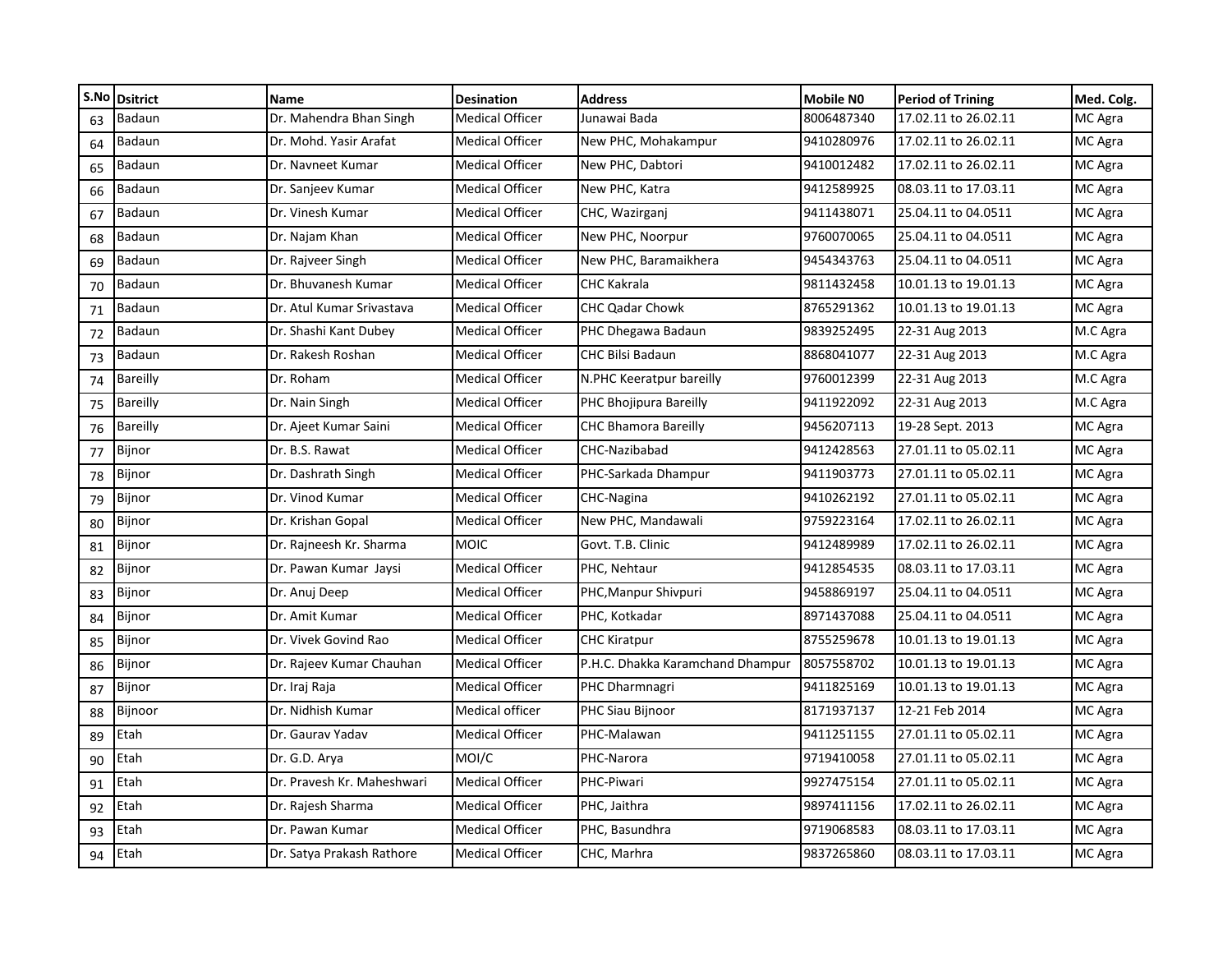| S.No | <b>Dsitrict</b> | Name                       | <b>Desination</b>      | <b>Address</b>                   | <b>Mobile NO</b> | <b>Period of Trining</b> | Med. Colg. |
|------|-----------------|----------------------------|------------------------|----------------------------------|------------------|--------------------------|------------|
| 63   | Badaun          | Dr. Mahendra Bhan Singh    | <b>Medical Officer</b> | Junawai Bada                     | 8006487340       | 17.02.11 to 26.02.11     | MC Agra    |
| 64   | Badaun          | Dr. Mohd. Yasir Arafat     | <b>Medical Officer</b> | New PHC, Mohakampur              | 9410280976       | 17.02.11 to 26.02.11     | MC Agra    |
| 65   | Badaun          | Dr. Navneet Kumar          | <b>Medical Officer</b> | New PHC, Dabtori                 | 9410012482       | 17.02.11 to 26.02.11     | MC Agra    |
| 66   | Badaun          | Dr. Sanjeev Kumar          | <b>Medical Officer</b> | New PHC, Katra                   | 9412589925       | 08.03.11 to 17.03.11     | MC Agra    |
| 67   | Badaun          | Dr. Vinesh Kumar           | <b>Medical Officer</b> | CHC, Wazirganj                   | 9411438071       | 25.04.11 to 04.0511      | MC Agra    |
| 68   | Badaun          | Dr. Najam Khan             | <b>Medical Officer</b> | New PHC, Noorpur                 | 9760070065       | 25.04.11 to 04.0511      | MC Agra    |
| 69   | Badaun          | Dr. Rajveer Singh          | <b>Medical Officer</b> | New PHC, Baramaikhera            | 9454343763       | 25.04.11 to 04.0511      | MC Agra    |
| 70   | Badaun          | Dr. Bhuvanesh Kumar        | <b>Medical Officer</b> | <b>CHC Kakrala</b>               | 9811432458       | 10.01.13 to 19.01.13     | MC Agra    |
| 71   | Badaun          | Dr. Atul Kumar Srivastava  | Medical Officer        | <b>CHC Qadar Chowk</b>           | 8765291362       | 10.01.13 to 19.01.13     | MC Agra    |
| 72   | <b>Badaun</b>   | Dr. Shashi Kant Dubey      | <b>Medical Officer</b> | PHC Dhegawa Badaun               | 9839252495       | 22-31 Aug 2013           | M.C Agra   |
| 73   | <b>Badaun</b>   | Dr. Rakesh Roshan          | <b>Medical Officer</b> | <b>CHC Bilsi Badaun</b>          | 8868041077       | 22-31 Aug 2013           | M.C Agra   |
| 74   | <b>Bareilly</b> | Dr. Roham                  | <b>Medical Officer</b> | N.PHC Keeratpur bareilly         | 9760012399       | 22-31 Aug 2013           | M.C Agra   |
| 75   | <b>Bareilly</b> | Dr. Nain Singh             | <b>Medical Officer</b> | PHC Bhojipura Bareilly           | 9411922092       | 22-31 Aug 2013           | M.C Agra   |
| 76   | <b>Bareilly</b> | Dr. Ajeet Kumar Saini      | <b>Medical Officer</b> | <b>CHC Bhamora Bareilly</b>      | 9456207113       | 19-28 Sept. 2013         | MC Agra    |
| 77   | Bijnor          | Dr. B.S. Rawat             | <b>Medical Officer</b> | CHC-Nazibabad                    | 9412428563       | 27.01.11 to 05.02.11     | MC Agra    |
| 78   | Bijnor          | Dr. Dashrath Singh         | <b>Medical Officer</b> | PHC-Sarkada Dhampur              | 9411903773       | 27.01.11 to 05.02.11     | MC Agra    |
| 79   | Bijnor          | Dr. Vinod Kumar            | <b>Medical Officer</b> | CHC-Nagina                       | 9410262192       | 27.01.11 to 05.02.11     | MC Agra    |
| 80   | Bijnor          | Dr. Krishan Gopal          | <b>Medical Officer</b> | New PHC, Mandawali               | 9759223164       | 17.02.11 to 26.02.11     | MC Agra    |
| 81   | Bijnor          | Dr. Rajneesh Kr. Sharma    | <b>MOIC</b>            | Govt. T.B. Clinic                | 9412489989       | 17.02.11 to 26.02.11     | MC Agra    |
| 82   | Bijnor          | Dr. Pawan Kumar Jaysi      | <b>Medical Officer</b> | PHC, Nehtaur                     | 9412854535       | 08.03.11 to 17.03.11     | MC Agra    |
| 83   | Bijnor          | Dr. Anuj Deep              | <b>Medical Officer</b> | PHC, Manpur Shivpuri             | 9458869197       | 25.04.11 to 04.0511      | MC Agra    |
| 84   | Bijnor          | Dr. Amit Kumar             | <b>Medical Officer</b> | PHC, Kotkadar                    | 8971437088       | 25.04.11 to 04.0511      | MC Agra    |
| 85   | Bijnor          | Dr. Vivek Govind Rao       | <b>Medical Officer</b> | <b>CHC Kiratpur</b>              | 8755259678       | 10.01.13 to 19.01.13     | MC Agra    |
| 86   | Bijnor          | Dr. Rajeev Kumar Chauhan   | <b>Medical Officer</b> | P.H.C. Dhakka Karamchand Dhampur | 8057558702       | 10.01.13 to 19.01.13     | MC Agra    |
| 87   | Bijnor          | Dr. Iraj Raja              | <b>Medical Officer</b> | PHC Dharmnagri                   | 9411825169       | 10.01.13 to 19.01.13     | MC Agra    |
| 88   | Bijnoor         | Dr. Nidhish Kumar          | Medical officer        | PHC Siau Bijnoor                 | 8171937137       | 12-21 Feb 2014           | MC Agra    |
| 89   | Etah            | Dr. Gauray Yaday           | <b>Medical Officer</b> | PHC-Malawan                      | 9411251155       | 27.01.11 to 05.02.11     | MC Agra    |
| 90   | Etah            | Dr. G.D. Arya              | MOI/C                  | PHC-Narora                       | 9719410058       | 27.01.11 to 05.02.11     | MC Agra    |
| 91   | Etah            | Dr. Pravesh Kr. Maheshwari | <b>Medical Officer</b> | PHC-Piwari                       | 9927475154       | 27.01.11 to 05.02.11     | MC Agra    |
| 92   | Etah            | Dr. Rajesh Sharma          | <b>Medical Officer</b> | PHC, Jaithra                     | 9897411156       | 17.02.11 to 26.02.11     | MC Agra    |
| 93   | Etah            | Dr. Pawan Kumar            | <b>Medical Officer</b> | PHC, Basundhra                   | 9719068583       | 08.03.11 to 17.03.11     | MC Agra    |
| 94   | Etah            | Dr. Satya Prakash Rathore  | <b>Medical Officer</b> | CHC, Marhra                      | 9837265860       | 08.03.11 to 17.03.11     | MC Agra    |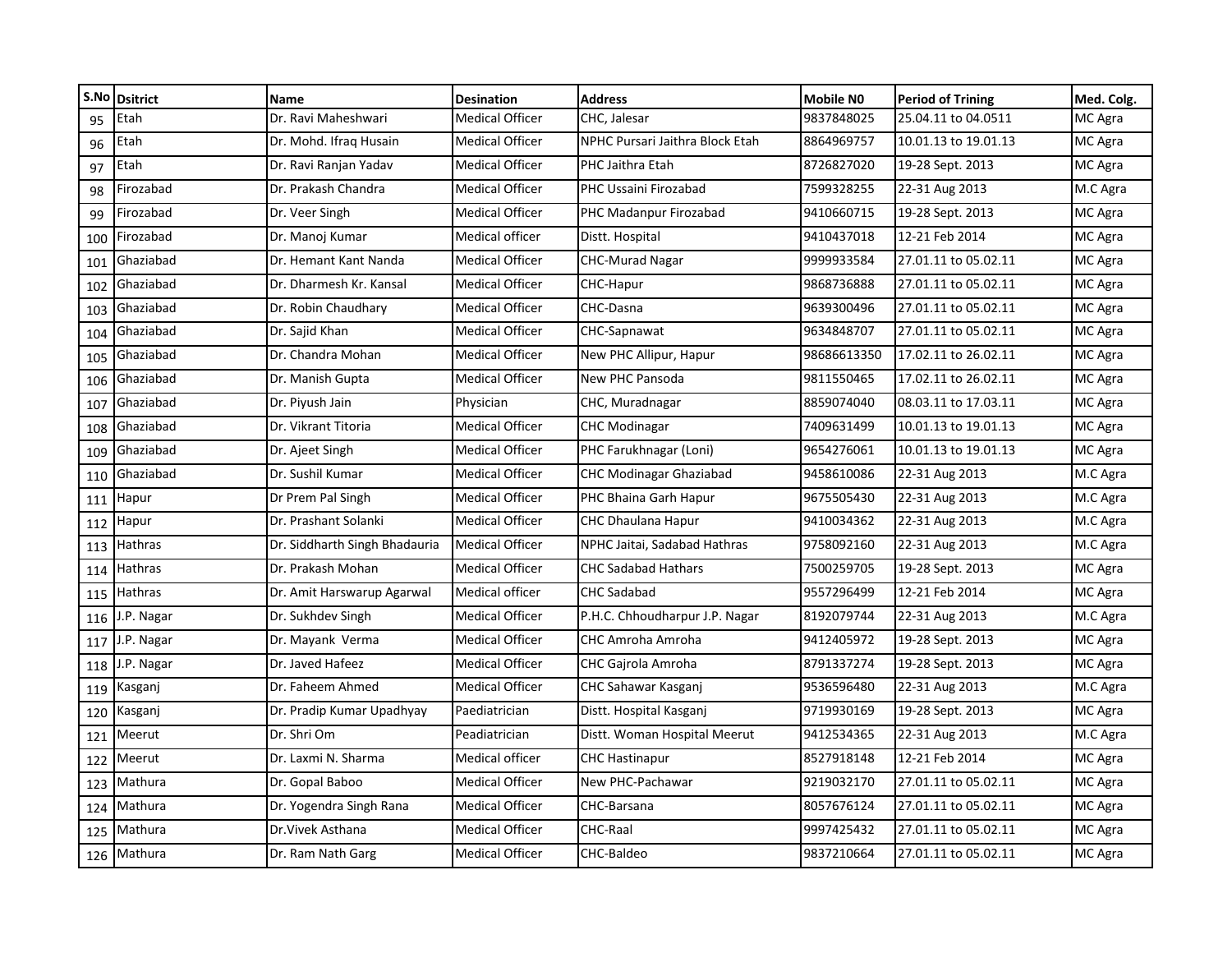|     | S.No Dsitrict  | <b>Name</b>                   | <b>Desination</b>      | <b>Address</b>                  | Mobile NO   | <b>Period of Trining</b> | Med. Colg. |
|-----|----------------|-------------------------------|------------------------|---------------------------------|-------------|--------------------------|------------|
| 95  | Etah           | Dr. Ravi Maheshwari           | Medical Officer        | CHC, Jalesar                    | 9837848025  | 25.04.11 to 04.0511      | MC Agra    |
| 96  | Etah           | Dr. Mohd. Ifrag Husain        | Medical Officer        | NPHC Pursari Jaithra Block Etah | 8864969757  | 10.01.13 to 19.01.13     | MC Agra    |
| 97  | Etah           | Dr. Ravi Ranjan Yadav         | <b>Medical Officer</b> | PHC Jaithra Etah                | 8726827020  | 19-28 Sept. 2013         | MC Agra    |
| 98  | Firozabad      | Dr. Prakash Chandra           | <b>Medical Officer</b> | PHC Ussaini Firozabad           | 7599328255  | 22-31 Aug 2013           | M.C Agra   |
| 99  | Firozabad      | Dr. Veer Singh                | Medical Officer        | PHC Madanpur Firozabad          | 9410660715  | 19-28 Sept. 2013         | MC Agra    |
| 100 | Firozabad      | Dr. Manoj Kumar               | Medical officer        | Distt. Hospital                 | 9410437018  | 12-21 Feb 2014           | MC Agra    |
| 101 | Ghaziabad      | Dr. Hemant Kant Nanda         | Medical Officer        | <b>CHC-Murad Nagar</b>          | 9999933584  | 27.01.11 to 05.02.11     | MC Agra    |
| 102 | Ghaziabad      | Dr. Dharmesh Kr. Kansal       | <b>Medical Officer</b> | CHC-Hapur                       | 9868736888  | 27.01.11 to 05.02.11     | MC Agra    |
| 103 | Ghaziabad      | Dr. Robin Chaudhary           | Medical Officer        | CHC-Dasna                       | 9639300496  | 27.01.11 to 05.02.11     | MC Agra    |
| 104 | Ghaziabad      | Dr. Sajid Khan                | Medical Officer        | CHC-Sapnawat                    | 9634848707  | 27.01.11 to 05.02.11     | MC Agra    |
| 105 | Ghaziabad      | Dr. Chandra Mohan             | Medical Officer        | New PHC Allipur, Hapur          | 98686613350 | 17.02.11 to 26.02.11     | MC Agra    |
| 106 | Ghaziabad      | Dr. Manish Gupta              | <b>Medical Officer</b> | New PHC Pansoda                 | 9811550465  | 17.02.11 to 26.02.11     | MC Agra    |
| 107 | Ghaziabad      | Dr. Piyush Jain               | Physician              | CHC, Muradnagar                 | 8859074040  | 08.03.11 to 17.03.11     | MC Agra    |
| 108 | Ghaziabad      | Dr. Vikrant Titoria           | Medical Officer        | <b>CHC Modinagar</b>            | 7409631499  | 10.01.13 to 19.01.13     | MC Agra    |
| 109 | Ghaziabad      | Dr. Ajeet Singh               | Medical Officer        | PHC Farukhnagar (Loni)          | 9654276061  | 10.01.13 to 19.01.13     | MC Agra    |
| 110 | Ghaziabad      | Dr. Sushil Kumar              | <b>Medical Officer</b> | CHC Modinagar Ghaziabad         | 9458610086  | 22-31 Aug 2013           | M.C Agra   |
| 111 | Hapur          | Dr Prem Pal Singh             | <b>Medical Officer</b> | PHC Bhaina Garh Hapur           | 9675505430  | 22-31 Aug 2013           | M.C Agra   |
|     | 112 Hapur      | Dr. Prashant Solanki          | <b>Medical Officer</b> | <b>CHC Dhaulana Hapur</b>       | 9410034362  | 22-31 Aug 2013           | M.C Agra   |
| 113 | <b>Hathras</b> | Dr. Siddharth Singh Bhadauria | <b>Medical Officer</b> | NPHC Jaitai, Sadabad Hathras    | 9758092160  | 22-31 Aug 2013           | M.C Agra   |
| 114 | <b>Hathras</b> | Dr. Prakash Mohan             | <b>Medical Officer</b> | <b>CHC Sadabad Hathars</b>      | 7500259705  | 19-28 Sept. 2013         | MC Agra    |
| 115 | <b>Hathras</b> | Dr. Amit Harswarup Agarwal    | Medical officer        | CHC Sadabad                     | 9557296499  | 12-21 Feb 2014           | MC Agra    |
| 116 | J.P. Nagar     | Dr. Sukhdev Singh             | <b>Medical Officer</b> | P.H.C. Chhoudharpur J.P. Nagar  | 8192079744  | 22-31 Aug 2013           | M.C Agra   |
| 117 | J.P. Nagar     | Dr. Mayank Verma              | Medical Officer        | CHC Amroha Amroha               | 9412405972  | 19-28 Sept. 2013         | MC Agra    |
| 118 | J.P. Nagar     | Dr. Javed Hafeez              | Medical Officer        | <b>CHC Gairola Amroha</b>       | 8791337274  | 19-28 Sept. 2013         | MC Agra    |
|     | 119 Kasganj    | Dr. Faheem Ahmed              | <b>Medical Officer</b> | CHC Sahawar Kasganj             | 9536596480  | 22-31 Aug 2013           | M.C Agra   |
| 120 | Kasganj        | Dr. Pradip Kumar Upadhyay     | Paediatrician          | Distt. Hospital Kasganj         | 9719930169  | 19-28 Sept. 2013         | MC Agra    |
| 121 | Meerut         | Dr. Shri Om                   | Peadiatrician          | Distt. Woman Hospital Meerut    | 9412534365  | 22-31 Aug 2013           | M.C Agra   |
| 122 | Meerut         | Dr. Laxmi N. Sharma           | Medical officer        | <b>CHC Hastinapur</b>           | 8527918148  | 12-21 Feb 2014           | MC Agra    |
| 123 | Mathura        | Dr. Gopal Baboo               | Medical Officer        | New PHC-Pachawar                | 9219032170  | 27.01.11 to 05.02.11     | MC Agra    |
| 124 | Mathura        | Dr. Yogendra Singh Rana       | Medical Officer        | CHC-Barsana                     | 8057676124  | 27.01.11 to 05.02.11     | MC Agra    |
| 125 | Mathura        | Dr. Vivek Asthana             | Medical Officer        | CHC-Raal                        | 9997425432  | 27.01.11 to 05.02.11     | MC Agra    |
|     | 126 Mathura    | Dr. Ram Nath Garg             | Medical Officer        | CHC-Baldeo                      | 9837210664  | 27.01.11 to 05.02.11     | MC Agra    |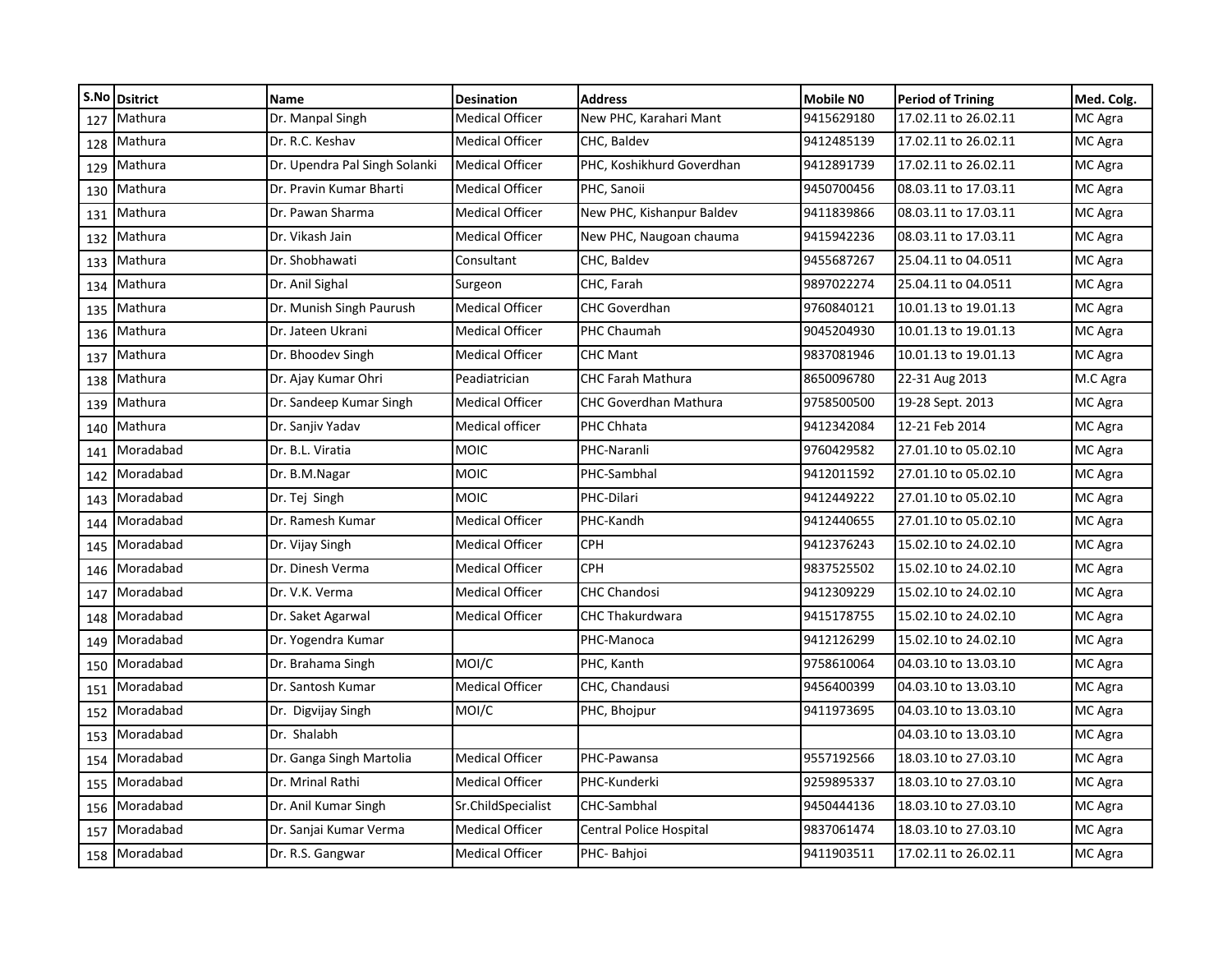|     | S.No Dsitrict | <b>Name</b>                   | <b>Desination</b>      | <b>Address</b>               | Mobile NO  | <b>Period of Trining</b> | Med. Colg. |
|-----|---------------|-------------------------------|------------------------|------------------------------|------------|--------------------------|------------|
| 127 | Mathura       | Dr. Manpal Singh              | <b>Medical Officer</b> | New PHC, Karahari Mant       | 9415629180 | 17.02.11 to 26.02.11     | MC Agra    |
| 128 | Mathura       | Dr. R.C. Keshav               | <b>Medical Officer</b> | CHC, Baldev                  | 9412485139 | 17.02.11 to 26.02.11     | MC Agra    |
| 129 | Mathura       | Dr. Upendra Pal Singh Solanki | Medical Officer        | PHC, Koshikhurd Goverdhan    | 9412891739 | 17.02.11 to 26.02.11     | MC Agra    |
| 130 | Mathura       | Dr. Pravin Kumar Bharti       | <b>Medical Officer</b> | PHC, Sanoii                  | 9450700456 | 08.03.11 to 17.03.11     | MC Agra    |
| 131 | Mathura       | Dr. Pawan Sharma              | <b>Medical Officer</b> | New PHC, Kishanpur Baldev    | 9411839866 | 08.03.11 to 17.03.11     | MC Agra    |
| 132 | Mathura       | Dr. Vikash Jain               | <b>Medical Officer</b> | New PHC, Naugoan chauma      | 9415942236 | 08.03.11 to 17.03.11     | MC Agra    |
| 133 | Mathura       | Dr. Shobhawati                | Consultant             | CHC, Baldev                  | 9455687267 | 25.04.11 to 04.0511      | MC Agra    |
| 134 | Mathura       | Dr. Anil Sighal               | Surgeon                | CHC, Farah                   | 9897022274 | 25.04.11 to 04.0511      | MC Agra    |
| 135 | Mathura       | Dr. Munish Singh Paurush      | <b>Medical Officer</b> | <b>CHC Goverdhan</b>         | 9760840121 | 10.01.13 to 19.01.13     | MC Agra    |
| 136 | Mathura       | Dr. Jateen Ukrani             | <b>Medical Officer</b> | PHC Chaumah                  | 9045204930 | 10.01.13 to 19.01.13     | MC Agra    |
| 137 | Mathura       | Dr. Bhoodev Singh             | <b>Medical Officer</b> | <b>CHC Mant</b>              | 9837081946 | 10.01.13 to 19.01.13     | MC Agra    |
| 138 | Mathura       | Dr. Ajay Kumar Ohri           | Peadiatrician          | <b>CHC Farah Mathura</b>     | 8650096780 | 22-31 Aug 2013           | M.C Agra   |
| 139 | Mathura       | Dr. Sandeep Kumar Singh       | <b>Medical Officer</b> | <b>CHC Goverdhan Mathura</b> | 9758500500 | 19-28 Sept. 2013         | MC Agra    |
| 140 | Mathura       | Dr. Sanjiv Yadav              | <b>Medical officer</b> | PHC Chhata                   | 9412342084 | 12-21 Feb 2014           | MC Agra    |
| 141 | Moradabad     | Dr. B.L. Viratia              | <b>MOIC</b>            | PHC-Naranli                  | 9760429582 | 27.01.10 to 05.02.10     | MC Agra    |
| 142 | Moradabad     | Dr. B.M.Nagar                 | <b>MOIC</b>            | PHC-Sambhal                  | 9412011592 | 27.01.10 to 05.02.10     | MC Agra    |
| 143 | Moradabad     | Dr. Tej Singh                 | <b>MOIC</b>            | PHC-Dilari                   | 9412449222 | 27.01.10 to 05.02.10     | MC Agra    |
| 144 | Moradabad     | Dr. Ramesh Kumar              | <b>Medical Officer</b> | PHC-Kandh                    | 9412440655 | 27.01.10 to 05.02.10     | MC Agra    |
| 145 | Moradabad     | Dr. Vijay Singh               | <b>Medical Officer</b> | <b>CPH</b>                   | 9412376243 | 15.02.10 to 24.02.10     | MC Agra    |
| 146 | Moradabad     | Dr. Dinesh Verma              | <b>Medical Officer</b> | <b>CPH</b>                   | 9837525502 | 15.02.10 to 24.02.10     | MC Agra    |
| 147 | Moradabad     | Dr. V.K. Verma                | <b>Medical Officer</b> | <b>CHC Chandosi</b>          | 9412309229 | 15.02.10 to 24.02.10     | MC Agra    |
| 148 | Moradabad     | Dr. Saket Agarwal             | <b>Medical Officer</b> | <b>CHC Thakurdwara</b>       | 9415178755 | 15.02.10 to 24.02.10     | MC Agra    |
| 149 | Moradabad     | Dr. Yogendra Kumar            |                        | PHC-Manoca                   | 9412126299 | 15.02.10 to 24.02.10     | MC Agra    |
| 150 | Moradabad     | Dr. Brahama Singh             | MOI/C                  | PHC, Kanth                   | 9758610064 | 04.03.10 to 13.03.10     | MC Agra    |
| 151 | Moradabad     | Dr. Santosh Kumar             | <b>Medical Officer</b> | CHC, Chandausi               | 9456400399 | 04.03.10 to 13.03.10     | MC Agra    |
| 152 | Moradabad     | Dr. Digvijay Singh            | MOI/C                  | PHC, Bhojpur                 | 9411973695 | 04.03.10 to 13.03.10     | MC Agra    |
| 153 | Moradabad     | Dr. Shalabh                   |                        |                              |            | 04.03.10 to 13.03.10     | MC Agra    |
| 154 | Moradabad     | Dr. Ganga Singh Martolia      | <b>Medical Officer</b> | PHC-Pawansa                  | 9557192566 | 18.03.10 to 27.03.10     | MC Agra    |
| 155 | Moradabad     | Dr. Mrinal Rathi              | <b>Medical Officer</b> | PHC-Kunderki                 | 9259895337 | 18.03.10 to 27.03.10     | MC Agra    |
| 156 | Moradabad     | Dr. Anil Kumar Singh          | Sr.ChildSpecialist     | CHC-Sambhal                  | 9450444136 | 18.03.10 to 27.03.10     | MC Agra    |
| 157 | Moradabad     | Dr. Sanjai Kumar Verma        | <b>Medical Officer</b> | Central Police Hospital      | 9837061474 | 18.03.10 to 27.03.10     | MC Agra    |
| 158 | Moradabad     | Dr. R.S. Gangwar              | <b>Medical Officer</b> | PHC-Bahjoi                   | 9411903511 | 17.02.11 to 26.02.11     | MC Agra    |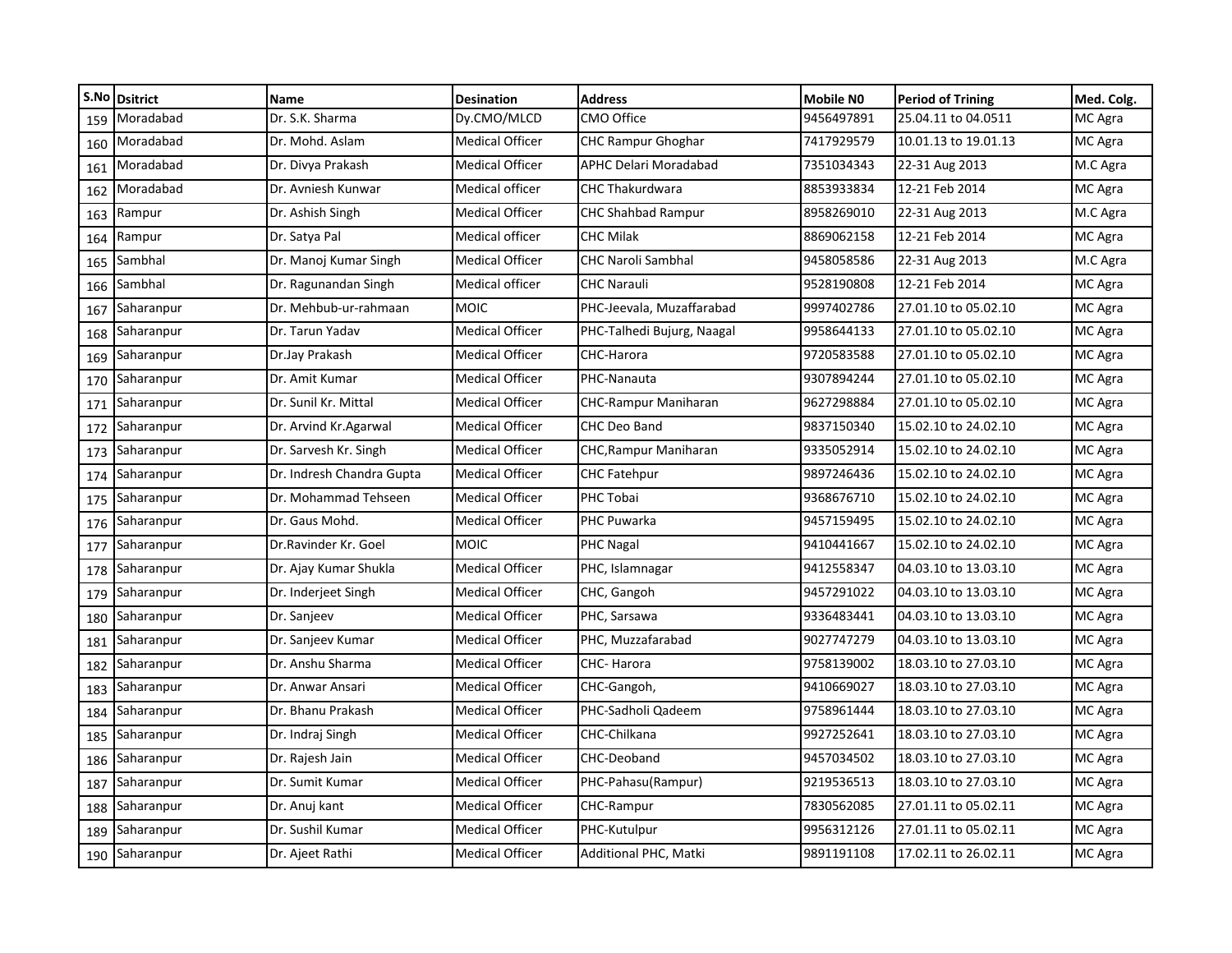|     | S.No Dsitrict  | Name                      | <b>Desination</b>      | <b>Address</b>               | <b>Mobile NO</b> | <b>Period of Trining</b> | Med. Colg. |
|-----|----------------|---------------------------|------------------------|------------------------------|------------------|--------------------------|------------|
| 159 | Moradabad      | Dr. S.K. Sharma           | Dy.CMO/MLCD            | CMO Office                   | 9456497891       | 25.04.11 to 04.0511      | MC Agra    |
| 160 | Moradabad      | Dr. Mohd. Aslam           | <b>Medical Officer</b> | <b>CHC Rampur Ghoghar</b>    | 7417929579       | 10.01.13 to 19.01.13     | MC Agra    |
| 161 | Moradabad      | Dr. Divya Prakash         | <b>Medical Officer</b> | <b>APHC Delari Moradabad</b> | 7351034343       | 22-31 Aug 2013           | M.C Agra   |
| 162 | Moradabad      | Dr. Avniesh Kunwar        | Medical officer        | <b>CHC Thakurdwara</b>       | 8853933834       | 12-21 Feb 2014           | MC Agra    |
| 163 | Rampur         | Dr. Ashish Singh          | <b>Medical Officer</b> | <b>CHC Shahbad Rampur</b>    | 8958269010       | 22-31 Aug 2013           | M.C Agra   |
| 164 | Rampur         | Dr. Satya Pal             | Medical officer        | <b>CHC Milak</b>             | 8869062158       | 12-21 Feb 2014           | MC Agra    |
| 165 | Sambhal        | Dr. Manoj Kumar Singh     | <b>Medical Officer</b> | <b>CHC Naroli Sambhal</b>    | 9458058586       | 22-31 Aug 2013           | M.C Agra   |
| 166 | Sambhal        | Dr. Ragunandan Singh      | Medical officer        | <b>CHC Narauli</b>           | 9528190808       | 12-21 Feb 2014           | MC Agra    |
| 167 | Saharanpur     | Dr. Mehbub-ur-rahmaan     | <b>MOIC</b>            | PHC-Jeevala, Muzaffarabad    | 9997402786       | 27.01.10 to 05.02.10     | MC Agra    |
| 168 | Saharanpur     | Dr. Tarun Yadav           | <b>Medical Officer</b> | PHC-Talhedi Bujurg, Naagal   | 9958644133       | 27.01.10 to 05.02.10     | MC Agra    |
| 169 | Saharanpur     | Dr.Jay Prakash            | <b>Medical Officer</b> | CHC-Harora                   | 9720583588       | 27.01.10 to 05.02.10     | MC Agra    |
| 170 | Saharanpur     | Dr. Amit Kumar            | <b>Medical Officer</b> | PHC-Nanauta                  | 9307894244       | 27.01.10 to 05.02.10     | MC Agra    |
| 171 | Saharanpur     | Dr. Sunil Kr. Mittal      | <b>Medical Officer</b> | <b>CHC-Rampur Maniharan</b>  | 9627298884       | 27.01.10 to 05.02.10     | MC Agra    |
| 172 | Saharanpur     | Dr. Arvind Kr. Agarwal    | <b>Medical Officer</b> | <b>CHC Deo Band</b>          | 9837150340       | 15.02.10 to 24.02.10     | MC Agra    |
| 173 | Saharanpur     | Dr. Sarvesh Kr. Singh     | <b>Medical Officer</b> | CHC, Rampur Maniharan        | 9335052914       | 15.02.10 to 24.02.10     | MC Agra    |
| 174 | Saharanpur     | Dr. Indresh Chandra Gupta | <b>Medical Officer</b> | <b>CHC Fatehpur</b>          | 9897246436       | 15.02.10 to 24.02.10     | MC Agra    |
| 175 | Saharanpur     | Dr. Mohammad Tehseen      | <b>Medical Officer</b> | PHC Tobai                    | 9368676710       | 15.02.10 to 24.02.10     | MC Agra    |
| 176 | Saharanpur     | Dr. Gaus Mohd.            | <b>Medical Officer</b> | PHC Puwarka                  | 9457159495       | 15.02.10 to 24.02.10     | MC Agra    |
| 177 | Saharanpur     | Dr.Ravinder Kr. Goel      | <b>MOIC</b>            | PHC Nagal                    | 9410441667       | 15.02.10 to 24.02.10     | MC Agra    |
| 178 | Saharanpur     | Dr. Ajay Kumar Shukla     | <b>Medical Officer</b> | PHC, Islamnagar              | 9412558347       | 04.03.10 to 13.03.10     | MC Agra    |
| 179 | Saharanpur     | Dr. Inderjeet Singh       | Medical Officer        | CHC, Gangoh                  | 9457291022       | 04.03.10 to 13.03.10     | MC Agra    |
| 180 | Saharanpur     | Dr. Sanjeev               | <b>Medical Officer</b> | PHC, Sarsawa                 | 9336483441       | 04.03.10 to 13.03.10     | MC Agra    |
| 181 | Saharanpur     | Dr. Sanjeev Kumar         | <b>Medical Officer</b> | PHC, Muzzafarabad            | 9027747279       | 04.03.10 to 13.03.10     | MC Agra    |
| 182 | Saharanpur     | Dr. Anshu Sharma          | <b>Medical Officer</b> | CHC-Harora                   | 9758139002       | 18.03.10 to 27.03.10     | MC Agra    |
| 183 | Saharanpur     | Dr. Anwar Ansari          | <b>Medical Officer</b> | CHC-Gangoh,                  | 9410669027       | 18.03.10 to 27.03.10     | MC Agra    |
| 184 | Saharanpur     | Dr. Bhanu Prakash         | <b>Medical Officer</b> | PHC-Sadholi Qadeem           | 9758961444       | 18.03.10 to 27.03.10     | MC Agra    |
| 185 | Saharanpur     | Dr. Indraj Singh          | <b>Medical Officer</b> | CHC-Chilkana                 | 9927252641       | 18.03.10 to 27.03.10     | MC Agra    |
| 186 | Saharanpur     | Dr. Rajesh Jain           | <b>Medical Officer</b> | CHC-Deoband                  | 9457034502       | 18.03.10 to 27.03.10     | MC Agra    |
| 187 | Saharanpur     | Dr. Sumit Kumar           | <b>Medical Officer</b> | PHC-Pahasu(Rampur)           | 9219536513       | 18.03.10 to 27.03.10     | MC Agra    |
| 188 | Saharanpur     | Dr. Anuj kant             | <b>Medical Officer</b> | CHC-Rampur                   | 7830562085       | 27.01.11 to 05.02.11     | MC Agra    |
| 189 | Saharanpur     | Dr. Sushil Kumar          | <b>Medical Officer</b> | PHC-Kutulpur                 | 9956312126       | 27.01.11 to 05.02.11     | MC Agra    |
|     | 190 Saharanpur | Dr. Ajeet Rathi           | <b>Medical Officer</b> | Additional PHC, Matki        | 9891191108       | 17.02.11 to 26.02.11     | MC Agra    |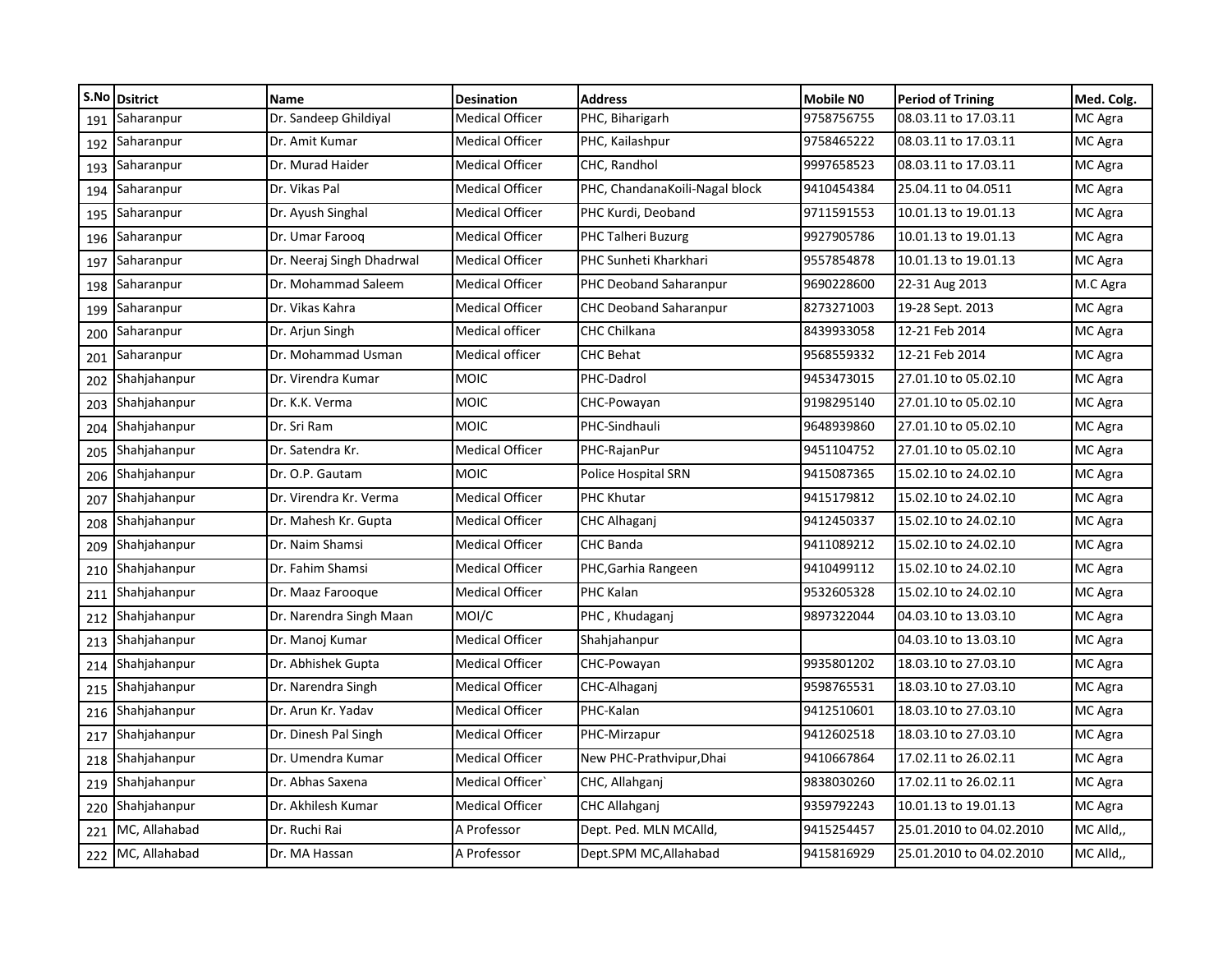|     | S.No Dsitrict     | Name                      | <b>Desination</b>      | <b>Address</b>                 | Mobile NO  | <b>Period of Trining</b> | Med. Colg. |
|-----|-------------------|---------------------------|------------------------|--------------------------------|------------|--------------------------|------------|
| 191 | Saharanpur        | Dr. Sandeep Ghildiyal     | <b>Medical Officer</b> | PHC, Biharigarh                | 9758756755 | 08.03.11 to 17.03.11     | MC Agra    |
| 192 | Saharanpur        | Dr. Amit Kumar            | <b>Medical Officer</b> | PHC, Kailashpur                | 9758465222 | 08.03.11 to 17.03.11     | MC Agra    |
| 193 | Saharanpur        | Dr. Murad Haider          | <b>Medical Officer</b> | CHC. Randhol                   | 9997658523 | 08.03.11 to 17.03.11     | MC Agra    |
| 194 | Saharanpur        | Dr. Vikas Pal             | <b>Medical Officer</b> | PHC, ChandanaKoili-Nagal block | 9410454384 | 25.04.11 to 04.0511      | MC Agra    |
| 195 | Saharanpur        | Dr. Ayush Singhal         | <b>Medical Officer</b> | PHC Kurdi, Deoband             | 9711591553 | 10.01.13 to 19.01.13     | MC Agra    |
| 196 | Saharanpur        | Dr. Umar Faroog           | <b>Medical Officer</b> | PHC Talheri Buzurg             | 9927905786 | 10.01.13 to 19.01.13     | MC Agra    |
| 197 | Saharanpur        | Dr. Neeraj Singh Dhadrwal | <b>Medical Officer</b> | PHC Sunheti Kharkhari          | 9557854878 | 10.01.13 to 19.01.13     | MC Agra    |
| 198 | Saharanpur        | Dr. Mohammad Saleem       | <b>Medical Officer</b> | PHC Deoband Saharanpur         | 9690228600 | 22-31 Aug 2013           | M.C Agra   |
| 199 | Saharanpur        | Dr. Vikas Kahra           | <b>Medical Officer</b> | <b>CHC Deoband Saharanpur</b>  | 8273271003 | 19-28 Sept. 2013         | MC Agra    |
| 200 | Saharanpur        | Dr. Arjun Singh           | <b>Medical officer</b> | <b>CHC Chilkana</b>            | 8439933058 | 12-21 Feb 2014           | MC Agra    |
| 201 | Saharanpur        | Dr. Mohammad Usman        | Medical officer        | <b>CHC Behat</b>               | 9568559332 | 12-21 Feb 2014           | MC Agra    |
| 202 | Shahjahanpur      | Dr. Virendra Kumar        | <b>MOIC</b>            | PHC-Dadrol                     | 9453473015 | 27.01.10 to 05.02.10     | MC Agra    |
| 203 | Shahjahanpur      | Dr. K.K. Verma            | <b>MOIC</b>            | CHC-Powayan                    | 9198295140 | 27.01.10 to 05.02.10     | MC Agra    |
| 204 | Shahjahanpur      | Dr. Sri Ram               | <b>MOIC</b>            | PHC-Sindhauli                  | 9648939860 | 27.01.10 to 05.02.10     | MC Agra    |
| 205 | Shahjahanpur      | Dr. Satendra Kr.          | <b>Medical Officer</b> | PHC-RajanPur                   | 9451104752 | 27.01.10 to 05.02.10     | MC Agra    |
| 206 | Shahjahanpur      | Dr. O.P. Gautam           | <b>MOIC</b>            | Police Hospital SRN            | 9415087365 | 15.02.10 to 24.02.10     | MC Agra    |
| 207 | Shahjahanpur      | Dr. Virendra Kr. Verma    | <b>Medical Officer</b> | <b>PHC Khutar</b>              | 9415179812 | 15.02.10 to 24.02.10     | MC Agra    |
| 208 | Shahjahanpur      | Dr. Mahesh Kr. Gupta      | <b>Medical Officer</b> | CHC Alhaganj                   | 9412450337 | 15.02.10 to 24.02.10     | MC Agra    |
| 209 | Shahjahanpur      | Dr. Naim Shamsi           | <b>Medical Officer</b> | <b>CHC Banda</b>               | 9411089212 | 15.02.10 to 24.02.10     | MC Agra    |
| 210 | Shahjahanpur      | Dr. Fahim Shamsi          | <b>Medical Officer</b> | PHC, Garhia Rangeen            | 9410499112 | 15.02.10 to 24.02.10     | MC Agra    |
| 211 | Shahjahanpur      | Dr. Maaz Farooque         | Medical Officer        | PHC Kalan                      | 9532605328 | 15.02.10 to 24.02.10     | MC Agra    |
| 212 | Shahjahanpur      | Dr. Narendra Singh Maan   | MOI/C                  | PHC, Khudaganj                 | 9897322044 | 04.03.10 to 13.03.10     | MC Agra    |
| 213 | Shahjahanpur      | Dr. Manoj Kumar           | <b>Medical Officer</b> | Shahjahanpur                   |            | 04.03.10 to 13.03.10     | MC Agra    |
| 214 | Shahjahanpur      | Dr. Abhishek Gupta        | <b>Medical Officer</b> | CHC-Powayan                    | 9935801202 | 18.03.10 to 27.03.10     | MC Agra    |
| 215 | Shahjahanpur      | Dr. Narendra Singh        | <b>Medical Officer</b> | CHC-Alhaganj                   | 9598765531 | 18.03.10 to 27.03.10     | MC Agra    |
| 216 | Shahjahanpur      | Dr. Arun Kr. Yadav        | <b>Medical Officer</b> | PHC-Kalan                      | 9412510601 | 18.03.10 to 27.03.10     | MC Agra    |
| 217 | Shahjahanpur      | Dr. Dinesh Pal Singh      | <b>Medical Officer</b> | PHC-Mirzapur                   | 9412602518 | 18.03.10 to 27.03.10     | MC Agra    |
| 218 | Shahjahanpur      | Dr. Umendra Kumar         | <b>Medical Officer</b> | New PHC-Prathvipur, Dhai       | 9410667864 | 17.02.11 to 26.02.11     | MC Agra    |
| 219 | Shahjahanpur      | Dr. Abhas Saxena          | Medical Officer'       | CHC, Allahganj                 | 9838030260 | 17.02.11 to 26.02.11     | MC Agra    |
| 220 | Shahjahanpur      | Dr. Akhilesh Kumar        | <b>Medical Officer</b> | <b>CHC Allahganj</b>           | 9359792243 | 10.01.13 to 19.01.13     | MC Agra    |
| 221 | MC, Allahabad     | Dr. Ruchi Rai             | A Professor            | Dept. Ped. MLN MCAlld,         | 9415254457 | 25.01.2010 to 04.02.2010 | MC Alld,,  |
|     | 222 MC, Allahabad | Dr. MA Hassan             | A Professor            | Dept.SPM MC, Allahabad         | 9415816929 | 25.01.2010 to 04.02.2010 | MC Alld.,  |
|     |                   |                           |                        |                                |            |                          |            |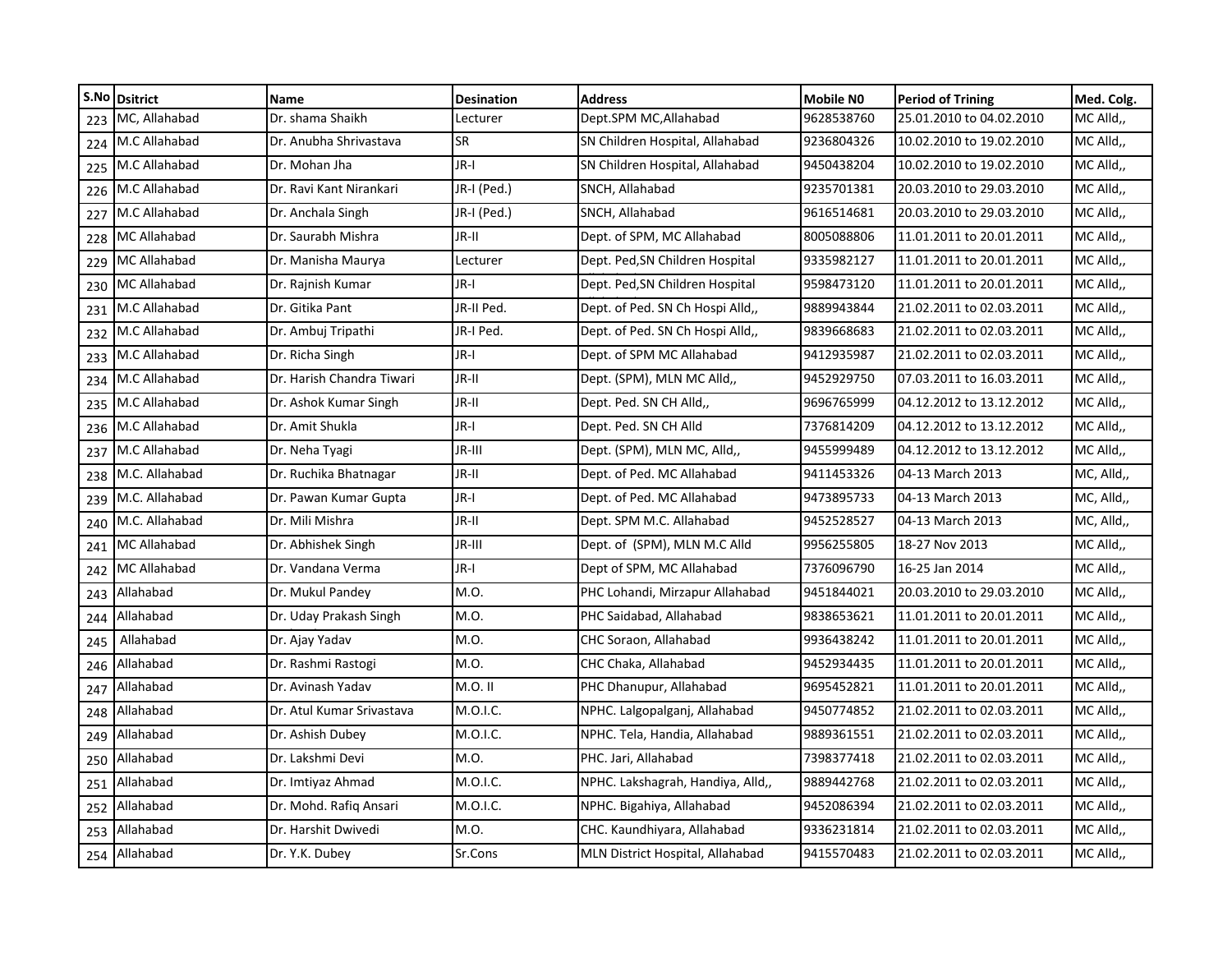|     | S.No Dsitrict       | <b>Name</b>               | <b>Desination</b> | <b>Address</b>                    | Mobile NO  | <b>Period of Trining</b> | Med. Colg. |
|-----|---------------------|---------------------------|-------------------|-----------------------------------|------------|--------------------------|------------|
| 223 | MC, Allahabad       | Dr. shama Shaikh          | Lecturer          | Dept.SPM MC, Allahabad            | 9628538760 | 25.01.2010 to 04.02.2010 | MC Alld,   |
|     | 224 M.C Allahabad   | Dr. Anubha Shrivastava    | SR                | SN Children Hospital, Allahabad   | 9236804326 | 10.02.2010 to 19.02.2010 | MC Alld,   |
|     | 225 M.C Allahabad   | Dr. Mohan Jha             | JR-I              | SN Children Hospital, Allahabad   | 9450438204 | 10.02.2010 to 19.02.2010 | MC Alld,   |
|     | 226 M.C Allahabad   | Dr. Ravi Kant Nirankari   | JR-I (Ped.)       | SNCH, Allahabad                   | 9235701381 | 20.03.2010 to 29.03.2010 | MC Alld,   |
| 227 | M.C Allahabad       | Dr. Anchala Singh         | JR-I (Ped.)       | SNCH, Allahabad                   | 9616514681 | 20.03.2010 to 29.03.2010 | MC Alld,,  |
| 228 | MC Allahabad        | Dr. Saurabh Mishra        | JR-II             | Dept. of SPM, MC Allahabad        | 8005088806 | 11.01.2011 to 20.01.2011 | MC Alld,,  |
|     | 229 MC Allahabad    | Dr. Manisha Maurya        | Lecturer          | Dept. Ped, SN Children Hospital   | 9335982127 | 11.01.2011 to 20.01.2011 | MC Alld,,  |
| 230 | <b>MC Allahabad</b> | Dr. Rajnish Kumar         | JR-I              | Dept. Ped, SN Children Hospital   | 9598473120 | 11.01.2011 to 20.01.2011 | MC Alld,   |
| 231 | M.C Allahabad       | Dr. Gitika Pant           | JR-II Ped.        | Dept. of Ped. SN Ch Hospi Alld,,  | 9889943844 | 21.02.2011 to 02.03.2011 | MC Alld,   |
| 232 | M.C Allahabad       | Dr. Ambuj Tripathi        | JR-I Ped.         | Dept. of Ped. SN Ch Hospi Alld,,  | 9839668683 | 21.02.2011 to 02.03.2011 | MC Alld,,  |
|     | 233 M.C Allahabad   | Dr. Richa Singh           | JR-I              | Dept. of SPM MC Allahabad         | 9412935987 | 21.02.2011 to 02.03.2011 | MC Alld,,  |
|     | 234 M.C Allahabad   | Dr. Harish Chandra Tiwari | JR-II             | Dept. (SPM), MLN MC Alld,,        | 9452929750 | 07.03.2011 to 16.03.2011 | MC Alld,,  |
|     | 235 M.C Allahabad   | Dr. Ashok Kumar Singh     | JR-II             | Dept. Ped. SN CH Alld,,           | 9696765999 | 04.12.2012 to 13.12.2012 | MC Alld,,  |
|     | 236 M.C Allahabad   | Dr. Amit Shukla           | JR-I              | Dept. Ped. SN CH Alld             | 7376814209 | 04.12.2012 to 13.12.2012 | MC Alld,   |
| 237 | M.C Allahabad       | Dr. Neha Tyagi            | JR-III            | Dept. (SPM), MLN MC, Alld,,       | 9455999489 | 04.12.2012 to 13.12.2012 | MC Alld,   |
|     | 238 M.C. Allahabad  | Dr. Ruchika Bhatnagar     | JR-II             | Dept. of Ped. MC Allahabad        | 9411453326 | 04-13 March 2013         | MC, Alld,, |
|     | 239 M.C. Allahabad  | Dr. Pawan Kumar Gupta     | JR-I              | Dept. of Ped. MC Allahabad        | 9473895733 | 04-13 March 2013         | MC, Alld,, |
|     | 240 M.C. Allahabad  | Dr. Mili Mishra           | JR-II             | Dept. SPM M.C. Allahabad          | 9452528527 | 04-13 March 2013         | MC, Alld,, |
| 241 | MC Allahabad        | Dr. Abhishek Singh        | JR-III            | Dept. of (SPM), MLN M.C Alld      | 9956255805 | 18-27 Nov 2013           | MC Alld,,  |
| 242 | MC Allahabad        | Dr. Vandana Verma         | JR-I              | Dept of SPM, MC Allahabad         | 7376096790 | 16-25 Jan 2014           | MC Alld,,  |
| 243 | Allahabad           | Dr. Mukul Pandey          | M.O.              | PHC Lohandi, Mirzapur Allahabad   | 9451844021 | 20.03.2010 to 29.03.2010 | MC Alld,,  |
| 244 | Allahabad           | Dr. Uday Prakash Singh    | M.O.              | PHC Saidabad, Allahabad           | 9838653621 | 11.01.2011 to 20.01.2011 | MC Alld,,  |
| 245 | Allahabad           | Dr. Ajay Yadav            | M.O.              | CHC Soraon, Allahabad             | 9936438242 | 11.01.2011 to 20.01.2011 | MC Alld,   |
| 246 | Allahabad           | Dr. Rashmi Rastogi        | M.O.              | CHC Chaka, Allahabad              | 9452934435 | 11.01.2011 to 20.01.2011 | MC Alld,   |
| 247 | Allahabad           | Dr. Avinash Yadav         | M.O. II           | PHC Dhanupur, Allahabad           | 9695452821 | 11.01.2011 to 20.01.2011 | MC Alld,,  |
| 248 | Allahabad           | Dr. Atul Kumar Srivastava | M.O.I.C.          | NPHC. Lalgopalganj, Allahabad     | 9450774852 | 21.02.2011 to 02.03.2011 | MC Alld,,  |
| 249 | Allahabad           | Dr. Ashish Dubey          | M.O.I.C.          | NPHC. Tela, Handia, Allahabad     | 9889361551 | 21.02.2011 to 02.03.2011 | MC Alld,,  |
| 250 | Allahabad           | Dr. Lakshmi Devi          | M.O.              | PHC. Jari, Allahabad              | 7398377418 | 21.02.2011 to 02.03.2011 | MC Alld,   |
| 251 | Allahabad           | Dr. Imtiyaz Ahmad         | M.O.I.C.          | NPHC. Lakshagrah, Handiya, Alld,, | 9889442768 | 21.02.2011 to 02.03.2011 | MC Alld,   |
| 252 | Allahabad           | Dr. Mohd. Rafiq Ansari    | M.O.I.C.          | NPHC. Bigahiya, Allahabad         | 9452086394 | 21.02.2011 to 02.03.2011 | MC Alld,,  |
| 253 | Allahabad           | Dr. Harshit Dwivedi       | M.O.              | CHC. Kaundhiyara, Allahabad       | 9336231814 | 21.02.2011 to 02.03.2011 | MC Alld,,  |
|     | 254 Allahabad       | Dr. Y.K. Dubey            | Sr.Cons           | MLN District Hospital, Allahabad  | 9415570483 | 21.02.2011 to 02.03.2011 | MC Alld,,  |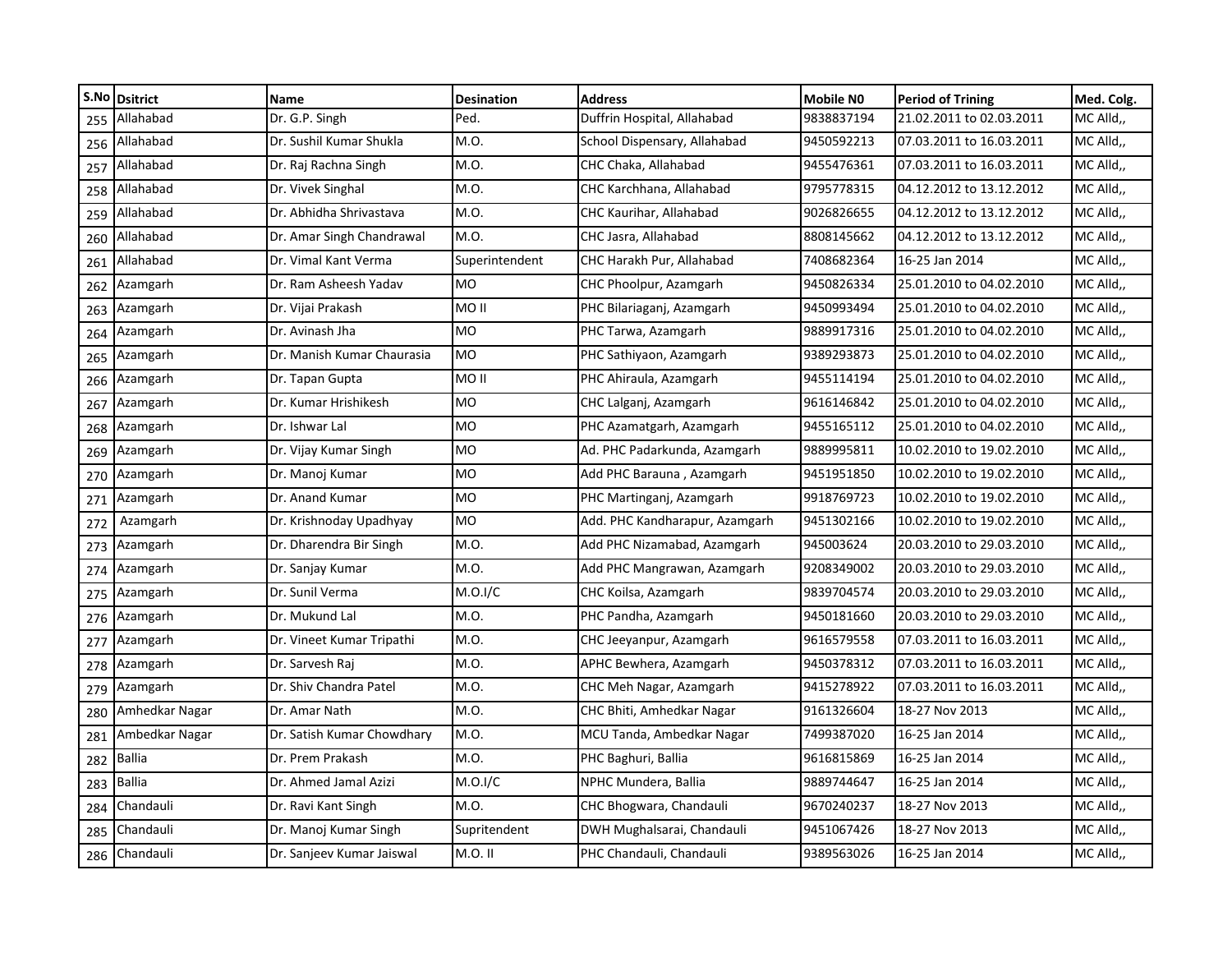|     | S.No Dsitrict  | <b>Name</b>                | <b>Desination</b> | <b>Address</b>                 | <b>Mobile NO</b> | <b>Period of Trining</b> | Med. Colg. |
|-----|----------------|----------------------------|-------------------|--------------------------------|------------------|--------------------------|------------|
| 255 | Allahabad      | Dr. G.P. Singh             | Ped.              | Duffrin Hospital, Allahabad    | 9838837194       | 21.02.2011 to 02.03.2011 | MC Alld,   |
| 256 | Allahabad      | Dr. Sushil Kumar Shukla    | M.O.              | School Dispensary, Allahabad   | 9450592213       | 07.03.2011 to 16.03.2011 | MC Alld,,  |
| 257 | Allahabad      | Dr. Raj Rachna Singh       | M.O.              | CHC Chaka, Allahabad           | 9455476361       | 07.03.2011 to 16.03.2011 | MC Alld,   |
| 258 | Allahabad      | Dr. Vivek Singhal          | M.O.              | CHC Karchhana, Allahabad       | 9795778315       | 04.12.2012 to 13.12.2012 | MC Alld,   |
| 259 | Allahabad      | Dr. Abhidha Shrivastava    | M.O.              | CHC Kaurihar, Allahabad        | 9026826655       | 04.12.2012 to 13.12.2012 | MC Alld,,  |
| 260 | Allahabad      | Dr. Amar Singh Chandrawal  | M.O.              | CHC Jasra, Allahabad           | 8808145662       | 04.12.2012 to 13.12.2012 | MC Alld,   |
| 261 | Allahabad      | Dr. Vimal Kant Verma       | Superintendent    | CHC Harakh Pur, Allahabad      | 7408682364       | 16-25 Jan 2014           | MC Alld,,  |
| 262 | Azamgarh       | Dr. Ram Asheesh Yadav      | MO                | CHC Phoolpur, Azamgarh         | 9450826334       | 25.01.2010 to 04.02.2010 | MC Alld,   |
| 263 | Azamgarh       | Dr. Vijai Prakash          | <b>MOII</b>       | PHC Bilariaganj, Azamgarh      | 9450993494       | 25.01.2010 to 04.02.2010 | MC Alld,,  |
| 264 | Azamgarh       | Dr. Avinash Jha            | <b>MO</b>         | PHC Tarwa, Azamgarh            | 9889917316       | 25.01.2010 to 04.02.2010 | MC Alld,   |
| 265 | Azamgarh       | Dr. Manish Kumar Chaurasia | <b>MO</b>         | PHC Sathiyaon, Azamgarh        | 9389293873       | 25.01.2010 to 04.02.2010 | MC Alld,   |
| 266 | Azamgarh       | Dr. Tapan Gupta            | MO II             | PHC Ahiraula, Azamgarh         | 9455114194       | 25.01.2010 to 04.02.2010 | MC Alld,   |
| 267 | Azamgarh       | Dr. Kumar Hrishikesh       | <b>MO</b>         | CHC Lalganj, Azamgarh          | 9616146842       | 25.01.2010 to 04.02.2010 | MC Alld,   |
| 268 | Azamgarh       | Dr. Ishwar Lal             | MO                | PHC Azamatgarh, Azamgarh       | 9455165112       | 25.01.2010 to 04.02.2010 | MC Alld,   |
| 269 | Azamgarh       | Dr. Vijay Kumar Singh      | <b>MO</b>         | Ad. PHC Padarkunda, Azamgarh   | 9889995811       | 10.02.2010 to 19.02.2010 | MC Alld.,  |
| 270 | Azamgarh       | Dr. Manoj Kumar            | MO                | Add PHC Barauna, Azamgarh      | 9451951850       | 10.02.2010 to 19.02.2010 | MC Alld,   |
| 271 | Azamgarh       | Dr. Anand Kumar            | <b>MO</b>         | PHC Martinganj, Azamgarh       | 9918769723       | 10.02.2010 to 19.02.2010 | MC Alld,   |
| 272 | Azamgarh       | Dr. Krishnoday Upadhyay    | MO                | Add. PHC Kandharapur, Azamgarh | 9451302166       | 10.02.2010 to 19.02.2010 | MC Alld,   |
| 273 | Azamgarh       | Dr. Dharendra Bir Singh    | M.O.              | Add PHC Nizamabad, Azamgarh    | 945003624        | 20.03.2010 to 29.03.2010 | MC Alld.,  |
| 274 | Azamgarh       | Dr. Sanjay Kumar           | M.O.              | Add PHC Mangrawan, Azamgarh    | 9208349002       | 20.03.2010 to 29.03.2010 | MC Alld,,  |
| 275 | Azamgarh       | Dr. Sunil Verma            | M.O.I/C           | CHC Koilsa, Azamgarh           | 9839704574       | 20.03.2010 to 29.03.2010 | MC Alld,   |
| 276 | Azamgarh       | Dr. Mukund Lal             | M.O.              | PHC Pandha, Azamgarh           | 9450181660       | 20.03.2010 to 29.03.2010 | MC Alld,   |
| 277 | Azamgarh       | Dr. Vineet Kumar Tripathi  | M.O.              | CHC Jeeyanpur, Azamgarh        | 9616579558       | 07.03.2011 to 16.03.2011 | MC Alld,   |
| 278 | Azamgarh       | Dr. Sarvesh Raj            | M.O.              | APHC Bewhera, Azamgarh         | 9450378312       | 07.03.2011 to 16.03.2011 | MC Alld,   |
| 279 | Azamgarh       | Dr. Shiv Chandra Patel     | M.O.              | CHC Meh Nagar, Azamgarh        | 9415278922       | 07.03.2011 to 16.03.2011 | MC Alld,   |
| 280 | Amhedkar Nagar | Dr. Amar Nath              | M.O.              | CHC Bhiti, Amhedkar Nagar      | 9161326604       | 18-27 Nov 2013           | MC Alld,   |
| 281 | Ambedkar Nagar | Dr. Satish Kumar Chowdhary | M.O.              | MCU Tanda, Ambedkar Nagar      | 7499387020       | 16-25 Jan 2014           | MC Alld,   |
| 282 | <b>Ballia</b>  | Dr. Prem Prakash           | M.O.              | PHC Baghuri, Ballia            | 9616815869       | 16-25 Jan 2014           | MC Alld,   |
| 283 | <b>Ballia</b>  | Dr. Ahmed Jamal Azizi      | M.O.I/C           | NPHC Mundera, Ballia           | 9889744647       | 16-25 Jan 2014           | MC Alld,   |
| 284 | Chandauli      | Dr. Ravi Kant Singh        | M.O.              | CHC Bhogwara, Chandauli        | 9670240237       | 18-27 Nov 2013           | MC Alld,   |
| 285 | Chandauli      | Dr. Manoj Kumar Singh      | Supritendent      | DWH Mughalsarai, Chandauli     | 9451067426       | 18-27 Nov 2013           | MC Alld,   |
| 286 | Chandauli      | Dr. Sanjeev Kumar Jaiswal  | M.O. II           | PHC Chandauli, Chandauli       | 9389563026       | 16-25 Jan 2014           | MC Alld,,  |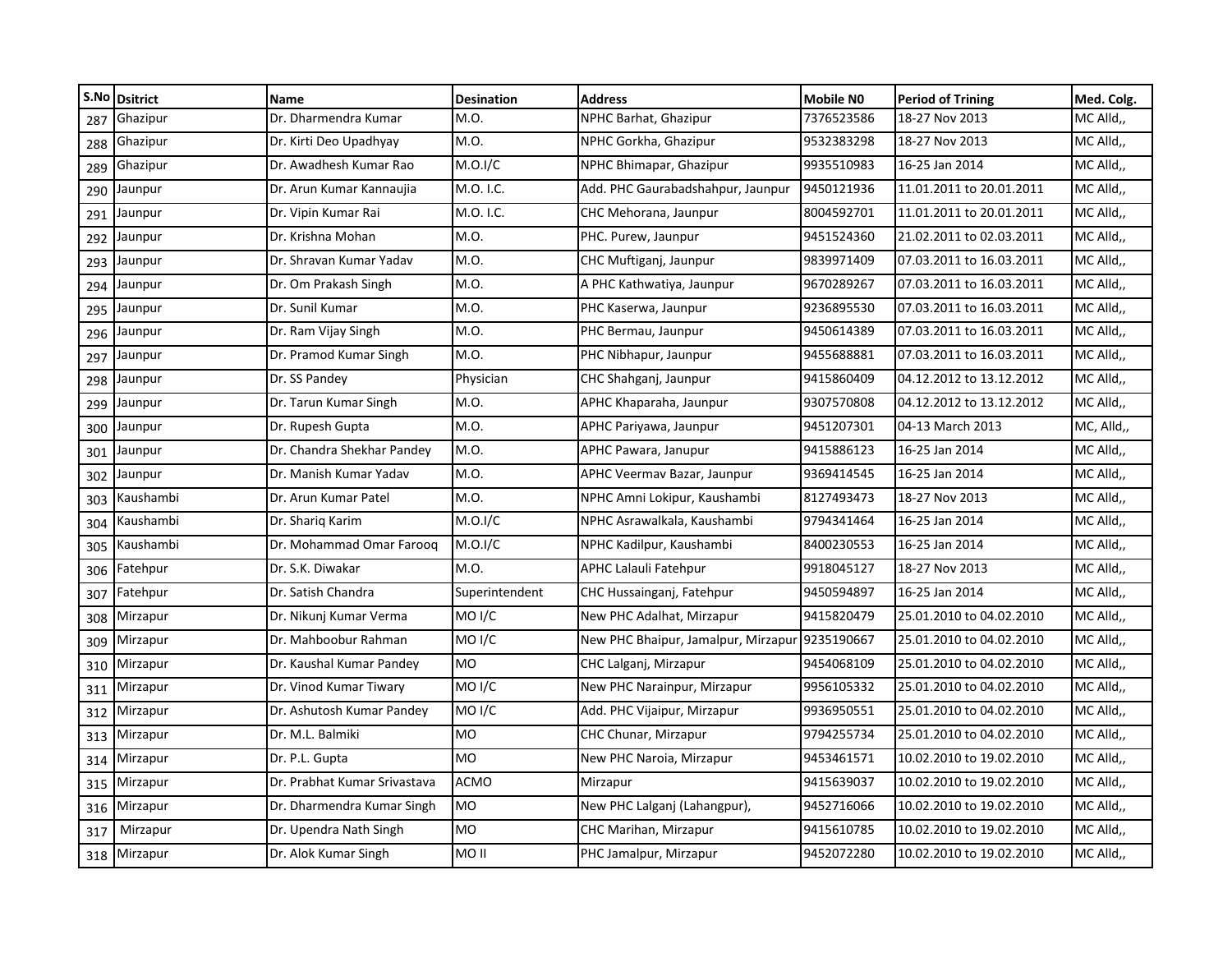| S.No | <b>Dsitrict</b> | <b>Name</b>                  | <b>Desination</b>  | <b>Address</b>                                 | <b>Mobile NO</b> | <b>Period of Trining</b> | Med. Colg. |
|------|-----------------|------------------------------|--------------------|------------------------------------------------|------------------|--------------------------|------------|
| 287  | Ghazipur        | Dr. Dharmendra Kumar         | M.O.               | NPHC Barhat, Ghazipur                          | 7376523586       | 18-27 Nov 2013           | MC Alld,   |
| 288  | Ghazipur        | Dr. Kirti Deo Upadhyay       | M.O.               | NPHC Gorkha, Ghazipur                          | 9532383298       | 18-27 Nov 2013           | MC Alld,,  |
| 289  | Ghazipur        | Dr. Awadhesh Kumar Rao       | M.O.I/C            | NPHC Bhimapar, Ghazipur                        | 9935510983       | 16-25 Jan 2014           | MC Alld,,  |
| 290  | Jaunpur         | Dr. Arun Kumar Kannaujia     | M.O. I.C.          | Add. PHC Gaurabadshahpur, Jaunpur              | 9450121936       | 11.01.2011 to 20.01.2011 | MC Alld,,  |
| 291  | Jaunpur         | Dr. Vipin Kumar Rai          | M.O. I.C.          | CHC Mehorana, Jaunpur                          | 8004592701       | 11.01.2011 to 20.01.2011 | MC Alld,   |
| 292  | Jaunpur         | Dr. Krishna Mohan            | M.O.               | PHC. Purew, Jaunpur                            | 9451524360       | 21.02.2011 to 02.03.2011 | MC Alld,,  |
| 293  | Jaunpur         | Dr. Shravan Kumar Yadav      | M.O.               | CHC Muftiganj, Jaunpur                         | 9839971409       | 07.03.2011 to 16.03.2011 | MC Alld,,  |
| 294  | Jaunpur         | Dr. Om Prakash Singh         | M.O.               | A PHC Kathwatiya, Jaunpur                      | 9670289267       | 07.03.2011 to 16.03.2011 | MC Alld,,  |
| 295  | Jaunpur         | Dr. Sunil Kumar              | M.O.               | PHC Kaserwa, Jaunpur                           | 9236895530       | 07.03.2011 to 16.03.2011 | MC Alld,,  |
| 296  | Jaunpur         | Dr. Ram Vijay Singh          | M.O.               | PHC Bermau, Jaunpur                            | 9450614389       | 07.03.2011 to 16.03.2011 | MC Alld,,  |
| 297  | Jaunpur         | Dr. Pramod Kumar Singh       | M.O.               | PHC Nibhapur, Jaunpur                          | 9455688881       | 07.03.2011 to 16.03.2011 | MC Alld,,  |
| 298  | Jaunpur         | Dr. SS Pandey                | Physician          | CHC Shahganj, Jaunpur                          | 9415860409       | 04.12.2012 to 13.12.2012 | MC Alld,   |
| 299  | Jaunpur         | Dr. Tarun Kumar Singh        | M.O.               | APHC Khaparaha, Jaunpur                        | 9307570808       | 04.12.2012 to 13.12.2012 | MC Alld,   |
| 300  | Jaunpur         | Dr. Rupesh Gupta             | M.O.               | APHC Pariyawa, Jaunpur                         | 9451207301       | 04-13 March 2013         | MC, Alld,, |
| 301  | Jaunpur         | Dr. Chandra Shekhar Pandey   | M.O.               | APHC Pawara, Janupur                           | 9415886123       | 16-25 Jan 2014           | MC Alld,,  |
| 302  | Jaunpur         | Dr. Manish Kumar Yadav       | M.O.               | APHC Veermav Bazar, Jaunpur                    | 9369414545       | 16-25 Jan 2014           | MC Alld,   |
| 303  | Kaushambi       | Dr. Arun Kumar Patel         | M.O.               | NPHC Amni Lokipur, Kaushambi                   | 8127493473       | 18-27 Nov 2013           | MC Alld,,  |
| 304  | Kaushambi       | Dr. Shariq Karim             | M.O.I/C            | NPHC Asrawalkala, Kaushambi                    | 9794341464       | 16-25 Jan 2014           | MC Alld,   |
| 305  | Kaushambi       | Dr. Mohammad Omar Faroog     | M.O.I/C            | NPHC Kadilpur, Kaushambi                       | 8400230553       | 16-25 Jan 2014           | MC Alld,,  |
| 306  | Fatehpur        | Dr. S.K. Diwakar             | M.O.               | <b>APHC Lalauli Fatehpur</b>                   | 9918045127       | 18-27 Nov 2013           | MC Alld,   |
| 307  | Fatehpur        | Dr. Satish Chandra           | Superintendent     | CHC Hussainganj, Fatehpur                      | 9450594897       | 16-25 Jan 2014           | MC Alld,,  |
| 308  | Mirzapur        | Dr. Nikunj Kumar Verma       | MO <sub>I</sub> /C | New PHC Adalhat, Mirzapur                      | 9415820479       | 25.01.2010 to 04.02.2010 | MC Alld,   |
| 309  | Mirzapur        | Dr. Mahboobur Rahman         | MO <sub>I</sub> /C | New PHC Bhaipur, Jamalpur, Mirzapur 9235190667 |                  | 25.01.2010 to 04.02.2010 | MC Alld,,  |
| 310  | Mirzapur        | Dr. Kaushal Kumar Pandey     | <b>MO</b>          | CHC Lalganj, Mirzapur                          | 9454068109       | 25.01.2010 to 04.02.2010 | MC Alld,   |
| 311  | Mirzapur        | Dr. Vinod Kumar Tiwary       | MO <sub>I</sub> /C | New PHC Narainpur, Mirzapur                    | 9956105332       | 25.01.2010 to 04.02.2010 | MC Alld,   |
| 312  | Mirzapur        | Dr. Ashutosh Kumar Pandey    | MO <sub>I</sub> /C | Add. PHC Vijaipur, Mirzapur                    | 9936950551       | 25.01.2010 to 04.02.2010 | MC Alld,,  |
| 313  | Mirzapur        | Dr. M.L. Balmiki             | <b>MO</b>          | CHC Chunar, Mirzapur                           | 9794255734       | 25.01.2010 to 04.02.2010 | MC Alld,   |
| 314  | Mirzapur        | Dr. P.L. Gupta               | MO.                | New PHC Naroia, Mirzapur                       | 9453461571       | 10.02.2010 to 19.02.2010 | MC Alld,   |
| 315  | Mirzapur        | Dr. Prabhat Kumar Srivastava | <b>ACMO</b>        | Mirzapur                                       | 9415639037       | 10.02.2010 to 19.02.2010 | MC Alld,,  |
| 316  | Mirzapur        | Dr. Dharmendra Kumar Singh   | <b>MO</b>          | New PHC Lalganj (Lahangpur),                   | 9452716066       | 10.02.2010 to 19.02.2010 | MC Alld,,  |
| 317  | Mirzapur        | Dr. Upendra Nath Singh       | <b>MO</b>          | CHC Marihan, Mirzapur                          | 9415610785       | 10.02.2010 to 19.02.2010 | MC Alld,   |
| 318  | Mirzapur        | Dr. Alok Kumar Singh         | MO II              | PHC Jamalpur, Mirzapur                         | 9452072280       | 10.02.2010 to 19.02.2010 | MC Alld,,  |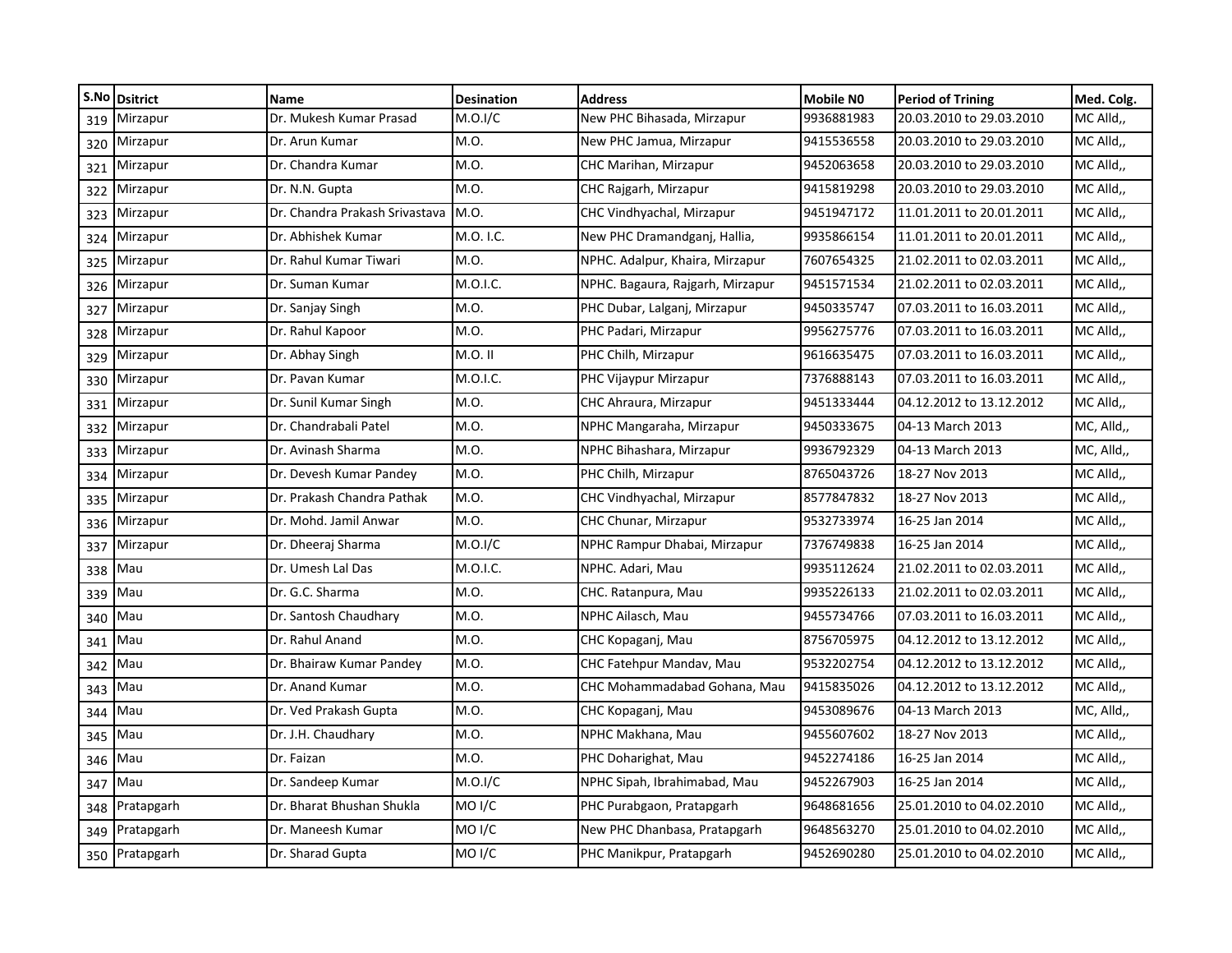| S.No | <b>Dsitrict</b> | <b>Name</b>                    | <b>Desination</b>  | <b>Address</b>                   | <b>Mobile NO</b> | <b>Period of Trining</b> | Med. Colg. |
|------|-----------------|--------------------------------|--------------------|----------------------------------|------------------|--------------------------|------------|
| 319  | Mirzapur        | Dr. Mukesh Kumar Prasad        | M.O.I/C            | New PHC Bihasada, Mirzapur       | 9936881983       | 20.03.2010 to 29.03.2010 | MC Alld,   |
| 320  | Mirzapur        | Dr. Arun Kumar                 | M.O.               | New PHC Jamua, Mirzapur          | 9415536558       | 20.03.2010 to 29.03.2010 | MC Alld,,  |
| 321  | Mirzapur        | Dr. Chandra Kumar              | M.O.               | CHC Marihan, Mirzapur            | 9452063658       | 20.03.2010 to 29.03.2010 | MC Alld,,  |
| 322  | Mirzapur        | Dr. N.N. Gupta                 | M.O.               | CHC Rajgarh, Mirzapur            | 9415819298       | 20.03.2010 to 29.03.2010 | MC Alld,,  |
| 323  | Mirzapur        | Dr. Chandra Prakash Srivastava | M.O.               | CHC Vindhyachal, Mirzapur        | 9451947172       | 11.01.2011 to 20.01.2011 | MC Alld,,  |
| 324  | Mirzapur        | Dr. Abhishek Kumar             | M.O. I.C.          | New PHC Dramandganj, Hallia,     | 9935866154       | 11.01.2011 to 20.01.2011 | MC Alld,,  |
| 325  | Mirzapur        | Dr. Rahul Kumar Tiwari         | M.O.               | NPHC. Adalpur, Khaira, Mirzapur  | 7607654325       | 21.02.2011 to 02.03.2011 | MC Alld,,  |
| 326  | Mirzapur        | Dr. Suman Kumar                | M.O.I.C.           | NPHC. Bagaura, Rajgarh, Mirzapur | 9451571534       | 21.02.2011 to 02.03.2011 | MC Alld,,  |
| 327  | Mirzapur        | Dr. Sanjay Singh               | M.O.               | PHC Dubar, Lalganj, Mirzapur     | 9450335747       | 07.03.2011 to 16.03.2011 | MC Alld,,  |
| 328  | Mirzapur        | Dr. Rahul Kapoor               | M.O.               | PHC Padari, Mirzapur             | 9956275776       | 07.03.2011 to 16.03.2011 | MC Alld,,  |
| 329  | Mirzapur        | Dr. Abhay Singh                | M.O. II            | PHC Chilh, Mirzapur              | 9616635475       | 07.03.2011 to 16.03.2011 | MC Alld,,  |
| 330  | Mirzapur        | Dr. Pavan Kumar                | M.O.I.C.           | PHC Vijaypur Mirzapur            | 7376888143       | 07.03.2011 to 16.03.2011 | MC Alld,   |
| 331  | Mirzapur        | Dr. Sunil Kumar Singh          | M.O.               | CHC Ahraura, Mirzapur            | 9451333444       | 04.12.2012 to 13.12.2012 | MC Alld,   |
| 332  | Mirzapur        | Dr. Chandrabali Patel          | M.O.               | NPHC Mangaraha, Mirzapur         | 9450333675       | 04-13 March 2013         | MC, Alld,, |
| 333  | Mirzapur        | Dr. Avinash Sharma             | M.O.               | NPHC Bihashara, Mirzapur         | 9936792329       | 04-13 March 2013         | MC, Alld,, |
| 334  | Mirzapur        | Dr. Devesh Kumar Pandey        | M.O.               | PHC Chilh, Mirzapur              | 8765043726       | 18-27 Nov 2013           | MC Alld,   |
| 335  | Mirzapur        | Dr. Prakash Chandra Pathak     | M.O.               | CHC Vindhyachal, Mirzapur        | 8577847832       | 18-27 Nov 2013           | MC Alld,,  |
| 336  | Mirzapur        | Dr. Mohd. Jamil Anwar          | M.O.               | CHC Chunar, Mirzapur             | 9532733974       | 16-25 Jan 2014           | MC Alld,   |
| 337  | Mirzapur        | Dr. Dheeraj Sharma             | M.O.I/C            | NPHC Rampur Dhabai, Mirzapur     | 7376749838       | 16-25 Jan 2014           | MC Alld,,  |
| 338  | Mau             | Dr. Umesh Lal Das              | M.O.I.C.           | NPHC. Adari, Mau                 | 9935112624       | 21.02.2011 to 02.03.2011 | MC Alld,   |
| 339  | Mau             | Dr. G.C. Sharma                | M.O.               | CHC. Ratanpura, Mau              | 9935226133       | 21.02.2011 to 02.03.2011 | MC Alld,,  |
| 340  | Mau             | Dr. Santosh Chaudhary          | M.O.               | NPHC Ailasch, Mau                | 9455734766       | 07.03.2011 to 16.03.2011 | MC Alld,   |
| 341  | Mau             | Dr. Rahul Anand                | M.O.               | CHC Kopaganj, Mau                | 8756705975       | 04.12.2012 to 13.12.2012 | MC Alld,,  |
| 342  | Mau             | Dr. Bhairaw Kumar Pandey       | M.O.               | CHC Fatehpur Mandav, Mau         | 9532202754       | 04.12.2012 to 13.12.2012 | MC Alld,   |
| 343  | Mau             | Dr. Anand Kumar                | M.O.               | CHC Mohammadabad Gohana, Mau     | 9415835026       | 04.12.2012 to 13.12.2012 | MC Alld,   |
| 344  | Mau             | Dr. Ved Prakash Gupta          | M.O.               | CHC Kopaganj, Mau                | 9453089676       | 04-13 March 2013         | MC, Alld,, |
| 345  | Mau             | Dr. J.H. Chaudhary             | M.O.               | NPHC Makhana, Mau                | 9455607602       | 18-27 Nov 2013           | MC Alld,,  |
| 346  | Mau             | Dr. Faizan                     | M.O.               | PHC Doharighat, Mau              | 9452274186       | 16-25 Jan 2014           | MC Alld,,  |
| 347  | Mau             | Dr. Sandeep Kumar              | M.O.I/C            | NPHC Sipah, Ibrahimabad, Mau     | 9452267903       | 16-25 Jan 2014           | MC Alld,,  |
| 348  | Pratapgarh      | Dr. Bharat Bhushan Shukla      | MO <sub>I</sub> /C | PHC Purabgaon, Pratapgarh        | 9648681656       | 25.01.2010 to 04.02.2010 | MC Alld,,  |
| 349  | Pratapgarh      | Dr. Maneesh Kumar              | MO <sub>I</sub> /C | New PHC Dhanbasa, Pratapgarh     | 9648563270       | 25.01.2010 to 04.02.2010 | MC Alld,   |
|      | 350 Pratapgarh  | Dr. Sharad Gupta               | MO I/C             | PHC Manikpur, Pratapgarh         | 9452690280       | 25.01.2010 to 04.02.2010 | MC Alld,,  |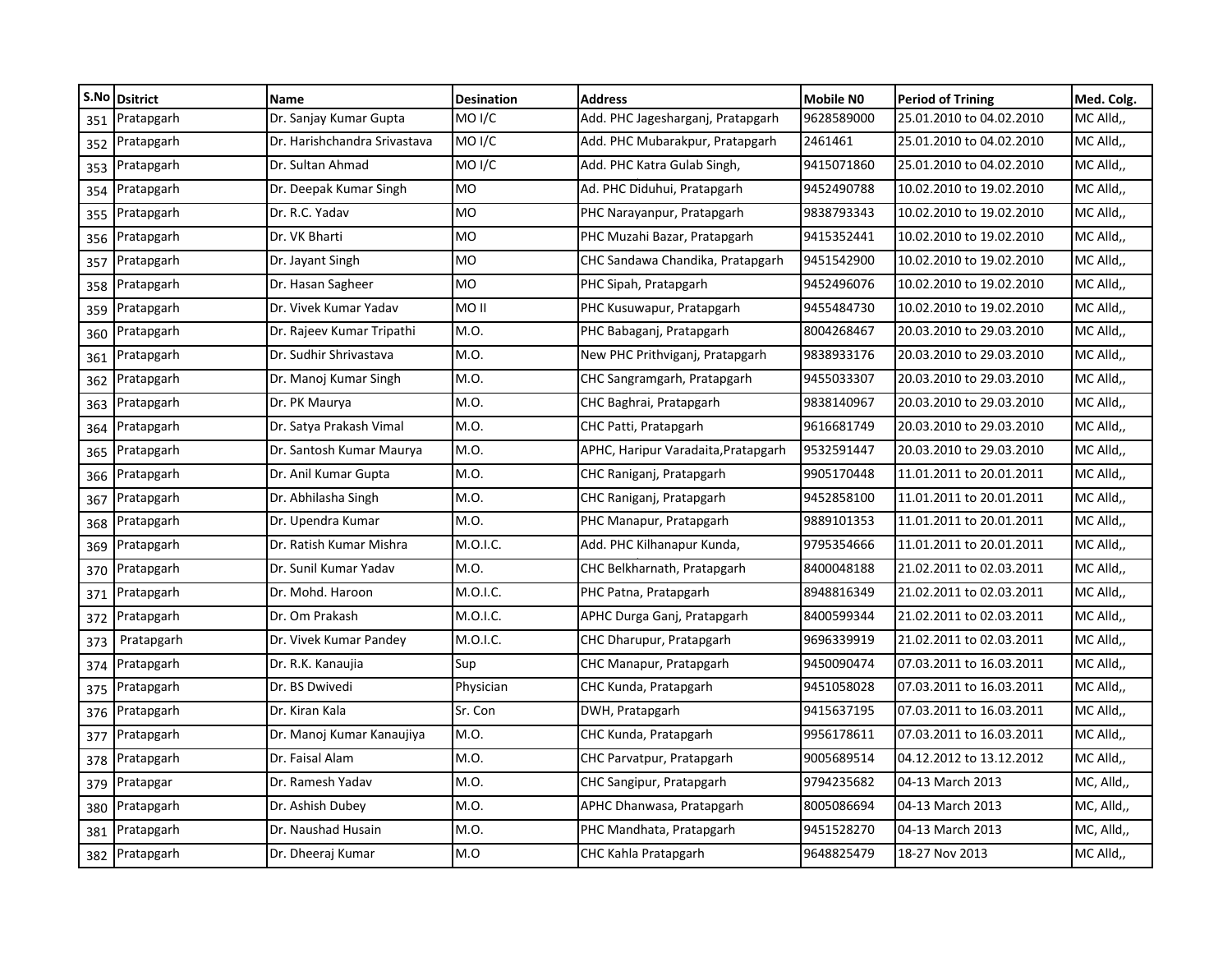|     | S.No Dsitrict | Name                         | <b>Desination</b>  | <b>Address</b>                      | <b>Mobile NO</b> | <b>Period of Trining</b> | Med. Colg. |
|-----|---------------|------------------------------|--------------------|-------------------------------------|------------------|--------------------------|------------|
| 351 | Pratapgarh    | Dr. Sanjay Kumar Gupta       | MO I/C             | Add. PHC Jagesharganj, Pratapgarh   | 9628589000       | 25.01.2010 to 04.02.2010 | MC Alld,   |
| 352 | Pratapgarh    | Dr. Harishchandra Srivastava | MO <sub>I</sub> /C | Add. PHC Mubarakpur, Pratapgarh     | 2461461          | 25.01.2010 to 04.02.2010 | MC Alld,,  |
| 353 | Pratapgarh    | Dr. Sultan Ahmad             | MO <sub>I</sub> /C | Add. PHC Katra Gulab Singh,         | 9415071860       | 25.01.2010 to 04.02.2010 | MC Alld,   |
| 354 | Pratapgarh    | Dr. Deepak Kumar Singh       | MO.                | Ad. PHC Diduhui, Pratapgarh         | 9452490788       | 10.02.2010 to 19.02.2010 | MC Alld,,  |
| 355 | Pratapgarh    | Dr. R.C. Yadav               | MO.                | PHC Narayanpur, Pratapgarh          | 9838793343       | 10.02.2010 to 19.02.2010 | MC Alld,   |
| 356 | Pratapgarh    | Dr. VK Bharti                | <b>MO</b>          | PHC Muzahi Bazar, Pratapgarh        | 9415352441       | 10.02.2010 to 19.02.2010 | MC Alld,,  |
| 357 | Pratapgarh    | Dr. Jayant Singh             | <b>MO</b>          | CHC Sandawa Chandika, Pratapgarh    | 9451542900       | 10.02.2010 to 19.02.2010 | MC Alld,,  |
| 358 | Pratapgarh    | Dr. Hasan Sagheer            | <b>MO</b>          | PHC Sipah, Pratapgarh               | 9452496076       | 10.02.2010 to 19.02.2010 | MC Alld,,  |
| 359 | Pratapgarh    | Dr. Vivek Kumar Yadav        | II OM              | PHC Kusuwapur, Pratapgarh           | 9455484730       | 10.02.2010 to 19.02.2010 | MC Alld,,  |
| 360 | Pratapgarh    | Dr. Rajeev Kumar Tripathi    | M.O.               | PHC Babaganj, Pratapgarh            | 8004268467       | 20.03.2010 to 29.03.2010 | MC Alld,   |
| 361 | Pratapgarh    | Dr. Sudhir Shrivastava       | M.O.               | New PHC Prithviganj, Pratapgarh     | 9838933176       | 20.03.2010 to 29.03.2010 | MC Alld,   |
| 362 | Pratapgarh    | Dr. Manoj Kumar Singh        | M.O.               | CHC Sangramgarh, Pratapgarh         | 9455033307       | 20.03.2010 to 29.03.2010 | MC Alld,   |
| 363 | Pratapgarh    | Dr. PK Maurya                | M.O.               | CHC Baghrai, Pratapgarh             | 9838140967       | 20.03.2010 to 29.03.2010 | MC Alld,   |
| 364 | Pratapgarh    | Dr. Satya Prakash Vimal      | M.O.               | CHC Patti, Pratapgarh               | 9616681749       | 20.03.2010 to 29.03.2010 | MC Alld,   |
| 365 | Pratapgarh    | Dr. Santosh Kumar Maurya     | M.O.               | APHC, Haripur Varadaita, Pratapgarh | 9532591447       | 20.03.2010 to 29.03.2010 | MC Alld,   |
| 366 | Pratapgarh    | Dr. Anil Kumar Gupta         | M.O.               | CHC Raniganj, Pratapgarh            | 9905170448       | 11.01.2011 to 20.01.2011 | MC Alld,   |
| 367 | Pratapgarh    | Dr. Abhilasha Singh          | M.O.               | CHC Raniganj, Pratapgarh            | 9452858100       | 11.01.2011 to 20.01.2011 | MC Alld,,  |
| 368 | Pratapgarh    | Dr. Upendra Kumar            | M.O.               | PHC Manapur, Pratapgarh             | 9889101353       | 11.01.2011 to 20.01.2011 | MC Alld,   |
| 369 | Pratapgarh    | Dr. Ratish Kumar Mishra      | M.O.I.C.           | Add. PHC Kilhanapur Kunda,          | 9795354666       | 11.01.2011 to 20.01.2011 | MC Alld,,  |
| 370 | Pratapgarh    | Dr. Sunil Kumar Yadav        | M.O.               | CHC Belkharnath, Pratapgarh         | 8400048188       | 21.02.2011 to 02.03.2011 | MC Alld,   |
| 371 | Pratapgarh    | Dr. Mohd. Haroon             | M.O.I.C.           | PHC Patna, Pratapgarh               | 8948816349       | 21.02.2011 to 02.03.2011 | MC Alld,,  |
| 372 | Pratapgarh    | Dr. Om Prakash               | M.O.I.C.           | APHC Durga Ganj, Pratapgarh         | 8400599344       | 21.02.2011 to 02.03.2011 | MC Alld,   |
| 373 | Pratapgarh    | Dr. Vivek Kumar Pandey       | M.O.I.C.           | CHC Dharupur, Pratapgarh            | 9696339919       | 21.02.2011 to 02.03.2011 | MC Alld,,  |
| 374 | Pratapgarh    | Dr. R.K. Kanaujia            | Sup                | CHC Manapur, Pratapgarh             | 9450090474       | 07.03.2011 to 16.03.2011 | MC Alld,   |
| 375 | Pratapgarh    | Dr. BS Dwivedi               | Physician          | CHC Kunda, Pratapgarh               | 9451058028       | 07.03.2011 to 16.03.2011 | MC Alld,   |
| 376 | Pratapgarh    | Dr. Kiran Kala               | Sr. Con            | DWH, Pratapgarh                     | 9415637195       | 07.03.2011 to 16.03.2011 | MC Alld,,  |
| 377 | Pratapgarh    | Dr. Manoj Kumar Kanaujiya    | M.O.               | CHC Kunda, Pratapgarh               | 9956178611       | 07.03.2011 to 16.03.2011 | MC Alld,   |
| 378 | Pratapgarh    | Dr. Faisal Alam              | M.O.               | CHC Parvatpur, Pratapgarh           | 9005689514       | 04.12.2012 to 13.12.2012 | MC Alld,   |
| 379 | Pratapgar     | Dr. Ramesh Yadav             | M.O.               | CHC Sangipur, Pratapgarh            | 9794235682       | 04-13 March 2013         | MC, Alld,, |
| 380 | Pratapgarh    | Dr. Ashish Dubey             | M.O.               | APHC Dhanwasa, Pratapgarh           | 8005086694       | 04-13 March 2013         | MC, Alld,, |
| 381 | Pratapgarh    | Dr. Naushad Husain           | M.O.               | PHC Mandhata, Pratapgarh            | 9451528270       | 04-13 March 2013         | MC, Alld,, |
| 382 | Pratapgarh    | Dr. Dheeraj Kumar            | M.O                | CHC Kahla Pratapgarh                | 9648825479       | 18-27 Nov 2013           | MC Alld,,  |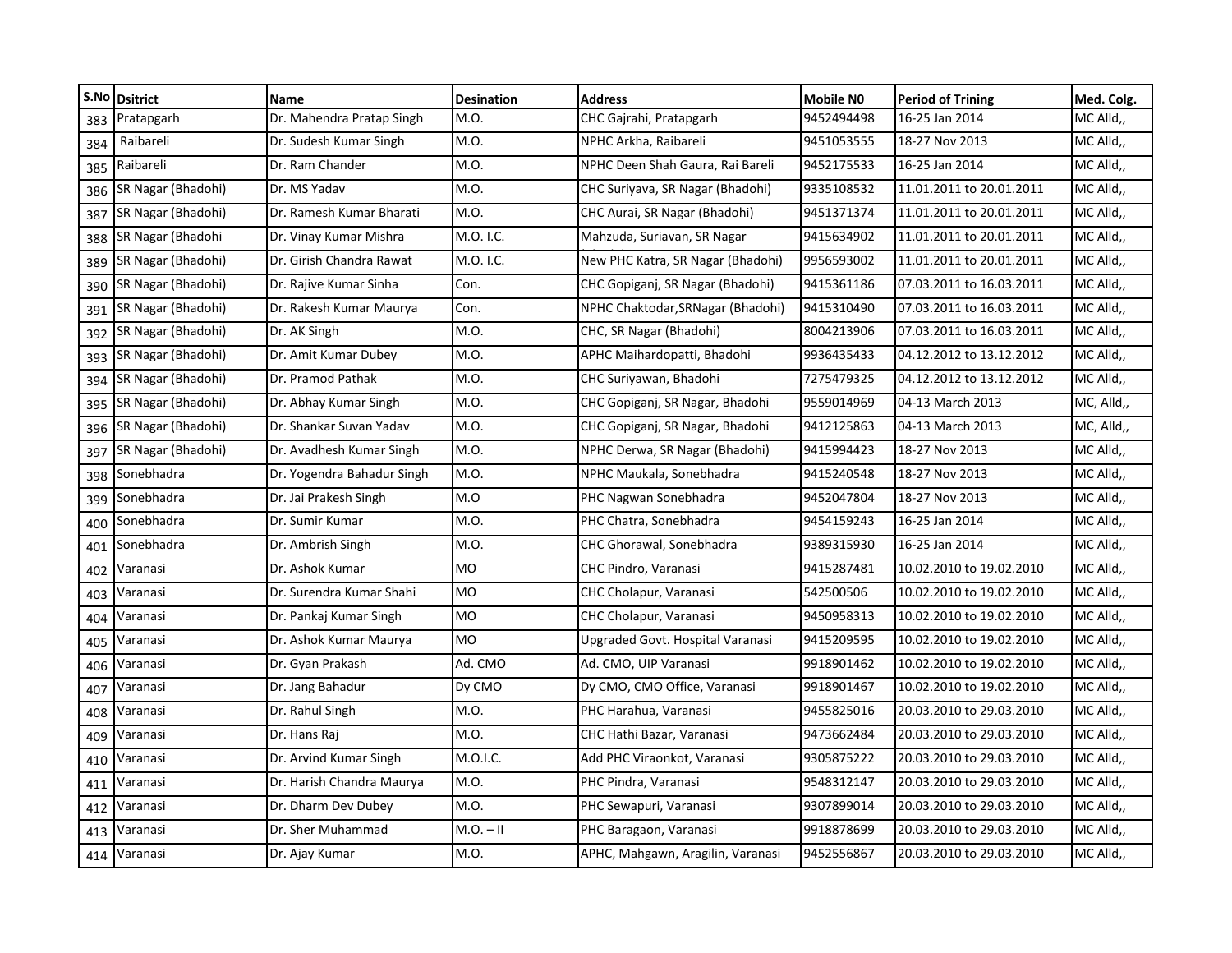| S.No | <b>Dsitrict</b>    | <b>Name</b>                | <b>Desination</b> | <b>Address</b>                    | <b>Mobile NO</b> | <b>Period of Trining</b> | Med. Colg. |
|------|--------------------|----------------------------|-------------------|-----------------------------------|------------------|--------------------------|------------|
| 383  | Pratapgarh         | Dr. Mahendra Pratap Singh  | M.O.              | CHC Gajrahi, Pratapgarh           | 9452494498       | 16-25 Jan 2014           | MC Alld,   |
| 384  | Raibareli          | Dr. Sudesh Kumar Singh     | M.O.              | NPHC Arkha, Raibareli             | 9451053555       | 18-27 Nov 2013           | MC Alld,,  |
| 385  | Raibareli          | Dr. Ram Chander            | M.O.              | NPHC Deen Shah Gaura, Rai Bareli  | 9452175533       | 16-25 Jan 2014           | MC Alld,,  |
| 386  | SR Nagar (Bhadohi) | Dr. MS Yadav               | M.O.              | CHC Suriyava, SR Nagar (Bhadohi)  | 9335108532       | 11.01.2011 to 20.01.2011 | MC Alld,,  |
| 387  | SR Nagar (Bhadohi) | Dr. Ramesh Kumar Bharati   | M.O.              | CHC Aurai, SR Nagar (Bhadohi)     | 9451371374       | 11.01.2011 to 20.01.2011 | MC Alld,   |
| 388  | SR Nagar (Bhadohi  | Dr. Vinay Kumar Mishra     | M.O. I.C.         | Mahzuda, Suriavan, SR Nagar       | 9415634902       | 11.01.2011 to 20.01.2011 | MC Alld,,  |
| 389  | SR Nagar (Bhadohi) | Dr. Girish Chandra Rawat   | M.O. I.C.         | New PHC Katra, SR Nagar (Bhadohi) | 9956593002       | 11.01.2011 to 20.01.2011 | MC Alld,,  |
| 390  | SR Nagar (Bhadohi) | Dr. Rajive Kumar Sinha     | Con.              | CHC Gopiganj, SR Nagar (Bhadohi)  | 9415361186       | 07.03.2011 to 16.03.2011 | MC Alld,,  |
| 391  | SR Nagar (Bhadohi) | Dr. Rakesh Kumar Maurya    | Con.              | NPHC Chaktodar, SRNagar (Bhadohi) | 9415310490       | 07.03.2011 to 16.03.2011 | MC Alld,,  |
| 392  | SR Nagar (Bhadohi) | Dr. AK Singh               | M.O.              | CHC, SR Nagar (Bhadohi)           | 8004213906       | 07.03.2011 to 16.03.2011 | MC Alld,   |
| 393  | SR Nagar (Bhadohi) | Dr. Amit Kumar Dubey       | M.O.              | APHC Maihardopatti, Bhadohi       | 9936435433       | 04.12.2012 to 13.12.2012 | MC Alld,,  |
| 394  | SR Nagar (Bhadohi) | Dr. Pramod Pathak          | M.O.              | CHC Suriyawan, Bhadohi            | 7275479325       | 04.12.2012 to 13.12.2012 | MC Alld,   |
| 395  | SR Nagar (Bhadohi) | Dr. Abhay Kumar Singh      | M.O.              | CHC Gopiganj, SR Nagar, Bhadohi   | 9559014969       | 04-13 March 2013         | MC, Alld,, |
| 396  | SR Nagar (Bhadohi) | Dr. Shankar Suvan Yadav    | M.O.              | CHC Gopiganj, SR Nagar, Bhadohi   | 9412125863       | 04-13 March 2013         | MC, Alld,, |
| 397  | SR Nagar (Bhadohi) | Dr. Avadhesh Kumar Singh   | M.O.              | NPHC Derwa, SR Nagar (Bhadohi)    | 9415994423       | 18-27 Nov 2013           | MC Alld,,  |
| 398  | Sonebhadra         | Dr. Yogendra Bahadur Singh | M.O.              | NPHC Maukala, Sonebhadra          | 9415240548       | 18-27 Nov 2013           | MC Alld,   |
| 399  | Sonebhadra         | Dr. Jai Prakesh Singh      | M.O               | PHC Nagwan Sonebhadra             | 9452047804       | 18-27 Nov 2013           | MC Alld,,  |
| 400  | Sonebhadra         | Dr. Sumir Kumar            | M.O.              | PHC Chatra, Sonebhadra            | 9454159243       | 16-25 Jan 2014           | MC Alld,   |
| 401  | Sonebhadra         | Dr. Ambrish Singh          | M.O.              | CHC Ghorawal, Sonebhadra          | 9389315930       | 16-25 Jan 2014           | MC Alld,,  |
| 402  | Varanasi           | Dr. Ashok Kumar            | MO                | CHC Pindro, Varanasi              | 9415287481       | 10.02.2010 to 19.02.2010 | MC Alld,   |
| 403  | Varanasi           | Dr. Surendra Kumar Shahi   | <b>MO</b>         | CHC Cholapur, Varanasi            | 542500506        | 10.02.2010 to 19.02.2010 | MC Alld,,  |
| 404  | Varanasi           | Dr. Pankaj Kumar Singh     | <b>MO</b>         | CHC Cholapur, Varanasi            | 9450958313       | 10.02.2010 to 19.02.2010 | MC Alld,   |
| 405  | Varanasi           | Dr. Ashok Kumar Maurya     | <b>MO</b>         | Upgraded Govt. Hospital Varanasi  | 9415209595       | 10.02.2010 to 19.02.2010 | MC Alld,,  |
| 406  | Varanasi           | Dr. Gyan Prakash           | Ad. CMO           | Ad. CMO, UIP Varanasi             | 9918901462       | 10.02.2010 to 19.02.2010 | MC Alld,   |
| 407  | Varanasi           | Dr. Jang Bahadur           | Dy CMO            | Dy CMO, CMO Office, Varanasi      | 9918901467       | 10.02.2010 to 19.02.2010 | MC Alld,   |
| 408  | Varanasi           | Dr. Rahul Singh            | M.O.              | PHC Harahua, Varanasi             | 9455825016       | 20.03.2010 to 29.03.2010 | MC Alld,,  |
| 409  | Varanasi           | Dr. Hans Raj               | M.O.              | CHC Hathi Bazar, Varanasi         | 9473662484       | 20.03.2010 to 29.03.2010 | MC Alld,   |
| 410  | Varanasi           | Dr. Arvind Kumar Singh     | M.O.I.C.          | Add PHC Viraonkot, Varanasi       | 9305875222       | 20.03.2010 to 29.03.2010 | MC Alld,   |
| 411  | Varanasi           | Dr. Harish Chandra Maurya  | M.O.              | PHC Pindra, Varanasi              | 9548312147       | 20.03.2010 to 29.03.2010 | MC Alld,,  |
| 412  | Varanasi           | Dr. Dharm Dev Dubey        | M.O.              | PHC Sewapuri, Varanasi            | 9307899014       | 20.03.2010 to 29.03.2010 | MC Alld,,  |
| 413  | Varanasi           | Dr. Sher Muhammad          | $M.O. - II$       | PHC Baragaon, Varanasi            | 9918878699       | 20.03.2010 to 29.03.2010 | MC Alld,   |
| 414  | Varanasi           | Dr. Ajay Kumar             | M.O.              | APHC, Mahgawn, Aragilin, Varanasi | 9452556867       | 20.03.2010 to 29.03.2010 | MC Alld,,  |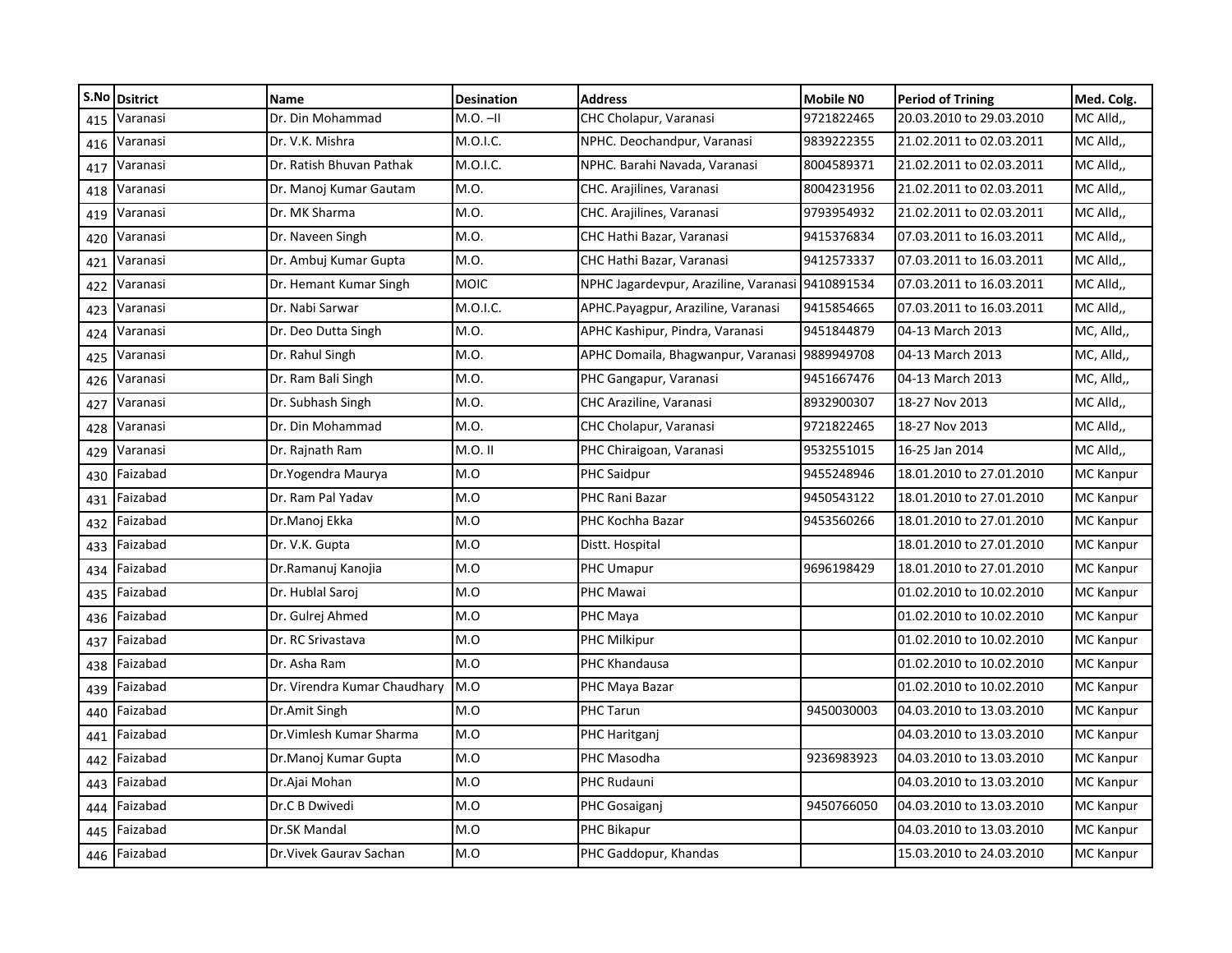|     | S.No Dsitrict | <b>Name</b>                  | <b>Desination</b> | <b>Address</b>                                   | Mobile NO  | <b>Period of Trining</b> | Med. Colg.       |
|-----|---------------|------------------------------|-------------------|--------------------------------------------------|------------|--------------------------|------------------|
| 415 | Varanasi      | Dr. Din Mohammad             | $M.O.$ -II        | CHC Cholapur, Varanasi                           | 9721822465 | 20.03.2010 to 29.03.2010 | MC Alld,         |
| 416 | Varanasi      | Dr. V.K. Mishra              | M.O.I.C.          | NPHC. Deochandpur, Varanasi                      | 9839222355 | 21.02.2011 to 02.03.2011 | MC Alld,,        |
| 417 | Varanasi      | Dr. Ratish Bhuvan Pathak     | M.O.I.C.          | NPHC. Barahi Navada, Varanasi                    | 8004589371 | 21.02.2011 to 02.03.2011 | MC Alld,,        |
| 418 | Varanasi      | Dr. Manoj Kumar Gautam       | M.O.              | CHC. Arajilines, Varanasi                        | 8004231956 | 21.02.2011 to 02.03.2011 | MC Alld,         |
| 419 | Varanasi      | Dr. MK Sharma                | M.O.              | CHC. Arajilines, Varanasi                        | 9793954932 | 21.02.2011 to 02.03.2011 | MC Alld,,        |
| 420 | Varanasi      | Dr. Naveen Singh             | M.O.              | CHC Hathi Bazar, Varanasi                        | 9415376834 | 07.03.2011 to 16.03.2011 | MC Alld,,        |
| 421 | Varanasi      | Dr. Ambuj Kumar Gupta        | M.O.              | CHC Hathi Bazar, Varanasi                        | 9412573337 | 07.03.2011 to 16.03.2011 | MC Alld,,        |
| 422 | Varanasi      | Dr. Hemant Kumar Singh       | <b>MOIC</b>       | NPHC Jagardevpur, Araziline, Varanasi 9410891534 |            | 07.03.2011 to 16.03.2011 | MC Alld,         |
| 423 | Varanasi      | Dr. Nabi Sarwar              | M.O.I.C.          | APHC.Payagpur, Araziline, Varanasi               | 9415854665 | 07.03.2011 to 16.03.2011 | MC Alld,,        |
| 424 | Varanasi      | Dr. Deo Dutta Singh          | M.O.              | APHC Kashipur, Pindra, Varanasi                  | 9451844879 | 04-13 March 2013         | MC, Alld,,       |
| 425 | Varanasi      | Dr. Rahul Singh              | M.O.              | APHC Domaila, Bhagwanpur, Varanasi 9889949708    |            | 04-13 March 2013         | MC, Alld,,       |
| 426 | Varanasi      | Dr. Ram Bali Singh           | M.O.              | PHC Gangapur, Varanasi                           | 9451667476 | 04-13 March 2013         | MC, Alld,,       |
| 427 | Varanasi      | Dr. Subhash Singh            | M.O.              | CHC Araziline, Varanasi                          | 8932900307 | 18-27 Nov 2013           | MC Alld,,        |
| 428 | Varanasi      | Dr. Din Mohammad             | M.O.              | CHC Cholapur, Varanasi                           | 9721822465 | 18-27 Nov 2013           | MC Alld,         |
| 429 | Varanasi      | Dr. Rajnath Ram              | M.O. II           | PHC Chiraigoan, Varanasi                         | 9532551015 | 16-25 Jan 2014           | MC Alld,         |
| 430 | Faizabad      | Dr.Yogendra Maurya           | M.O               | <b>PHC Saidpur</b>                               | 9455248946 | 18.01.2010 to 27.01.2010 | <b>MC</b> Kanpur |
| 431 | Faizabad      | Dr. Ram Pal Yadav            | M.O               | PHC Rani Bazar                                   | 9450543122 | 18.01.2010 to 27.01.2010 | <b>MC</b> Kanpur |
| 432 | Faizabad      | Dr.Manoj Ekka                | M.O               | PHC Kochha Bazar                                 | 9453560266 | 18.01.2010 to 27.01.2010 | <b>MC</b> Kanpur |
| 433 | Faizabad      | Dr. V.K. Gupta               | M.O               | Distt. Hospital                                  |            | 18.01.2010 to 27.01.2010 | <b>MC</b> Kanpur |
| 434 | Faizabad      | Dr.Ramanuj Kanojia           | M.O               | PHC Umapur                                       | 9696198429 | 18.01.2010 to 27.01.2010 | <b>MC</b> Kanpur |
| 435 | Faizabad      | Dr. Hublal Saroj             | M.O               | PHC Mawai                                        |            | 01.02.2010 to 10.02.2010 | <b>MC Kanpur</b> |
| 436 | Faizabad      | Dr. Gulrej Ahmed             | M.O               | PHC Maya                                         |            | 01.02.2010 to 10.02.2010 | <b>MC</b> Kanpur |
| 437 | Faizabad      | Dr. RC Srivastava            | M.O               | <b>PHC Milkipur</b>                              |            | 01.02.2010 to 10.02.2010 | <b>MC</b> Kanpur |
| 438 | Faizabad      | Dr. Asha Ram                 | M.O               | PHC Khandausa                                    |            | 01.02.2010 to 10.02.2010 | <b>MC</b> Kanpur |
| 439 | Faizabad      | Dr. Virendra Kumar Chaudhary | M.O               | PHC Maya Bazar                                   |            | 01.02.2010 to 10.02.2010 | <b>MC</b> Kanpur |
| 440 | Faizabad      | Dr.Amit Singh                | M.O               | PHC Tarun                                        | 9450030003 | 04.03.2010 to 13.03.2010 | <b>MC Kanpur</b> |
| 441 | Faizabad      | Dr. Vimlesh Kumar Sharma     | M.O               | PHC Haritganj                                    |            | 04.03.2010 to 13.03.2010 | <b>MC</b> Kanpur |
| 442 | Faizabad      | Dr.Manoj Kumar Gupta         | M.O               | PHC Masodha                                      | 9236983923 | 04.03.2010 to 13.03.2010 | <b>MC Kanpur</b> |
| 443 | Faizabad      | Dr.Ajai Mohan                | M.O               | PHC Rudauni                                      |            | 04.03.2010 to 13.03.2010 | <b>MC</b> Kanpur |
| 444 | Faizabad      | Dr.C B Dwivedi               | M.O               | PHC Gosaiganj                                    | 9450766050 | 04.03.2010 to 13.03.2010 | <b>MC Kanpur</b> |
| 445 | Faizabad      | Dr.SK Mandal                 | M.O               | PHC Bikapur                                      |            | 04.03.2010 to 13.03.2010 | <b>MC Kanpur</b> |
| 446 | Faizabad      | Dr. Vivek Gaurav Sachan      | M.O               | PHC Gaddopur, Khandas                            |            | 15.03.2010 to 24.03.2010 | <b>MC Kanpur</b> |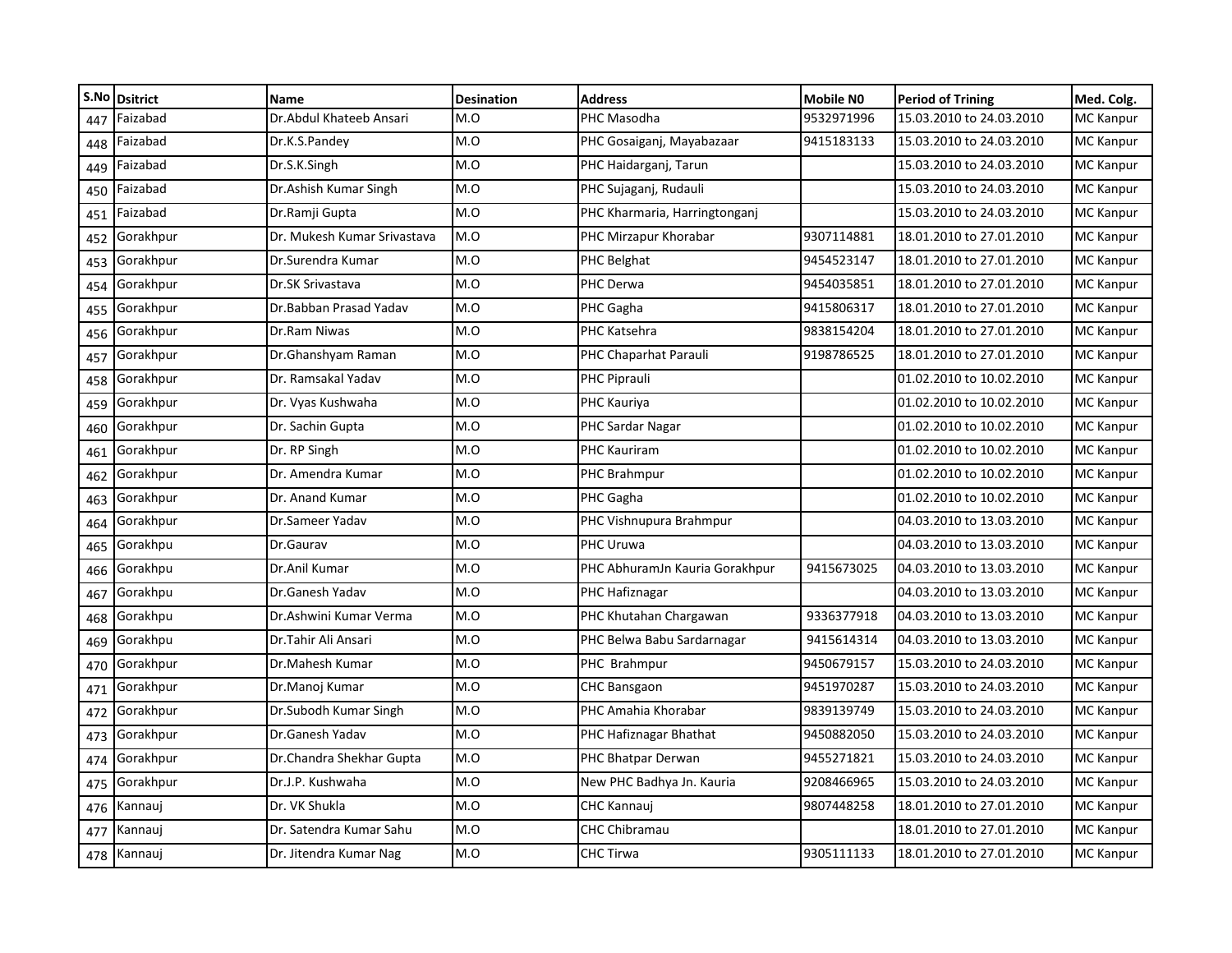| S.No | <b>Dsitrict</b> | <b>Name</b>                 | <b>Desination</b> | <b>Address</b>                 | <b>Mobile NO</b> | <b>Period of Trining</b> | Med. Colg.       |
|------|-----------------|-----------------------------|-------------------|--------------------------------|------------------|--------------------------|------------------|
| 447  | Faizabad        | Dr.Abdul Khateeb Ansari     | M.O               | PHC Masodha                    | 9532971996       | 15.03.2010 to 24.03.2010 | <b>MC</b> Kanpur |
| 448  | Faizabad        | Dr.K.S.Pandey               | M.O               | PHC Gosaiganj, Mayabazaar      | 9415183133       | 15.03.2010 to 24.03.2010 | <b>MC Kanpur</b> |
| 449  | Faizabad        | Dr.S.K.Singh                | M.O               | PHC Haidarganj, Tarun          |                  | 15.03.2010 to 24.03.2010 | <b>MC</b> Kanpur |
| 450  | Faizabad        | Dr.Ashish Kumar Singh       | M.O               | PHC Sujaganj, Rudauli          |                  | 15.03.2010 to 24.03.2010 | <b>MC Kanpur</b> |
| 451  | Faizabad        | Dr.Ramji Gupta              | M.O               | PHC Kharmaria, Harringtonganj  |                  | 15.03.2010 to 24.03.2010 | <b>MC Kanpur</b> |
| 452  | Gorakhpur       | Dr. Mukesh Kumar Srivastava | M.O               | PHC Mirzapur Khorabar          | 9307114881       | 18.01.2010 to 27.01.2010 | MC Kanpur        |
| 453  | Gorakhpur       | Dr.Surendra Kumar           | M.O               | PHC Belghat                    | 9454523147       | 18.01.2010 to 27.01.2010 | <b>MC Kanpur</b> |
| 454  | Gorakhpur       | Dr.SK Srivastava            | M.O               | PHC Derwa                      | 9454035851       | 18.01.2010 to 27.01.2010 | <b>MC Kanpur</b> |
| 455  | Gorakhpur       | Dr.Babban Prasad Yadav      | M.O               | PHC Gagha                      | 9415806317       | 18.01.2010 to 27.01.2010 | <b>MC Kanpur</b> |
| 456  | Gorakhpur       | Dr.Ram Niwas                | M.O               | PHC Katsehra                   | 9838154204       | 18.01.2010 to 27.01.2010 | <b>MC Kanpur</b> |
| 457  | Gorakhpur       | Dr.Ghanshyam Raman          | M.O               | PHC Chaparhat Parauli          | 9198786525       | 18.01.2010 to 27.01.2010 | <b>MC Kanpur</b> |
| 458  | Gorakhpur       | Dr. Ramsakal Yadav          | M.O               | PHC Piprauli                   |                  | 01.02.2010 to 10.02.2010 | <b>MC Kanpur</b> |
| 459  | Gorakhpur       | Dr. Vyas Kushwaha           | M.O               | PHC Kauriya                    |                  | 01.02.2010 to 10.02.2010 | <b>MC Kanpur</b> |
| 460  | Gorakhpur       | Dr. Sachin Gupta            | M.O               | PHC Sardar Nagar               |                  | 01.02.2010 to 10.02.2010 | <b>MC</b> Kanpur |
| 461  | Gorakhpur       | Dr. RP Singh                | M.O               | PHC Kauriram                   |                  | 01.02.2010 to 10.02.2010 | <b>MC</b> Kanpur |
| 462  | Gorakhpur       | Dr. Amendra Kumar           | M.O               | PHC Brahmpur                   |                  | 01.02.2010 to 10.02.2010 | <b>MC Kanpur</b> |
| 463  | Gorakhpur       | Dr. Anand Kumar             | M.O               | PHC Gagha                      |                  | 01.02.2010 to 10.02.2010 | <b>MC Kanpur</b> |
| 464  | Gorakhpur       | Dr.Sameer Yadav             | M.O               | PHC Vishnupura Brahmpur        |                  | 04.03.2010 to 13.03.2010 | <b>MC Kanpur</b> |
| 465  | Gorakhpu        | Dr.Gaurav                   | M.O               | PHC Uruwa                      |                  | 04.03.2010 to 13.03.2010 | <b>MC Kanpur</b> |
| 466  | Gorakhpu        | Dr.Anil Kumar               | M.O               | PHC AbhuramJn Kauria Gorakhpur | 9415673025       | 04.03.2010 to 13.03.2010 | <b>MC Kanpur</b> |
| 467  | Gorakhpu        | Dr.Ganesh Yadav             | M.O               | PHC Hafiznagar                 |                  | 04.03.2010 to 13.03.2010 | <b>MC Kanpur</b> |
| 468  | Gorakhpu        | Dr.Ashwini Kumar Verma      | M.O               | PHC Khutahan Chargawan         | 9336377918       | 04.03.2010 to 13.03.2010 | <b>MC Kanpur</b> |
| 469  | Gorakhpu        | Dr.Tahir Ali Ansari         | M.O               | PHC Belwa Babu Sardarnagar     | 9415614314       | 04.03.2010 to 13.03.2010 | <b>MC Kanpur</b> |
| 470  | Gorakhpur       | Dr.Mahesh Kumar             | M.O               | PHC Brahmpur                   | 9450679157       | 15.03.2010 to 24.03.2010 | <b>MC Kanpur</b> |
| 471  | Gorakhpur       | Dr.Manoj Kumar              | M.O               | <b>CHC Bansgaon</b>            | 9451970287       | 15.03.2010 to 24.03.2010 | <b>MC Kanpur</b> |
| 472  | Gorakhpur       | Dr.Subodh Kumar Singh       | M.O               | PHC Amahia Khorabar            | 9839139749       | 15.03.2010 to 24.03.2010 | <b>MC</b> Kanpur |
| 473  | Gorakhpur       | Dr.Ganesh Yadav             | M.O               | PHC Hafiznagar Bhathat         | 9450882050       | 15.03.2010 to 24.03.2010 | <b>MC Kanpur</b> |
| 474  | Gorakhpur       | Dr.Chandra Shekhar Gupta    | M.O               | PHC Bhatpar Derwan             | 9455271821       | 15.03.2010 to 24.03.2010 | <b>MC Kanpur</b> |
| 475  | Gorakhpur       | Dr.J.P. Kushwaha            | M.O               | New PHC Badhya Jn. Kauria      | 9208466965       | 15.03.2010 to 24.03.2010 | MC Kanpur        |
| 476  | Kannauj         | Dr. VK Shukla               | M.O               | CHC Kannauj                    | 9807448258       | 18.01.2010 to 27.01.2010 | <b>MC Kanpur</b> |
| 477  | Kannauj         | Dr. Satendra Kumar Sahu     | M.O               | <b>CHC Chibramau</b>           |                  | 18.01.2010 to 27.01.2010 | <b>MC Kanpur</b> |
|      | 478 Kannauj     | Dr. Jitendra Kumar Nag      | M.O               | CHC Tirwa                      | 9305111133       | 18.01.2010 to 27.01.2010 | MC Kanpur        |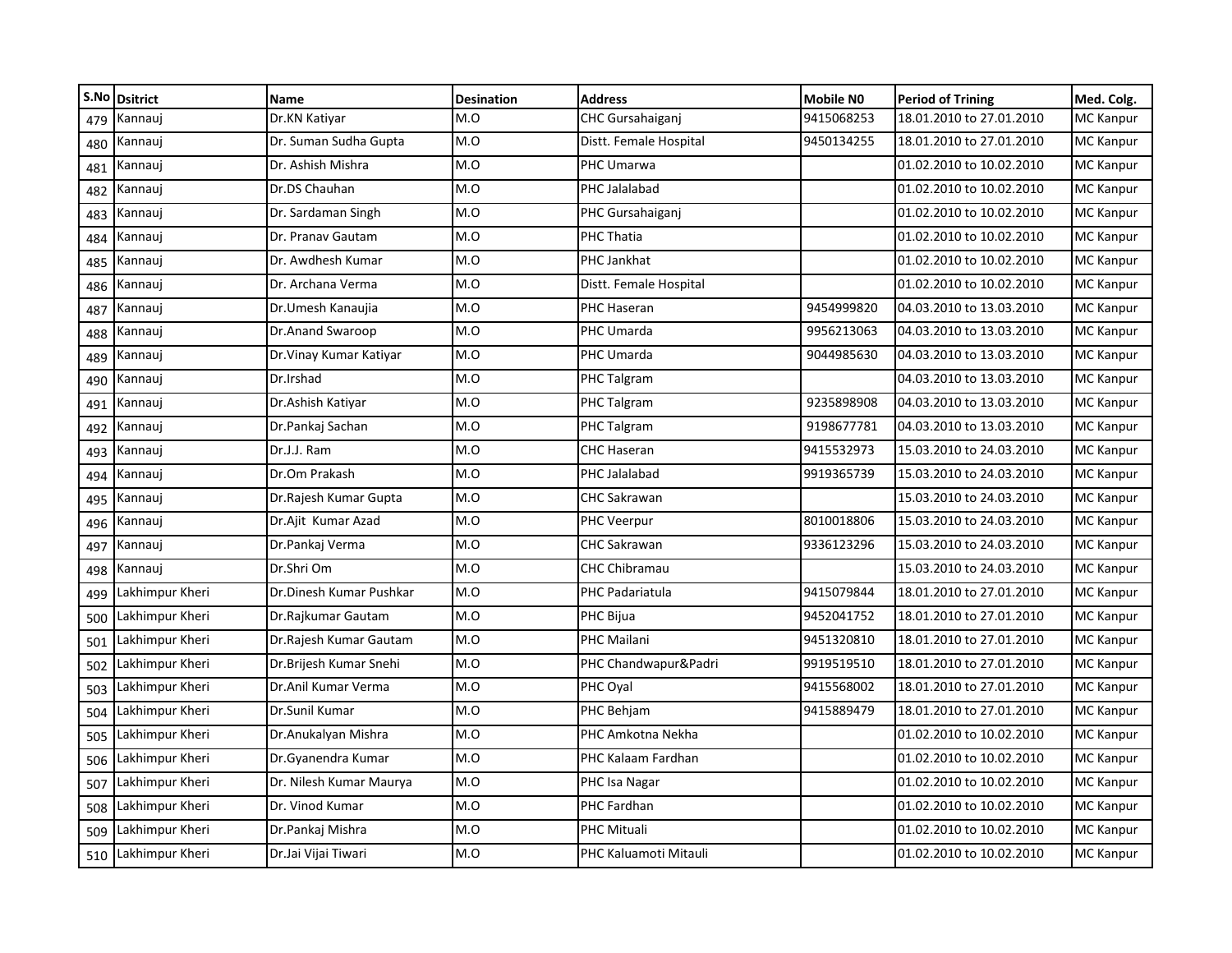| S.No | <b>Dsitrict</b> | Name                    | <b>Desination</b> | <b>Address</b>          | <b>Mobile NO</b> | <b>Period of Trining</b> | Med. Colg.       |
|------|-----------------|-------------------------|-------------------|-------------------------|------------------|--------------------------|------------------|
| 479  | Kannauj         | Dr.KN Katiyar           | M.O               | <b>CHC Gursahaiganj</b> | 9415068253       | 18.01.2010 to 27.01.2010 | MC Kanpur        |
| 480  | Kannauj         | Dr. Suman Sudha Gupta   | M.O               | Distt. Female Hospital  | 9450134255       | 18.01.2010 to 27.01.2010 | <b>MC Kanpur</b> |
| 481  | Kannauj         | Dr. Ashish Mishra       | M.O               | PHC Umarwa              |                  | 01.02.2010 to 10.02.2010 | <b>MC Kanpur</b> |
| 482  | Kannauj         | Dr.DS Chauhan           | M.O               | PHC Jalalabad           |                  | 01.02.2010 to 10.02.2010 | <b>MC Kanpur</b> |
| 483  | Kannauj         | Dr. Sardaman Singh      | M.O               | PHC Gursahaiganj        |                  | 01.02.2010 to 10.02.2010 | <b>MC Kanpur</b> |
| 484  | Kannauj         | Dr. Pranav Gautam       | M.O               | <b>PHC Thatia</b>       |                  | 01.02.2010 to 10.02.2010 | MC Kanpur        |
| 485  | Kannauj         | Dr. Awdhesh Kumar       | M.O               | PHC Jankhat             |                  | 01.02.2010 to 10.02.2010 | <b>MC Kanpur</b> |
| 486  | Kannauj         | Dr. Archana Verma       | M.O               | Distt. Female Hospital  |                  | 01.02.2010 to 10.02.2010 | <b>MC Kanpur</b> |
| 487  | Kannauj         | Dr.Umesh Kanaujia       | M.O               | PHC Haseran             | 9454999820       | 04.03.2010 to 13.03.2010 | <b>MC Kanpur</b> |
| 488  | Kannauj         | Dr.Anand Swaroop        | M.O               | PHC Umarda              | 9956213063       | 04.03.2010 to 13.03.2010 | <b>MC Kanpur</b> |
| 489  | Kannauj         | Dr. Vinay Kumar Katiyar | M.O               | PHC Umarda              | 9044985630       | 04.03.2010 to 13.03.2010 | <b>MC Kanpur</b> |
| 490  | Kannauj         | Dr.Irshad               | M.O               | PHC Talgram             |                  | 04.03.2010 to 13.03.2010 | <b>MC Kanpur</b> |
| 491  | Kannauj         | Dr.Ashish Katiyar       | M.O               | PHC Talgram             | 9235898908       | 04.03.2010 to 13.03.2010 | <b>MC Kanpur</b> |
| 492  | Kannauj         | Dr.Pankaj Sachan        | M.O               | PHC Talgram             | 9198677781       | 04.03.2010 to 13.03.2010 | <b>MC</b> Kanpur |
| 493  | Kannauj         | Dr.J.J. Ram             | M.O               | CHC Haseran             | 9415532973       | 15.03.2010 to 24.03.2010 | <b>MC Kanpur</b> |
| 494  | Kannauj         | Dr.Om Prakash           | M.O               | PHC Jalalabad           | 9919365739       | 15.03.2010 to 24.03.2010 | <b>MC Kanpur</b> |
| 495  | Kannauj         | Dr. Rajesh Kumar Gupta  | M.O               | <b>CHC Sakrawan</b>     |                  | 15.03.2010 to 24.03.2010 | <b>MC Kanpur</b> |
| 496  | Kannauj         | Dr.Ajit Kumar Azad      | M.O               | <b>PHC Veerpur</b>      | 8010018806       | 15.03.2010 to 24.03.2010 | <b>MC Kanpur</b> |
| 497  | Kannauj         | Dr.Pankaj Verma         | M.O               | CHC Sakrawan            | 9336123296       | 15.03.2010 to 24.03.2010 | <b>MC Kanpur</b> |
| 498  | Kannauj         | Dr.Shri Om              | M.O               | <b>CHC Chibramau</b>    |                  | 15.03.2010 to 24.03.2010 | <b>MC Kanpur</b> |
| 499  | Lakhimpur Kheri | Dr.Dinesh Kumar Pushkar | M.O               | PHC Padariatula         | 9415079844       | 18.01.2010 to 27.01.2010 | MC Kanpur        |
| 500  | Lakhimpur Kheri | Dr.Rajkumar Gautam      | M.O               | PHC Bijua               | 9452041752       | 18.01.2010 to 27.01.2010 | <b>MC Kanpur</b> |
| 501  | Lakhimpur Kheri | Dr. Rajesh Kumar Gautam | M.O               | PHC Mailani             | 9451320810       | 18.01.2010 to 27.01.2010 | MC Kanpur        |
| 502  | Lakhimpur Kheri | Dr.Brijesh Kumar Snehi  | M.O               | PHC Chandwapur&Padri    | 9919519510       | 18.01.2010 to 27.01.2010 | MC Kanpur        |
| 503  | Lakhimpur Kheri | Dr.Anil Kumar Verma     | M.O               | PHC Oyal                | 9415568002       | 18.01.2010 to 27.01.2010 | <b>MC Kanpur</b> |
| 504  | Lakhimpur Kheri | Dr.Sunil Kumar          | M.O               | PHC Behjam              | 9415889479       | 18.01.2010 to 27.01.2010 | <b>MC</b> Kanpur |
| 505  | Lakhimpur Kheri | Dr.Anukalyan Mishra     | M.O               | PHC Amkotna Nekha       |                  | 01.02.2010 to 10.02.2010 | <b>MC Kanpur</b> |
| 506  | Lakhimpur Kheri | Dr.Gyanendra Kumar      | M.O               | PHC Kalaam Fardhan      |                  | 01.02.2010 to 10.02.2010 | MC Kanpur        |
| 507  | Lakhimpur Kheri | Dr. Nilesh Kumar Maurya | M.O               | PHC Isa Nagar           |                  | 01.02.2010 to 10.02.2010 | MC Kanpur        |
| 508  | Lakhimpur Kheri | Dr. Vinod Kumar         | M.O               | PHC Fardhan             |                  | 01.02.2010 to 10.02.2010 | <b>MC Kanpur</b> |
| 509  | Lakhimpur Kheri | Dr.Pankaj Mishra        | M.O               | PHC Mituali             |                  | 01.02.2010 to 10.02.2010 | <b>MC Kanpur</b> |
| 510  | Lakhimpur Kheri | Dr.Jai Vijai Tiwari     | M.O               | PHC Kaluamoti Mitauli   |                  | 01.02.2010 to 10.02.2010 | MC Kanpur        |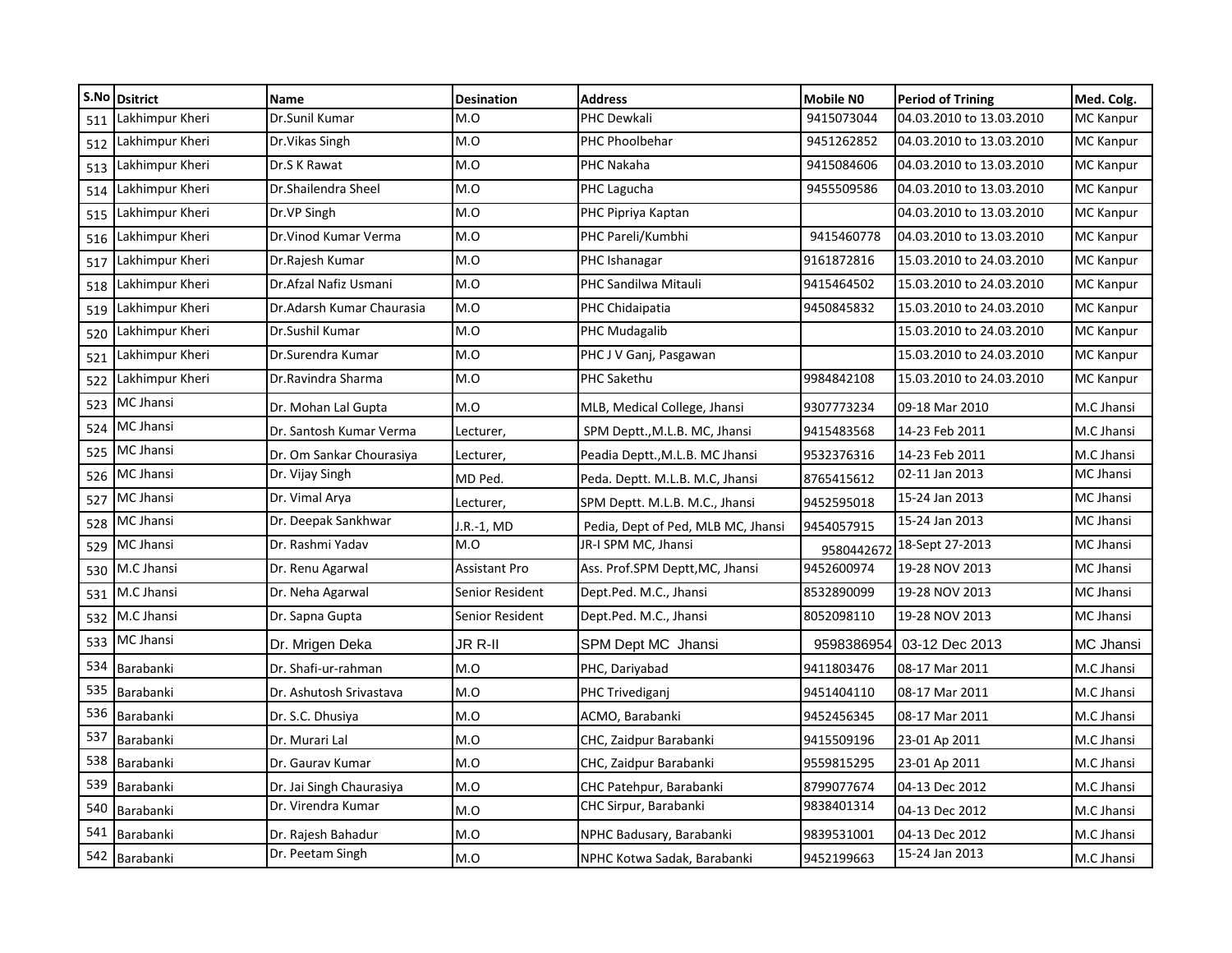|     | S.No Dsitrict   | <b>Name</b>               | <b>Desination</b> | <b>Address</b>                     | <b>Mobile NO</b> | <b>Period of Trining</b> | Med. Colg.       |
|-----|-----------------|---------------------------|-------------------|------------------------------------|------------------|--------------------------|------------------|
| 511 | Lakhimpur Kheri | Dr.Sunil Kumar            | M.O               | PHC Dewkali                        | 9415073044       | 04.03.2010 to 13.03.2010 | <b>MC Kanpur</b> |
| 512 | Lakhimpur Kheri | Dr. Vikas Singh           | M.O               | PHC Phoolbehar                     | 9451262852       | 04.03.2010 to 13.03.2010 | <b>MC Kanpur</b> |
| 513 | Lakhimpur Kheri | Dr.S K Rawat              | M.O               | PHC Nakaha                         | 9415084606       | 04.03.2010 to 13.03.2010 | <b>MC Kanpur</b> |
| 514 | Lakhimpur Kheri | Dr.Shailendra Sheel       | M.O               | PHC Lagucha                        | 9455509586       | 04.03.2010 to 13.03.2010 | <b>MC Kanpur</b> |
| 515 | Lakhimpur Kheri | Dr.VP Singh               | M.O               | PHC Pipriya Kaptan                 |                  | 04.03.2010 to 13.03.2010 | <b>MC Kanpur</b> |
| 516 | Lakhimpur Kheri | Dr. Vinod Kumar Verma     | O.M               | PHC Pareli/Kumbhi                  | 9415460778       | 04.03.2010 to 13.03.2010 | <b>MC Kanpur</b> |
| 517 | Lakhimpur Kheri | Dr.Rajesh Kumar           | M.O               | PHC Ishanagar                      | 9161872816       | 15.03.2010 to 24.03.2010 | <b>MC Kanpur</b> |
| 518 | Lakhimpur Kheri | Dr.Afzal Nafiz Usmani     | M.O               | PHC Sandilwa Mitauli               | 9415464502       | 15.03.2010 to 24.03.2010 | <b>MC Kanpur</b> |
| 519 | Lakhimpur Kheri | Dr.Adarsh Kumar Chaurasia | M.O               | PHC Chidaipatia                    | 9450845832       | 15.03.2010 to 24.03.2010 | <b>MC Kanpur</b> |
| 520 | Lakhimpur Kheri | Dr.Sushil Kumar           | M.O               | PHC Mudagalib                      |                  | 15.03.2010 to 24.03.2010 | <b>MC Kanpur</b> |
| 521 | Lakhimpur Kheri | Dr.Surendra Kumar         | M.O               | PHC J V Ganj, Pasgawan             |                  | 15.03.2010 to 24.03.2010 | <b>MC</b> Kanpur |
| 522 | Lakhimpur Kheri | Dr.Ravindra Sharma        | M.O               | PHC Sakethu                        | 9984842108       | 15.03.2010 to 24.03.2010 | <b>MC Kanpur</b> |
| 523 | MC Jhansi       | Dr. Mohan Lal Gupta       | M.O               | MLB, Medical College, Jhansi       | 9307773234       | 09-18 Mar 2010           | M.C Jhansi       |
| 524 | MC Jhansi       | Dr. Santosh Kumar Verma   | Lecturer,         | SPM Deptt., M.L.B. MC, Jhansi      | 9415483568       | 14-23 Feb 2011           | M.C Jhansi       |
| 525 | MC Jhansi       | Dr. Om Sankar Chourasiya  | Lecturer,         | Peadia Deptt., M.L.B. MC Jhansi    | 9532376316       | 14-23 Feb 2011           | M.C Jhansi       |
| 526 | MC Jhansi       | Dr. Vijay Singh           | MD Ped.           | Peda. Deptt. M.L.B. M.C, Jhansi    | 8765415612       | 02-11 Jan 2013           | MC Jhansi        |
| 527 | MC Jhansi       | Dr. Vimal Arya            | Lecturer,         | SPM Deptt. M.L.B. M.C., Jhansi     | 9452595018       | 15-24 Jan 2013           | MC Jhansi        |
| 528 | MC Jhansi       | Dr. Deepak Sankhwar       | I.R.-1, MD        | Pedia, Dept of Ped, MLB MC, Jhansi | 9454057915       | 15-24 Jan 2013           | MC Jhansi        |
| 529 | MC Jhansi       | Dr. Rashmi Yadav          | M.O               | JR-I SPM MC, Jhansi                | 958044267        | 18-Sept 27-2013          | MC Jhansi        |
| 530 | M.C Jhansi      | Dr. Renu Agarwal          | Assistant Pro     | Ass. Prof.SPM Deptt, MC, Jhansi    | 9452600974       | 19-28 NOV 2013           | MC Jhansi        |
| 531 | M.C Jhansi      | Dr. Neha Agarwal          | Senior Resident   | Dept.Ped. M.C., Jhansi             | 8532890099       | 19-28 NOV 2013           | MC Jhansi        |
| 532 | M.C Jhansi      | Dr. Sapna Gupta           | Senior Resident   | Dept.Ped. M.C., Jhansi             | 8052098110       | 19-28 NOV 2013           | MC Jhansi        |
| 533 | MC Jhansi       | Dr. Mrigen Deka           | JR R-II           | SPM Dept MC Jhansi                 | 9598386954       | 03-12 Dec 2013           | MC Jhansi        |
| 534 | Barabanki       | Dr. Shafi-ur-rahman       | M.O               | PHC, Dariyabad                     | 9411803476       | 08-17 Mar 2011           | M.C Jhansi       |
| 535 | Barabanki       | Dr. Ashutosh Srivastava   | M.O               | PHC Trivediganj                    | 9451404110       | 08-17 Mar 2011           | M.C Jhansi       |
| 536 | Barabanki       | Dr. S.C. Dhusiya          | M.O               | ACMO, Barabanki                    | 9452456345       | 08-17 Mar 2011           | M.C Jhansi       |
| 537 | Barabanki       | Dr. Murari Lal            | M.O               | CHC, Zaidpur Barabanki             | 9415509196       | 23-01 Ap 2011            | M.C Jhansi       |
| 538 | Barabanki       | Dr. Gaurav Kumar          | M.O               | CHC, Zaidpur Barabanki             | 9559815295       | 23-01 Ap 2011            | M.C Jhansi       |
| 539 | Barabanki       | Dr. Jai Singh Chaurasiya  | M.O               | CHC Patehpur, Barabanki            | 8799077674       | 04-13 Dec 2012           | M.C Jhansi       |
| 540 | Barabanki       | Dr. Virendra Kumar        | M.O               | CHC Sirpur, Barabanki              | 9838401314       | 04-13 Dec 2012           | M.C Jhansi       |
| 541 | Barabanki       | Dr. Rajesh Bahadur        | M.O               | NPHC Badusary, Barabanki           | 9839531001       | 04-13 Dec 2012           | M.C Jhansi       |
| 542 | Barabanki       | Dr. Peetam Singh          | M.O               | NPHC Kotwa Sadak, Barabanki        | 9452199663       | 15-24 Jan 2013           | M.C Jhansi       |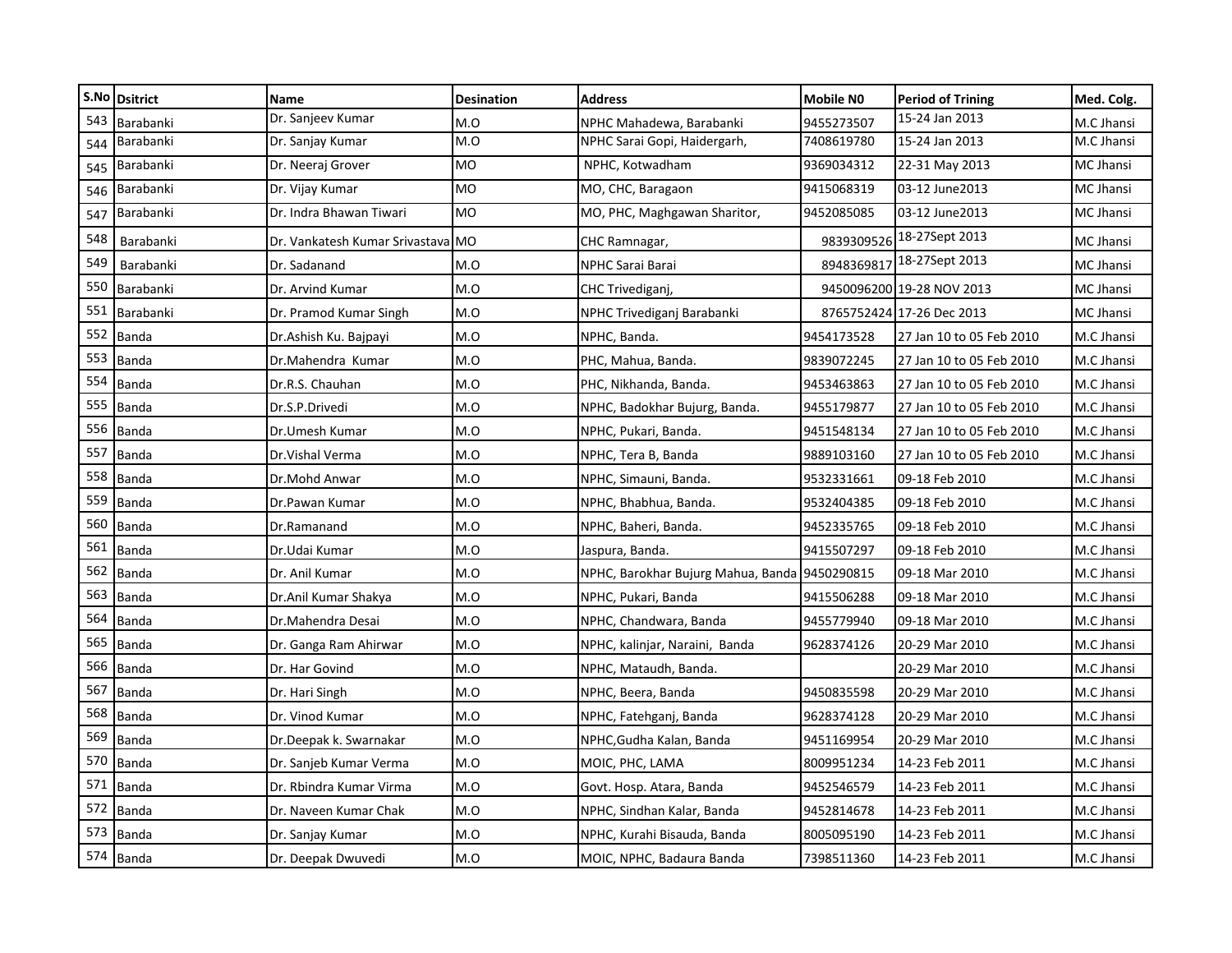|     | S.No Dsitrict | <b>Name</b>                       | <b>Desination</b> | <b>Address</b>                                | <b>Mobile NO</b> | <b>Period of Trining</b>  | Med. Colg. |
|-----|---------------|-----------------------------------|-------------------|-----------------------------------------------|------------------|---------------------------|------------|
| 543 | Barabanki     | Dr. Sanjeev Kumar                 | M.O               | NPHC Mahadewa, Barabanki                      | 9455273507       | 15-24 Jan 2013            | M.C Jhansi |
| 544 | Barabanki     | Dr. Sanjay Kumar                  | M.O               | NPHC Sarai Gopi, Haidergarh,                  | 7408619780       | 15-24 Jan 2013            | M.C Jhansi |
| 545 | Barabanki     | Dr. Neeraj Grover                 | <b>MO</b>         | NPHC, Kotwadham                               | 9369034312       | 22-31 May 2013            | MC Jhansi  |
| 546 | Barabanki     | Dr. Vijay Kumar                   | <b>MO</b>         | MO, CHC, Baragaon                             | 9415068319       | 03-12 June 2013           | MC Jhansi  |
| 547 | Barabanki     | Dr. Indra Bhawan Tiwari           | <b>MO</b>         | MO, PHC, Maghgawan Sharitor,                  | 9452085085       | 03-12 June2013            | MC Jhansi  |
| 548 | Barabanki     | Dr. Vankatesh Kumar Srivastava MO |                   | CHC Ramnagar,                                 | 9839309526       | 18-27Sept 2013            | MC Jhansi  |
| 549 | Barabanki     | Dr. Sadanand                      | M.O               | NPHC Sarai Barai                              | 8948369817       | 18-27Sept 2013            | MC Jhansi  |
| 550 | Barabanki     | Dr. Arvind Kumar                  | M.O               | CHC Trivediganj,                              |                  | 9450096200 19-28 NOV 2013 | MC Jhansi  |
| 551 | Barabanki     | Dr. Pramod Kumar Singh            | M.O               | NPHC Trivediganj Barabanki                    |                  | 8765752424 17-26 Dec 2013 | MC Jhansi  |
| 552 | Banda         | Dr.Ashish Ku. Bajpayi             | M.O               | NPHC, Banda.                                  | 9454173528       | 27 Jan 10 to 05 Feb 2010  | M.C Jhansi |
| 553 | Banda         | Dr.Mahendra Kumar                 | M.O               | PHC, Mahua, Banda.                            | 9839072245       | 27 Jan 10 to 05 Feb 2010  | M.C Jhansi |
| 554 | Banda         | Dr.R.S. Chauhan                   | M.O               | PHC, Nikhanda, Banda.                         | 9453463863       | 27 Jan 10 to 05 Feb 2010  | M.C Jhansi |
| 555 | Banda         | Dr.S.P.Drivedi                    | M.O               | NPHC, Badokhar Bujurg, Banda.                 | 9455179877       | 27 Jan 10 to 05 Feb 2010  | M.C Jhansi |
| 556 | Banda         | Dr.Umesh Kumar                    | M.O               | NPHC, Pukari, Banda.                          | 9451548134       | 27 Jan 10 to 05 Feb 2010  | M.C Jhansi |
| 557 | Banda         | Dr. Vishal Verma                  | M.O               | NPHC, Tera B, Banda                           | 9889103160       | 27 Jan 10 to 05 Feb 2010  | M.C Jhansi |
| 558 | Banda         | Dr.Mohd Anwar                     | M.O               | NPHC, Simauni, Banda.                         | 9532331661       | 09-18 Feb 2010            | M.C Jhansi |
| 559 | Banda         | Dr.Pawan Kumar                    | M.O               | NPHC, Bhabhua, Banda.                         | 9532404385       | 09-18 Feb 2010            | M.C Jhansi |
| 560 | Banda         | Dr.Ramanand                       | M.O               | NPHC, Baheri, Banda.                          | 9452335765       | 09-18 Feb 2010            | M.C Jhansi |
| 561 | Banda         | Dr.Udai Kumar                     | M.O               | Jaspura, Banda.                               | 9415507297       | 09-18 Feb 2010            | M.C Jhansi |
| 562 | Banda         | Dr. Anil Kumar                    | M.O               | NPHC, Barokhar Bujurg Mahua, Banda 9450290815 |                  | 09-18 Mar 2010            | M.C Jhansi |
| 563 | Banda         | Dr.Anil Kumar Shakya              | M.O               | NPHC, Pukari, Banda                           | 9415506288       | 09-18 Mar 2010            | M.C Jhansi |
| 564 | Banda         | Dr.Mahendra Desai                 | M.O               | NPHC, Chandwara, Banda                        | 9455779940       | 09-18 Mar 2010            | M.C Jhansi |
| 565 | Banda         | Dr. Ganga Ram Ahirwar             | M.O               | NPHC, kalinjar, Naraini, Banda                | 9628374126       | 20-29 Mar 2010            | M.C Jhansi |
| 566 | Banda         | Dr. Har Govind                    | M.O               | NPHC, Mataudh, Banda.                         |                  | 20-29 Mar 2010            | M.C Jhansi |
| 567 | Banda         | Dr. Hari Singh                    | M.O               | NPHC, Beera, Banda                            | 9450835598       | 20-29 Mar 2010            | M.C Jhansi |
| 568 | Banda         | Dr. Vinod Kumar                   | M.O               | NPHC, Fatehganj, Banda                        | 9628374128       | 20-29 Mar 2010            | M.C Jhansi |
| 569 | Banda         | Dr.Deepak k. Swarnakar            | M.O               | NPHC, Gudha Kalan, Banda                      | 9451169954       | 20-29 Mar 2010            | M.C Jhansi |
| 570 | Banda         | Dr. Sanjeb Kumar Verma            | M.O               | MOIC, PHC, LAMA                               | 8009951234       | 14-23 Feb 2011            | M.C Jhansi |
| 571 | <b>Banda</b>  | Dr. Rbindra Kumar Virma           | M.O               | Govt. Hosp. Atara, Banda                      | 9452546579       | 14-23 Feb 2011            | M.C Jhansi |
| 572 | Banda         | Dr. Naveen Kumar Chak             | M.O               | NPHC, Sindhan Kalar, Banda                    | 9452814678       | 14-23 Feb 2011            | M.C Jhansi |
| 573 | <b>Banda</b>  | Dr. Sanjay Kumar                  | M.O               | NPHC, Kurahi Bisauda, Banda                   | 8005095190       | 14-23 Feb 2011            | M.C Jhansi |
|     | 574 Banda     | Dr. Deepak Dwuvedi                | M.O               | MOIC, NPHC, Badaura Banda                     | 7398511360       | 14-23 Feb 2011            | M.C Jhansi |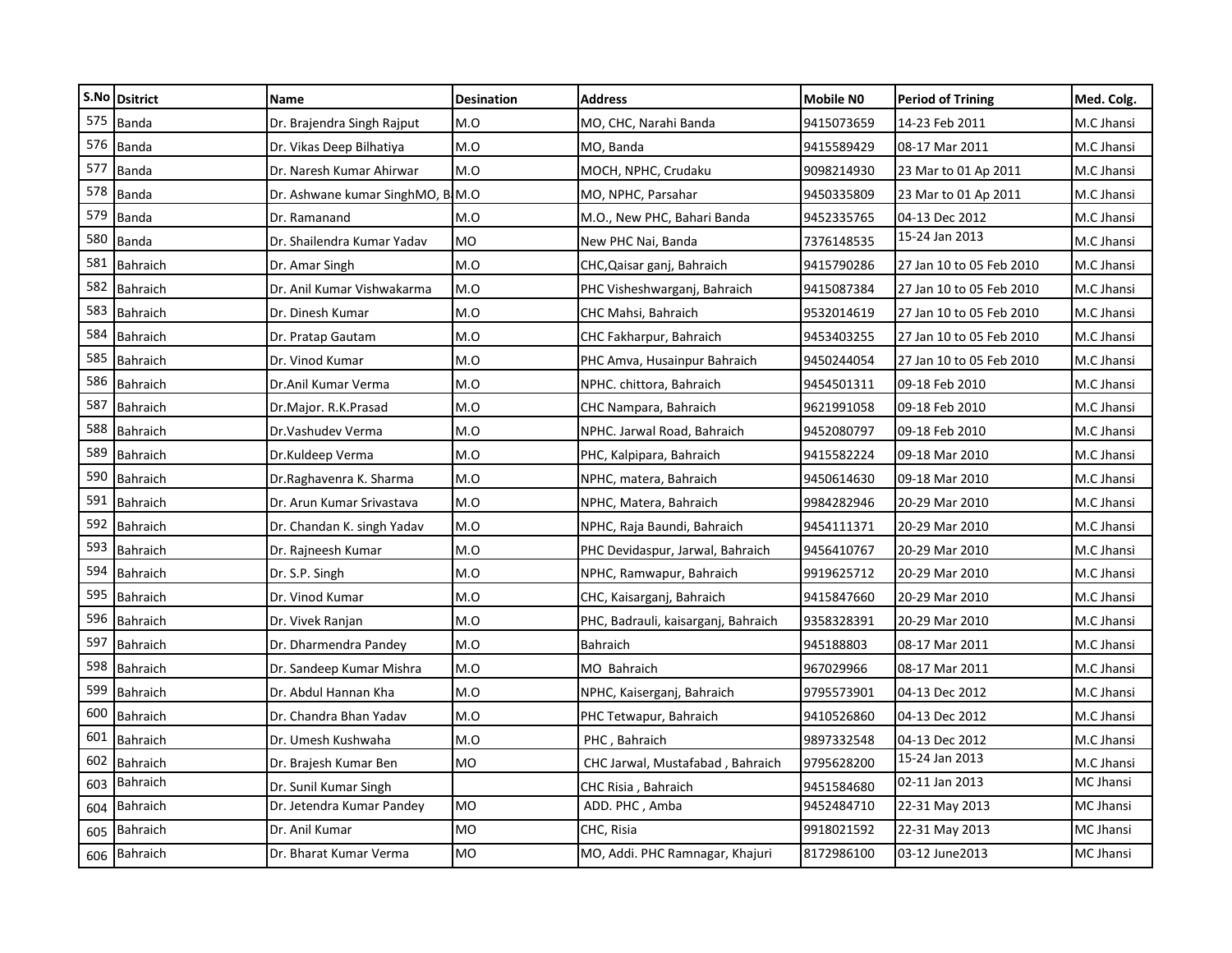|     | S.No Dsitrict   | Name                             | <b>Desination</b> | <b>Address</b>                      | <b>Mobile NO</b> | <b>Period of Trining</b> | Med. Colg.       |
|-----|-----------------|----------------------------------|-------------------|-------------------------------------|------------------|--------------------------|------------------|
| 575 | <b>Banda</b>    | Dr. Brajendra Singh Rajput       | M.O               | MO, CHC, Narahi Banda               | 9415073659       | 14-23 Feb 2011           | M.C Jhansi       |
| 576 | <b>Banda</b>    | Dr. Vikas Deep Bilhatiya         | M.O               | MO, Banda                           | 9415589429       | 08-17 Mar 2011           | M.C Jhansi       |
| 577 | Banda           | Dr. Naresh Kumar Ahirwar         | M.O               | MOCH, NPHC, Crudaku                 | 9098214930       | 23 Mar to 01 Ap 2011     | M.C Jhansi       |
| 578 | <b>Banda</b>    | Dr. Ashwane kumar SinghMO, B.M.O |                   | MO, NPHC, Parsahar                  | 9450335809       | 23 Mar to 01 Ap 2011     | M.C Jhansi       |
| 579 | <b>Banda</b>    | Dr. Ramanand                     | M.O               | M.O., New PHC, Bahari Banda         | 9452335765       | 04-13 Dec 2012           | M.C Jhansi       |
| 580 | Banda           | Dr. Shailendra Kumar Yadav       | MO                | New PHC Nai, Banda                  | 7376148535       | 15-24 Jan 2013           | M.C Jhansi       |
| 581 | <b>Bahraich</b> | Dr. Amar Singh                   | M.O               | CHC, Qaisar ganj, Bahraich          | 9415790286       | 27 Jan 10 to 05 Feb 2010 | M.C Jhansi       |
| 582 | Bahraich        | Dr. Anil Kumar Vishwakarma       | M.O               | PHC Visheshwarganj, Bahraich        | 9415087384       | 27 Jan 10 to 05 Feb 2010 | M.C Jhansi       |
| 583 | Bahraich        | Dr. Dinesh Kumar                 | M.O               | CHC Mahsi, Bahraich                 | 9532014619       | 27 Jan 10 to 05 Feb 2010 | M.C Jhansi       |
| 584 | Bahraich        | Dr. Pratap Gautam                | M.O               | CHC Fakharpur, Bahraich             | 9453403255       | 27 Jan 10 to 05 Feb 2010 | M.C Jhansi       |
| 585 | <b>Bahraich</b> | Dr. Vinod Kumar                  | M.O               | PHC Amva, Husainpur Bahraich        | 9450244054       | 27 Jan 10 to 05 Feb 2010 | M.C Jhansi       |
| 586 | <b>Bahraich</b> | Dr.Anil Kumar Verma              | M.O               | NPHC. chittora, Bahraich            | 9454501311       | 09-18 Feb 2010           | M.C Jhansi       |
| 587 | Bahraich        | Dr.Major. R.K.Prasad             | M.O               | CHC Nampara, Bahraich               | 9621991058       | 09-18 Feb 2010           | M.C Jhansi       |
| 588 | Bahraich        | Dr.Vashudev Verma                | M.O               | NPHC. Jarwal Road, Bahraich         | 9452080797       | 09-18 Feb 2010           | M.C Jhansi       |
| 589 | Bahraich        | Dr.Kuldeep Verma                 | M.O               | PHC, Kalpipara, Bahraich            | 9415582224       | 09-18 Mar 2010           | M.C Jhansi       |
| 590 | Bahraich        | Dr.Raghavenra K. Sharma          | M.O               | NPHC, matera, Bahraich              | 9450614630       | 09-18 Mar 2010           | M.C Jhansi       |
| 591 | Bahraich        | Dr. Arun Kumar Srivastava        | M.O               | NPHC, Matera, Bahraich              | 9984282946       | 20-29 Mar 2010           | M.C Jhansi       |
| 592 | <b>Bahraich</b> | Dr. Chandan K. singh Yadav       | M.O               | NPHC, Raja Baundi, Bahraich         | 9454111371       | 20-29 Mar 2010           | M.C Jhansi       |
| 593 | <b>Bahraich</b> | Dr. Rajneesh Kumar               | M.O               | PHC Devidaspur, Jarwal, Bahraich    | 9456410767       | 20-29 Mar 2010           | M.C Jhansi       |
| 594 | <b>Bahraich</b> | Dr. S.P. Singh                   | M.O               | NPHC, Ramwapur, Bahraich            | 9919625712       | 20-29 Mar 2010           | M.C Jhansi       |
| 595 | Bahraich        | Dr. Vinod Kumar                  | M.O               | CHC, Kaisarganj, Bahraich           | 9415847660       | 20-29 Mar 2010           | M.C Jhansi       |
| 596 | Bahraich        | Dr. Vivek Ranjan                 | M.O               | PHC, Badrauli, kaisarganj, Bahraich | 9358328391       | 20-29 Mar 2010           | M.C Jhansi       |
| 597 | <b>Bahraich</b> | Dr. Dharmendra Pandey            | M.O               | Bahraich                            | 945188803        | 08-17 Mar 2011           | M.C Jhansi       |
| 598 | Bahraich        | Dr. Sandeep Kumar Mishra         | M.O               | MO Bahraich                         | 967029966        | 08-17 Mar 2011           | M.C Jhansi       |
| 599 | Bahraich        | Dr. Abdul Hannan Kha             | M.O               | NPHC, Kaiserganj, Bahraich          | 9795573901       | 04-13 Dec 2012           | M.C Jhansi       |
| 600 | Bahraich        | Dr. Chandra Bhan Yadav           | M.O               | PHC Tetwapur, Bahraich              | 9410526860       | 04-13 Dec 2012           | M.C Jhansi       |
| 601 | Bahraich        | Dr. Umesh Kushwaha               | M.O               | PHC, Bahraich                       | 9897332548       | 04-13 Dec 2012           | M.C Jhansi       |
| 602 | <b>Bahraich</b> | Dr. Brajesh Kumar Ben            | <b>MO</b>         | CHC Jarwal, Mustafabad, Bahraich    | 9795628200       | 15-24 Jan 2013           | M.C Jhansi       |
| 603 | <b>Bahraich</b> | Dr. Sunil Kumar Singh            |                   | CHC Risia, Bahraich                 | 9451584680       | 02-11 Jan 2013           | MC Jhansi        |
| 604 | <b>Bahraich</b> | Dr. Jetendra Kumar Pandey        | <b>MO</b>         | ADD. PHC, Amba                      | 9452484710       | 22-31 May 2013           | <b>MC Jhansi</b> |
| 605 | <b>Bahraich</b> | Dr. Anil Kumar                   | <b>MO</b>         | CHC, Risia                          | 9918021592       | 22-31 May 2013           | MC Jhansi        |
|     | 606 Bahraich    | Dr. Bharat Kumar Verma           | MO                | MO, Addi. PHC Ramnagar, Khajuri     | 8172986100       | 03-12 June 2013          | <b>MC Jhansi</b> |
|     |                 |                                  |                   |                                     |                  |                          |                  |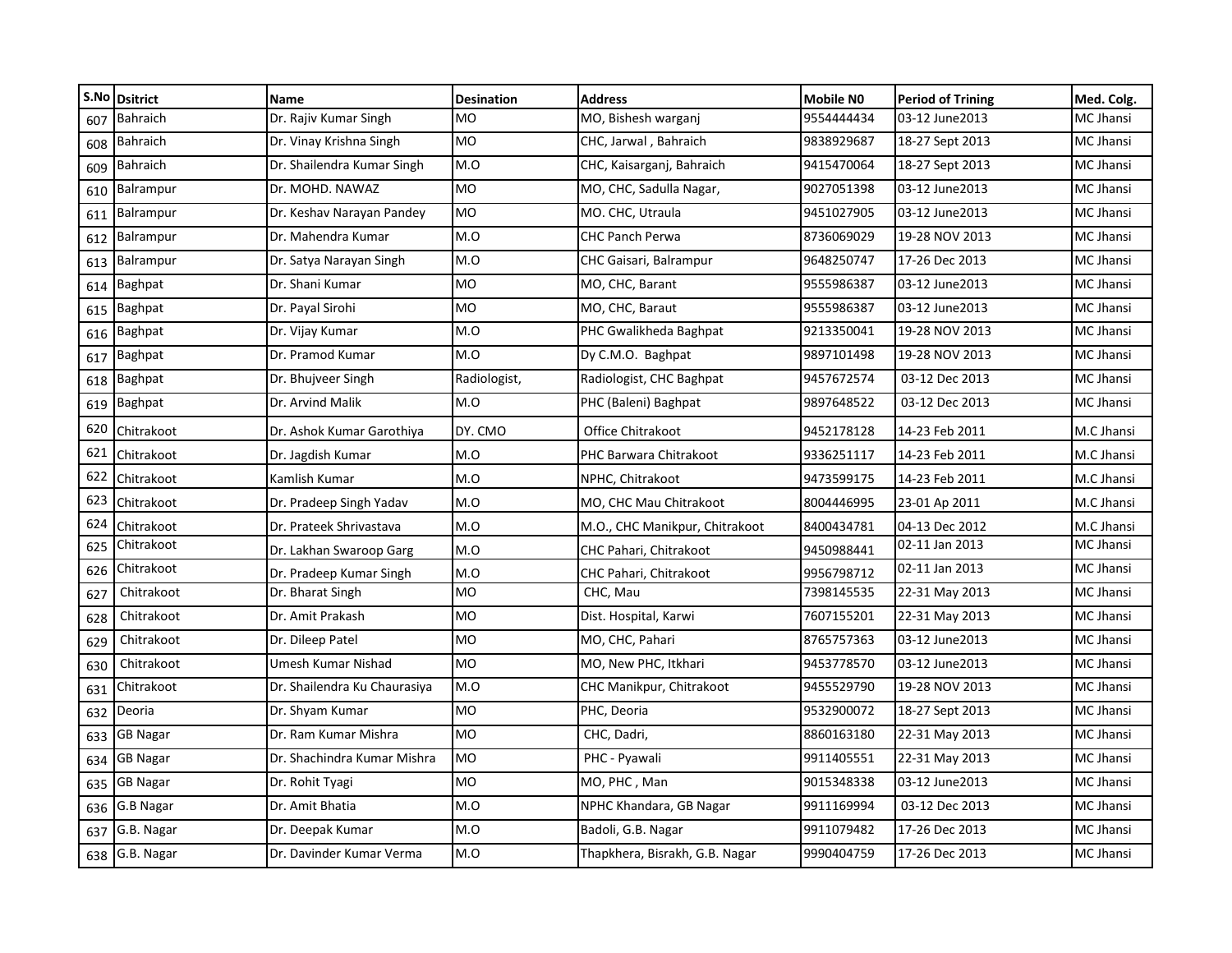|     | S.No Dsitrict    | Name                         | <b>Desination</b> | <b>Address</b>                 | <b>Mobile NO</b> | <b>Period of Trining</b> | Med. Colg.       |
|-----|------------------|------------------------------|-------------------|--------------------------------|------------------|--------------------------|------------------|
| 607 | <b>Bahraich</b>  | Dr. Rajiv Kumar Singh        | <b>MO</b>         | MO, Bishesh warganj            | 9554444434       | 03-12 June 2013          | <b>MC Jhansi</b> |
| 608 | <b>Bahraich</b>  | Dr. Vinay Krishna Singh      | <b>MO</b>         | CHC, Jarwal, Bahraich          | 9838929687       | 18-27 Sept 2013          | MC Jhansi        |
| 609 | <b>Bahraich</b>  | Dr. Shailendra Kumar Singh   | M.O               | CHC, Kaisarganj, Bahraich      | 9415470064       | 18-27 Sept 2013          | <b>MC Jhansi</b> |
| 610 | <b>Balrampur</b> | Dr. MOHD. NAWAZ              | <b>MO</b>         | MO, CHC, Sadulla Nagar,        | 9027051398       | 03-12 June2013           | MC Jhansi        |
| 611 | Balrampur        | Dr. Keshav Narayan Pandey    | <b>MO</b>         | MO. CHC, Utraula               | 9451027905       | 03-12 June 2013          | MC Jhansi        |
| 612 | Balrampur        | Dr. Mahendra Kumar           | M.O               | <b>CHC Panch Perwa</b>         | 8736069029       | 19-28 NOV 2013           | <b>MC Jhansi</b> |
| 613 | Balrampur        | Dr. Satya Narayan Singh      | M.O               | CHC Gaisari, Balrampur         | 9648250747       | 17-26 Dec 2013           | <b>MC Jhansi</b> |
| 614 | Baghpat          | Dr. Shani Kumar              | <b>MO</b>         | MO, CHC, Barant                | 9555986387       | 03-12 June 2013          | MC Jhansi        |
| 615 | <b>Baghpat</b>   | Dr. Payal Sirohi             | MO                | MO, CHC, Baraut                | 9555986387       | 03-12 June2013           | <b>MC Jhansi</b> |
| 616 | <b>Baghpat</b>   | Dr. Vijay Kumar              | M.O               | PHC Gwalikheda Baghpat         | 9213350041       | 19-28 NOV 2013           | MC Jhansi        |
| 617 | <b>Baghpat</b>   | Dr. Pramod Kumar             | M.O               | Dy C.M.O. Baghpat              | 9897101498       | 19-28 NOV 2013           | <b>MC Jhansi</b> |
| 618 | <b>Baghpat</b>   | Dr. Bhujveer Singh           | Radiologist,      | Radiologist, CHC Baghpat       | 9457672574       | 03-12 Dec 2013           | MC Jhansi        |
| 619 | <b>Baghpat</b>   | Dr. Arvind Malik             | M.O               | PHC (Baleni) Baghpat           | 9897648522       | 03-12 Dec 2013           | MC Jhansi        |
| 620 | Chitrakoot       | Dr. Ashok Kumar Garothiya    | DY. CMO           | Office Chitrakoot              | 9452178128       | 14-23 Feb 2011           | M.C Jhansi       |
| 621 | Chitrakoot       | Dr. Jagdish Kumar            | M.O               | PHC Barwara Chitrakoot         | 9336251117       | 14-23 Feb 2011           | M.C Jhansi       |
| 622 | Chitrakoot       | Kamlish Kumar                | M.O               | NPHC, Chitrakoot               | 9473599175       | 14-23 Feb 2011           | M.C Jhansi       |
| 623 | Chitrakoot       | Dr. Pradeep Singh Yadav      | M.O               | MO, CHC Mau Chitrakoot         | 8004446995       | 23-01 Ap 2011            | M.C Jhansi       |
| 624 | Chitrakoot       | Dr. Prateek Shrivastava      | M.O               | M.O., CHC Manikpur, Chitrakoot | 8400434781       | 04-13 Dec 2012           | M.C Jhansi       |
| 625 | Chitrakoot       | Dr. Lakhan Swaroop Garg      | M.O               | CHC Pahari, Chitrakoot         | 9450988441       | 02-11 Jan 2013           | MC Jhansi        |
| 626 | Chitrakoot       | Dr. Pradeep Kumar Singh      | M.O               | CHC Pahari, Chitrakoot         | 9956798712       | 02-11 Jan 2013           | MC Jhansi        |
| 627 | Chitrakoot       | Dr. Bharat Singh             | <b>MO</b>         | CHC, Mau                       | 7398145535       | 22-31 May 2013           | MC Jhansi        |
| 628 | Chitrakoot       | Dr. Amit Prakash             | <b>MO</b>         | Dist. Hospital, Karwi          | 7607155201       | 22-31 May 2013           | <b>MC Jhansi</b> |
| 629 | Chitrakoot       | Dr. Dileep Patel             | <b>MO</b>         | MO, CHC, Pahari                | 8765757363       | 03-12 June 2013          | <b>MC Jhansi</b> |
| 630 | Chitrakoot       | Umesh Kumar Nishad           | MO                | MO, New PHC, Itkhari           | 9453778570       | 03-12 June2013           | MC Jhansi        |
| 631 | Chitrakoot       | Dr. Shailendra Ku Chaurasiya | M.O               | CHC Manikpur, Chitrakoot       | 9455529790       | 19-28 NOV 2013           | MC Jhansi        |
| 632 | Deoria           | Dr. Shyam Kumar              | <b>MO</b>         | PHC, Deoria                    | 9532900072       | 18-27 Sept 2013          | <b>MC Jhansi</b> |
| 633 | <b>GB Nagar</b>  | Dr. Ram Kumar Mishra         | <b>MO</b>         | CHC, Dadri,                    | 8860163180       | 22-31 May 2013           | MC Jhansi        |
| 634 | <b>GB Nagar</b>  | Dr. Shachindra Kumar Mishra  | MO                | PHC - Pyawali                  | 9911405551       | 22-31 May 2013           | MC Jhansi        |
| 635 | <b>GB Nagar</b>  | Dr. Rohit Tyagi              | <b>MO</b>         | MO, PHC, Man                   | 9015348338       | 03-12 June2013           | <b>MC Jhansi</b> |
| 636 | G.B Nagar        | Dr. Amit Bhatia              | M.O               | NPHC Khandara, GB Nagar        | 9911169994       | 03-12 Dec 2013           | MC Jhansi        |
| 637 | G.B. Nagar       | Dr. Deepak Kumar             | M.O               | Badoli, G.B. Nagar             | 9911079482       | 17-26 Dec 2013           | MC Jhansi        |
|     | 638 G.B. Nagar   | Dr. Davinder Kumar Verma     | M.O               | Thapkhera, Bisrakh, G.B. Nagar | 9990404759       | 17-26 Dec 2013           | MC Jhansi        |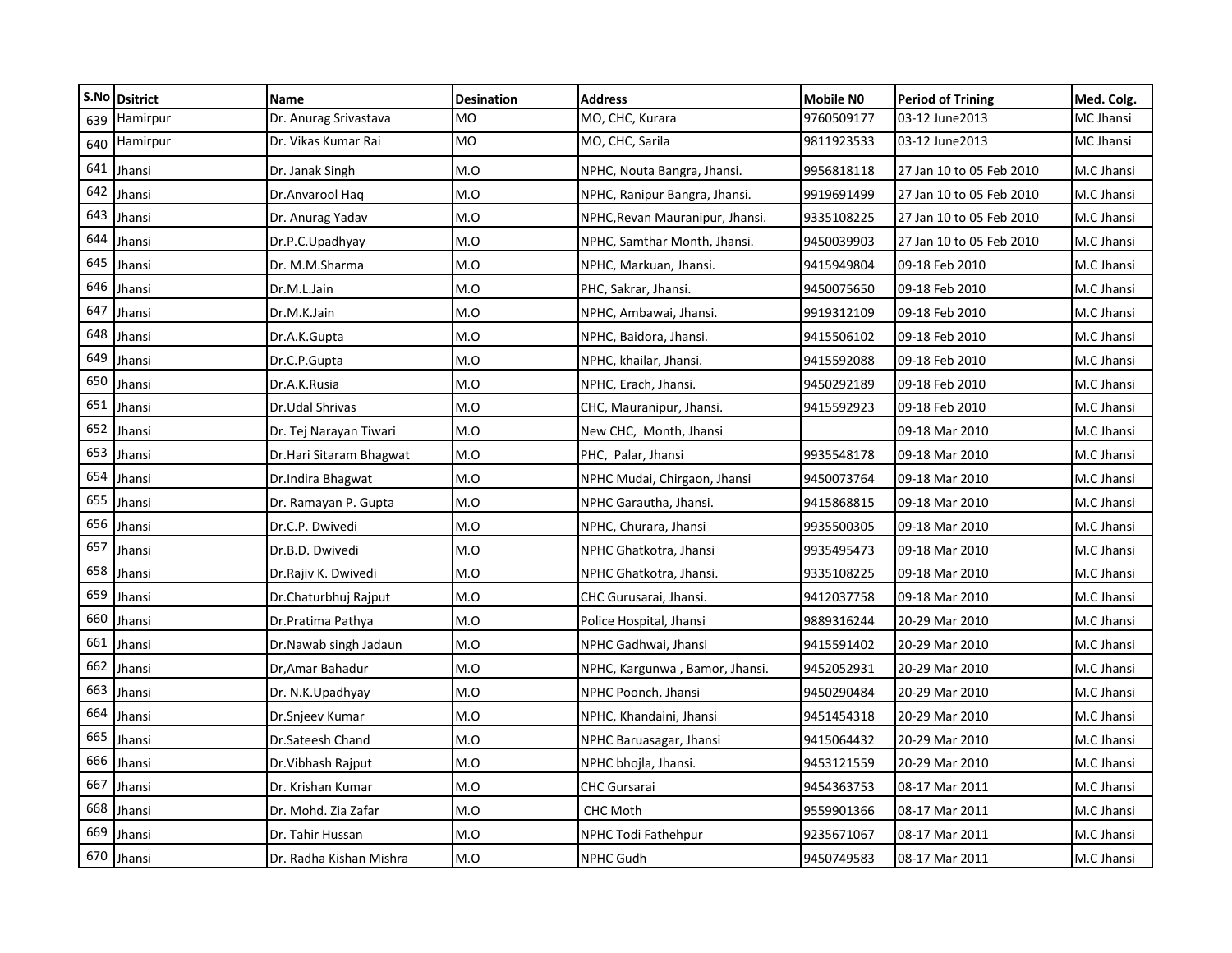|     | S.No Dsitrict | Name                    | <b>Desination</b> | <b>Address</b>                  | Mobile NO  | <b>Period of Trining</b> | Med. Colg. |
|-----|---------------|-------------------------|-------------------|---------------------------------|------------|--------------------------|------------|
| 639 | Hamirpur      | Dr. Anurag Srivastava   | <b>MO</b>         | MO, CHC, Kurara                 | 9760509177 | 03-12 June2013           | MC Jhansi  |
| 640 | Hamirpur      | Dr. Vikas Kumar Rai     | MO                | MO, CHC, Sarila                 | 9811923533 | 03-12 June2013           | MC Jhansi  |
| 641 | Jhansi        | Dr. Janak Singh         | M.O               | NPHC, Nouta Bangra, Jhansi.     | 9956818118 | 27 Jan 10 to 05 Feb 2010 | M.C Jhansi |
| 642 | Jhansi        | Dr.Anvarool Haq         | M.O               | NPHC, Ranipur Bangra, Jhansi.   | 9919691499 | 27 Jan 10 to 05 Feb 2010 | M.C Jhansi |
| 643 | Jhansi        | Dr. Anurag Yadav        | M.O               | NPHC, Revan Mauranipur, Jhansi. | 9335108225 | 27 Jan 10 to 05 Feb 2010 | M.C Jhansi |
| 644 | Jhansi        | Dr.P.C.Upadhyay         | M.O               | NPHC, Samthar Month, Jhansi.    | 9450039903 | 27 Jan 10 to 05 Feb 2010 | M.C Jhansi |
| 645 | Jhansi        | Dr. M.M.Sharma          | M.O               | NPHC, Markuan, Jhansi.          | 9415949804 | 09-18 Feb 2010           | M.C Jhansi |
| 646 | Jhansi        | Dr.M.L.Jain             | M.O               | PHC, Sakrar, Jhansi.            | 9450075650 | 09-18 Feb 2010           | M.C Jhansi |
| 647 | Jhansi        | Dr.M.K.Jain             | M.O               | NPHC, Ambawai, Jhansi.          | 9919312109 | 09-18 Feb 2010           | M.C Jhansi |
| 648 | Jhansi        | Dr.A.K.Gupta            | M.O               | NPHC, Baidora, Jhansi.          | 9415506102 | 09-18 Feb 2010           | M.C Jhansi |
| 649 | Jhansi        | Dr.C.P.Gupta            | M.O               | NPHC, khailar, Jhansi.          | 9415592088 | 09-18 Feb 2010           | M.C Jhansi |
| 650 | Jhansi        | Dr.A.K.Rusia            | M.O               | NPHC, Erach, Jhansi.            | 9450292189 | 09-18 Feb 2010           | M.C Jhansi |
| 651 | Jhansi        | Dr.Udal Shrivas         | M.O               | CHC, Mauranipur, Jhansi.        | 9415592923 | 09-18 Feb 2010           | M.C Jhansi |
| 652 | Jhansi        | Dr. Tej Narayan Tiwari  | M.O               | New CHC, Month, Jhansi          |            | 09-18 Mar 2010           | M.C Jhansi |
| 653 | Jhansi        | Dr.Hari Sitaram Bhagwat | M.O               | PHC, Palar, Jhansi              | 9935548178 | 09-18 Mar 2010           | M.C Jhansi |
| 654 | Jhansi        | Dr.Indira Bhagwat       | M.O               | NPHC Mudai, Chirgaon, Jhansi    | 9450073764 | 09-18 Mar 2010           | M.C Jhansi |
| 655 | Jhansi        | Dr. Ramayan P. Gupta    | M.O               | NPHC Garautha, Jhansi.          | 9415868815 | 09-18 Mar 2010           | M.C Jhansi |
| 656 | Jhansi        | Dr.C.P. Dwivedi         | M.O               | NPHC, Churara, Jhansi           | 9935500305 | 09-18 Mar 2010           | M.C Jhansi |
| 657 | Jhansi        | Dr.B.D. Dwivedi         | M.O               | NPHC Ghatkotra, Jhansi          | 9935495473 | 09-18 Mar 2010           | M.C Jhansi |
| 658 | Jhansi        | Dr.Rajiv K. Dwivedi     | M.O               | NPHC Ghatkotra, Jhansi.         | 9335108225 | 09-18 Mar 2010           | M.C Jhansi |
| 659 | Jhansi        | Dr.Chaturbhuj Rajput    | M.O               | CHC Gurusarai, Jhansi.          | 9412037758 | 09-18 Mar 2010           | M.C Jhansi |
| 660 | Jhansi        | Dr.Pratima Pathya       | M.O               | Police Hospital, Jhansi         | 9889316244 | 20-29 Mar 2010           | M.C Jhansi |
| 661 | Jhansi        | Dr.Nawab singh Jadaun   | M.O               | NPHC Gadhwai, Jhansi            | 9415591402 | 20-29 Mar 2010           | M.C Jhansi |
| 662 | Jhansi        | Dr, Amar Bahadur        | M.O               | NPHC, Kargunwa, Bamor, Jhansi.  | 9452052931 | 20-29 Mar 2010           | M.C Jhansi |
| 663 | Jhansi        | Dr. N.K.Upadhyay        | M.O               | NPHC Poonch, Jhansi             | 9450290484 | 20-29 Mar 2010           | M.C Jhansi |
| 664 | Jhansi        | Dr.Snjeev Kumar         | M.O               | NPHC, Khandaini, Jhansi         | 9451454318 | 20-29 Mar 2010           | M.C Jhansi |
| 665 | Jhansi        | Dr.Sateesh Chand        | M.O               | NPHC Baruasagar, Jhansi         | 9415064432 | 20-29 Mar 2010           | M.C Jhansi |
| 666 | Jhansi        | Dr. Vibhash Rajput      | M.O               | NPHC bhojla, Jhansi.            | 9453121559 | 20-29 Mar 2010           | M.C Jhansi |
| 667 | Jhansi        | Dr. Krishan Kumar       | M.O               | CHC Gursarai                    | 9454363753 | 08-17 Mar 2011           | M.C Jhansi |
| 668 | Jhansi        | Dr. Mohd. Zia Zafar     | M.O               | <b>CHC Moth</b>                 | 9559901366 | 08-17 Mar 2011           | M.C Jhansi |
| 669 | Jhansi        | Dr. Tahir Hussan        | M.O               | NPHC Todi Fathehpur             | 9235671067 | 08-17 Mar 2011           | M.C Jhansi |
|     | 670 Jhansi    | Dr. Radha Kishan Mishra | M.O               | NPHC Gudh                       | 9450749583 | 08-17 Mar 2011           | M.C Jhansi |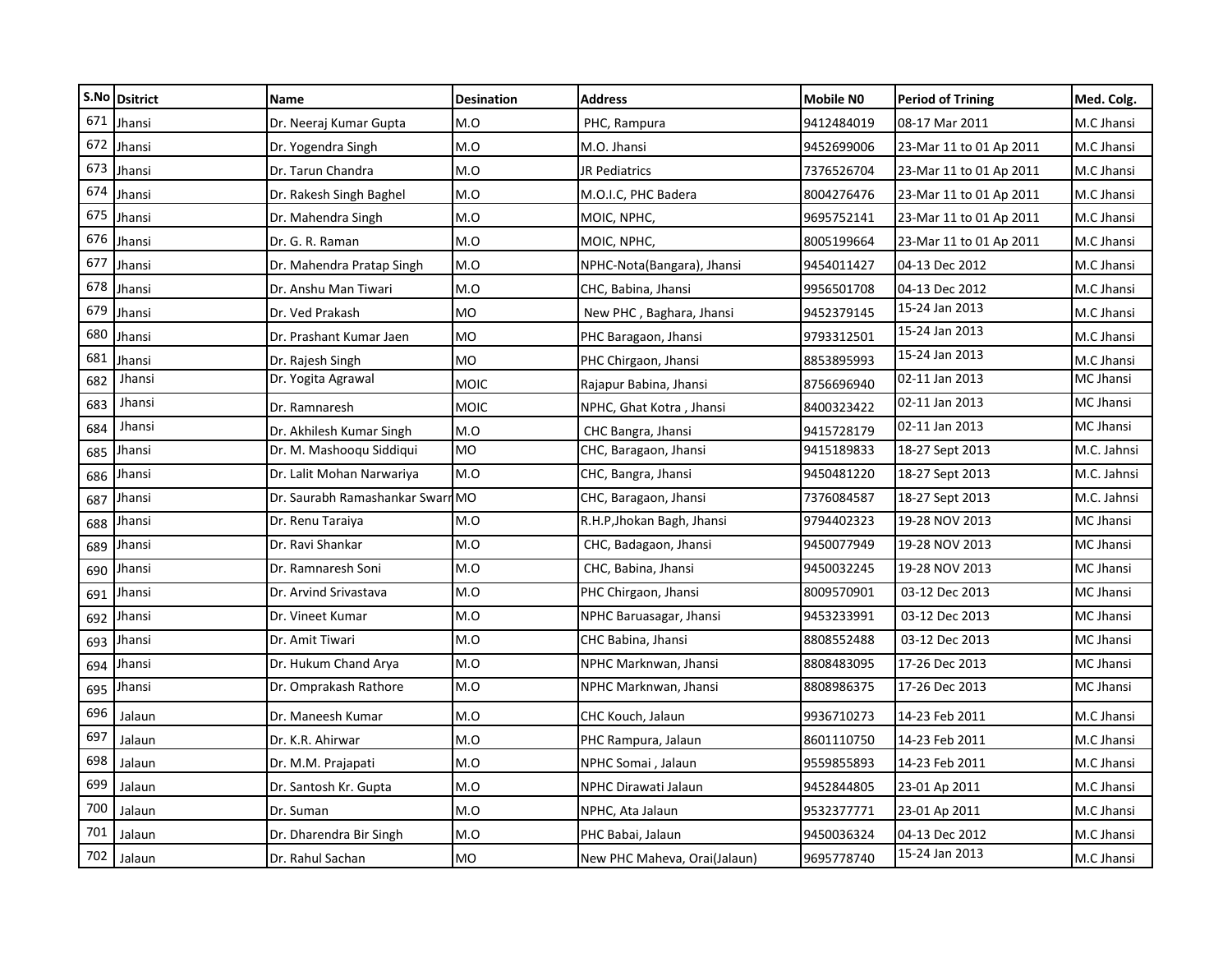|     | S.No Dsitrict | <b>Name</b>                      | <b>Desination</b> | Address                      | <b>Mobile NO</b> | <b>Period of Trining</b> | Med. Colg.  |
|-----|---------------|----------------------------------|-------------------|------------------------------|------------------|--------------------------|-------------|
| 671 | Jhansi        | Dr. Neeraj Kumar Gupta           | M.O               | PHC, Rampura                 | 9412484019       | 08-17 Mar 2011           | M.C Jhansi  |
| 672 | Jhansi        | Dr. Yogendra Singh               | M.O               | M.O. Jhansi                  | 9452699006       | 23-Mar 11 to 01 Ap 2011  | M.C Jhansi  |
| 673 | Jhansi        | Dr. Tarun Chandra                | M.O               | JR Pediatrics                | 7376526704       | 23-Mar 11 to 01 Ap 2011  | M.C Jhansi  |
| 674 | Jhansi        | Dr. Rakesh Singh Baghel          | M.O               | M.O.I.C, PHC Badera          | 8004276476       | 23-Mar 11 to 01 Ap 2011  | M.C Jhansi  |
| 675 | Jhansi        | Dr. Mahendra Singh               | M.O               | MOIC, NPHC,                  | 9695752141       | 23-Mar 11 to 01 Ap 2011  | M.C Jhansi  |
| 676 | Jhansi        | Dr. G. R. Raman                  | M.O               | MOIC, NPHC,                  | 8005199664       | 23-Mar 11 to 01 Ap 2011  | M.C Jhansi  |
| 677 | Jhansi        | Dr. Mahendra Pratap Singh        | M.O               | NPHC-Nota(Bangara), Jhansi   | 9454011427       | 04-13 Dec 2012           | M.C Jhansi  |
| 678 | Jhansi        | Dr. Anshu Man Tiwari             | M.O               | CHC, Babina, Jhansi          | 9956501708       | 04-13 Dec 2012           | M.C Jhansi  |
| 679 | Jhansi        | Dr. Ved Prakash                  | MO                | New PHC, Baghara, Jhansi     | 9452379145       | 15-24 Jan 2013           | M.C Jhansi  |
| 680 | Jhansi        | Dr. Prashant Kumar Jaen          | <b>MO</b>         | PHC Baragaon, Jhansi         | 9793312501       | 15-24 Jan 2013           | M.C Jhansi  |
| 681 | Jhansi        | Dr. Rajesh Singh                 | <b>MO</b>         | PHC Chirgaon, Jhansi         | 8853895993       | 15-24 Jan 2013           | M.C Jhansi  |
| 682 | Jhansi        | Dr. Yogita Agrawal               | <b>MOIC</b>       | Rajapur Babina, Jhansi       | 8756696940       | 02-11 Jan 2013           | MC Jhansi   |
| 683 | Jhansi        | Dr. Ramnaresh                    | <b>MOIC</b>       | NPHC, Ghat Kotra , Jhansi    | 8400323422       | 02-11 Jan 2013           | MC Jhansi   |
| 684 | Jhansi        | Dr. Akhilesh Kumar Singh         | M.O               | CHC Bangra, Jhansi           | 9415728179       | 02-11 Jan 2013           | MC Jhansi   |
| 685 | Jhansi        | Dr. M. Mashooqu Siddiqui         | MO                | CHC, Baragaon, Jhansi        | 9415189833       | 18-27 Sept 2013          | M.C. Jahnsi |
| 686 | Jhansi        | Dr. Lalit Mohan Narwariya        | M.O               | CHC, Bangra, Jhansi          | 9450481220       | 18-27 Sept 2013          | M.C. Jahnsi |
| 687 | Jhansi        | Dr. Saurabh Ramashankar Swarn MO |                   | CHC, Baragaon, Jhansi        | 7376084587       | 18-27 Sept 2013          | M.C. Jahnsi |
| 688 | Jhansi        | Dr. Renu Taraiya                 | M.O               | R.H.P, Jhokan Bagh, Jhansi   | 9794402323       | 19-28 NOV 2013           | MC Jhansi   |
| 689 | Jhansi        | Dr. Ravi Shankar                 | M.O               | CHC, Badagaon, Jhansi        | 9450077949       | 19-28 NOV 2013           | MC Jhansi   |
| 690 | Jhansi        | Dr. Ramnaresh Soni               | M.O               | CHC, Babina, Jhansi          | 9450032245       | 19-28 NOV 2013           | MC Jhansi   |
| 691 | Jhansi        | Dr. Arvind Srivastava            | M.O               | PHC Chirgaon, Jhansi         | 8009570901       | 03-12 Dec 2013           | MC Jhansi   |
| 692 | Jhansi        | Dr. Vineet Kumar                 | M.O               | NPHC Baruasagar, Jhansi      | 9453233991       | 03-12 Dec 2013           | MC Jhansi   |
| 693 | Jhansi        | Dr. Amit Tiwari                  | M.O               | CHC Babina, Jhansi           | 8808552488       | 03-12 Dec 2013           | MC Jhansi   |
| 694 | Jhansi        | Dr. Hukum Chand Arya             | M.O               | NPHC Marknwan, Jhansi        | 8808483095       | 17-26 Dec 2013           | MC Jhansi   |
| 695 | Jhansi        | Dr. Omprakash Rathore            | M.O               | NPHC Marknwan, Jhansi        | 8808986375       | 17-26 Dec 2013           | MC Jhansi   |
| 696 | Jalaun        | Dr. Maneesh Kumar                | M.O               | CHC Kouch, Jalaun            | 9936710273       | 14-23 Feb 2011           | M.C Jhansi  |
| 697 | Jalaun        | Dr. K.R. Ahirwar                 | M.O               | PHC Rampura, Jalaun          | 8601110750       | 14-23 Feb 2011           | M.C Jhansi  |
| 698 | Jalaun        | Dr. M.M. Prajapati               | M.O               | NPHC Somai, Jalaun           | 9559855893       | 14-23 Feb 2011           | M.C Jhansi  |
| 699 | Jalaun        | Dr. Santosh Kr. Gupta            | M.O               | NPHC Dirawati Jalaun         | 9452844805       | 23-01 Ap 2011            | M.C Jhansi  |
| 700 | Jalaun        | Dr. Suman                        | M.O               | NPHC, Ata Jalaun             | 9532377771       | 23-01 Ap 2011            | M.C Jhansi  |
| 701 | Jalaun        | Dr. Dharendra Bir Singh          | M.O               | PHC Babai, Jalaun            | 9450036324       | 04-13 Dec 2012           | M.C Jhansi  |
| 702 | Jalaun        | Dr. Rahul Sachan                 | MO                | New PHC Maheva, Orai(Jalaun) | 9695778740       | 15-24 Jan 2013           | M.C Jhansi  |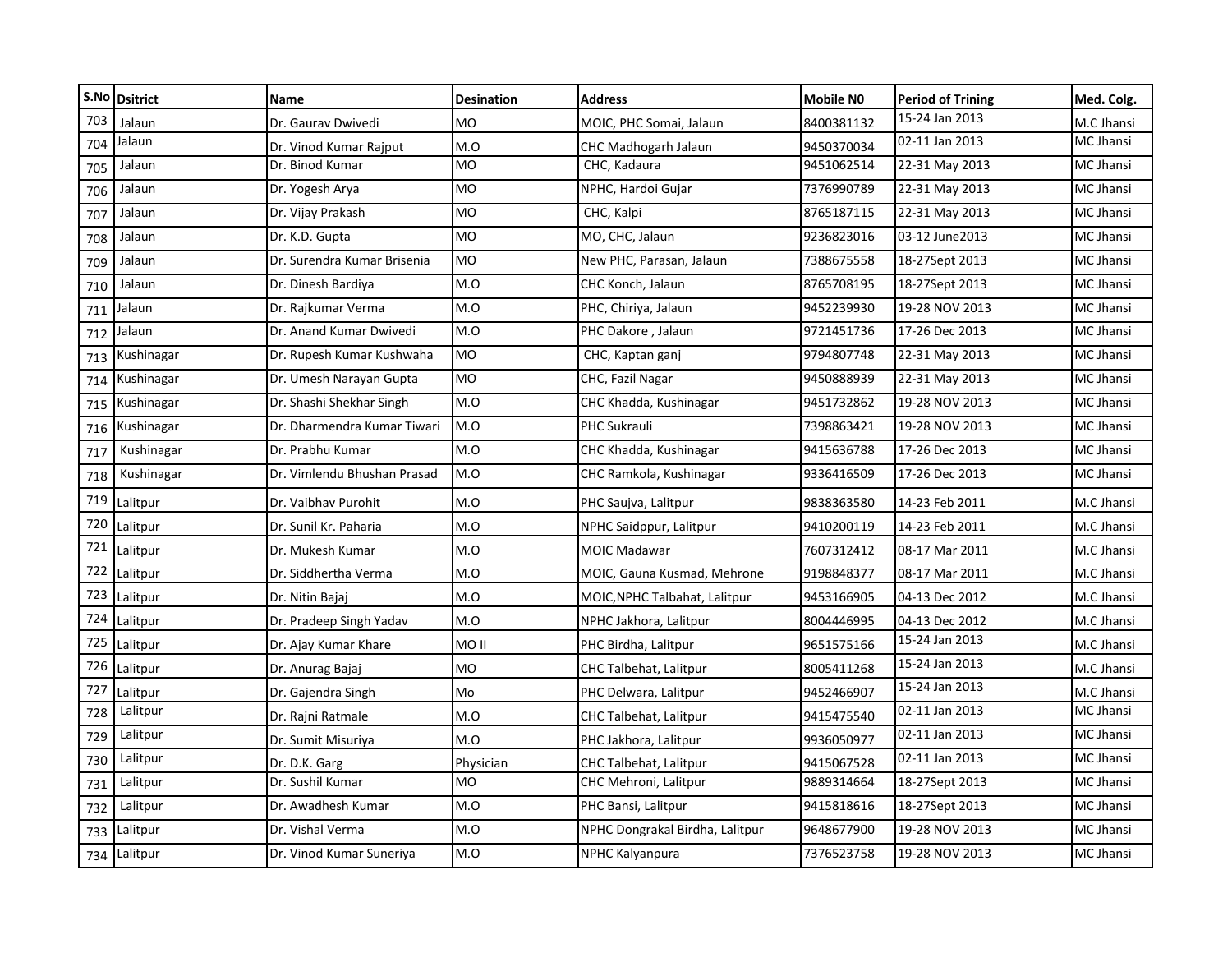|     | S.No Dsitrict | <b>Name</b>                 | <b>Desination</b> | <b>Address</b>                  | <b>Mobile NO</b> | <b>Period of Trining</b> | Med. Colg.       |
|-----|---------------|-----------------------------|-------------------|---------------------------------|------------------|--------------------------|------------------|
| 703 | Jalaun        | Dr. Gaurav Dwivedi          | <b>MO</b>         | MOIC, PHC Somai, Jalaun         | 8400381132       | 15-24 Jan 2013           | M.C Jhansi       |
| 704 | Jalaun        | Dr. Vinod Kumar Rajput      | M.O               | <b>CHC Madhogarh Jalaun</b>     | 9450370034       | 02-11 Jan 2013           | MC Jhansi        |
| 705 | Jalaun        | Dr. Binod Kumar             | <b>MO</b>         | CHC, Kadaura                    | 9451062514       | 22-31 May 2013           | MC Jhansi        |
| 706 | Jalaun        | Dr. Yogesh Arya             | MO                | NPHC, Hardoi Gujar              | 7376990789       | 22-31 May 2013           | MC Jhansi        |
| 707 | Jalaun        | Dr. Vijay Prakash           | <b>MO</b>         | CHC, Kalpi                      | 8765187115       | 22-31 May 2013           | MC Jhansi        |
| 708 | Jalaun        | Dr. K.D. Gupta              | <b>MO</b>         | MO, CHC, Jalaun                 | 9236823016       | 03-12 June 2013          | MC Jhansi        |
| 709 | Jalaun        | Dr. Surendra Kumar Brisenia | <b>MO</b>         | New PHC, Parasan, Jalaun        | 7388675558       | 18-27Sept 2013           | MC Jhansi        |
| 710 | Jalaun        | Dr. Dinesh Bardiya          | M.O               | CHC Konch, Jalaun               | 8765708195       | 18-27Sept 2013           | MC Jhansi        |
| 711 | Jalaun        | Dr. Rajkumar Verma          | M.O               | PHC, Chiriya, Jalaun            | 9452239930       | 19-28 NOV 2013           | <b>MC Jhansi</b> |
| 712 | Jalaun        | Dr. Anand Kumar Dwivedi     | M.O               | PHC Dakore, Jalaun              | 9721451736       | 17-26 Dec 2013           | MC Jhansi        |
| 713 | Kushinagar    | Dr. Rupesh Kumar Kushwaha   | <b>MO</b>         | CHC, Kaptan ganj                | 9794807748       | 22-31 May 2013           | MC Jhansi        |
| 714 | Kushinagar    | Dr. Umesh Narayan Gupta     | <b>MO</b>         | CHC, Fazil Nagar                | 9450888939       | 22-31 May 2013           | MC Jhansi        |
| 715 | Kushinagar    | Dr. Shashi Shekhar Singh    | M.O               | CHC Khadda, Kushinagar          | 9451732862       | 19-28 NOV 2013           | MC Jhansi        |
| 716 | Kushinagar    | Dr. Dharmendra Kumar Tiwari | M.O               | PHC Sukrauli                    | 7398863421       | 19-28 NOV 2013           | MC Jhansi        |
| 717 | Kushinagar    | Dr. Prabhu Kumar            | M.O               | CHC Khadda, Kushinagar          | 9415636788       | 17-26 Dec 2013           | MC Jhansi        |
| 718 | Kushinagar    | Dr. Vimlendu Bhushan Prasad | M.O               | CHC Ramkola, Kushinagar         | 9336416509       | 17-26 Dec 2013           | MC Jhansi        |
| 719 | Lalitpur      | Dr. Vaibhav Purohit         | M.O               | PHC Saujva, Lalitpur            | 9838363580       | 14-23 Feb 2011           | M.C Jhansi       |
| 720 | Lalitpur      | Dr. Sunil Kr. Paharia       | M.O               | NPHC Saidppur, Lalitpur         | 9410200119       | 14-23 Feb 2011           | M.C Jhansi       |
| 721 | Lalitpur      | Dr. Mukesh Kumar            | M.O               | <b>MOIC Madawar</b>             | 7607312412       | 08-17 Mar 2011           | M.C Jhansi       |
| 722 | Lalitpur      | Dr. Siddhertha Verma        | M.O               | MOIC, Gauna Kusmad, Mehrone     | 9198848377       | 08-17 Mar 2011           | M.C Jhansi       |
| 723 | Lalitpur      | Dr. Nitin Bajaj             | M.O               | MOIC, NPHC Talbahat, Lalitpur   | 9453166905       | 04-13 Dec 2012           | M.C Jhansi       |
| 724 | Lalitpur      | Dr. Pradeep Singh Yadav     | M.O               | NPHC Jakhora, Lalitpur          | 8004446995       | 04-13 Dec 2012           | M.C Jhansi       |
| 725 | Lalitpur      | Dr. Ajay Kumar Khare        | MO <sub>II</sub>  | PHC Birdha, Lalitpur            | 9651575166       | 15-24 Jan 2013           | M.C Jhansi       |
| 726 | Lalitpur      | Dr. Anurag Bajaj            | <b>MO</b>         | CHC Talbehat, Lalitpur          | 8005411268       | 15-24 Jan 2013           | M.C Jhansi       |
| 727 | Lalitpur      | Dr. Gajendra Singh          | Mo                | PHC Delwara, Lalitpur           | 9452466907       | 15-24 Jan 2013           | M.C Jhansi       |
| 728 | Lalitpur      | Dr. Rajni Ratmale           | M.O               | CHC Talbehat, Lalitpur          | 9415475540       | 02-11 Jan 2013           | MC Jhansi        |
| 729 | Lalitpur      | Dr. Sumit Misuriya          | M.O               | PHC Jakhora, Lalitpur           | 9936050977       | 02-11 Jan 2013           | MC Jhansi        |
| 730 | Lalitpur      | Dr. D.K. Garg               | Physician         | CHC Talbehat, Lalitpur          | 9415067528       | 02-11 Jan 2013           | MC Jhansi        |
| 731 | Lalitpur      | Dr. Sushil Kumar            | <b>MO</b>         | CHC Mehroni, Lalitpur           | 9889314664       | 18-27Sept 2013           | MC Jhansi        |
| 732 | Lalitpur      | Dr. Awadhesh Kumar          | M.O               | PHC Bansi, Lalitpur             | 9415818616       | 18-27Sept 2013           | MC Jhansi        |
| 733 | Lalitpur      | Dr. Vishal Verma            | M.O               | NPHC Dongrakal Birdha, Lalitpur | 9648677900       | 19-28 NOV 2013           | MC Jhansi        |
| 734 | Lalitpur      | Dr. Vinod Kumar Suneriya    | M.O               | NPHC Kalyanpura                 | 7376523758       | 19-28 NOV 2013           | MC Jhansi        |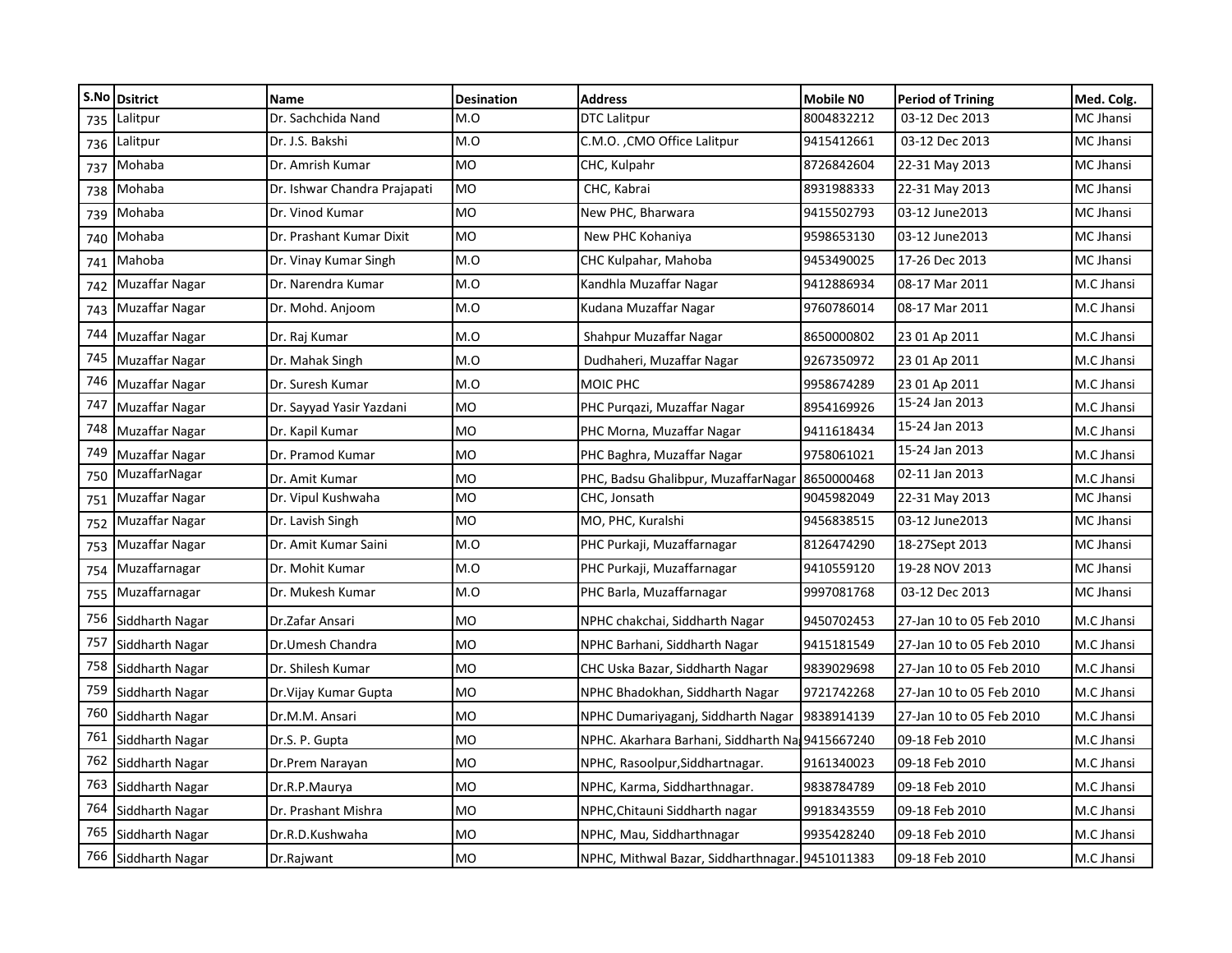|     | S.No Dsitrict   | <b>Name</b>                  | <b>Desination</b> | <b>Address</b>                                  | Mobile NO  | <b>Period of Trining</b> | Med. Colg.       |
|-----|-----------------|------------------------------|-------------------|-------------------------------------------------|------------|--------------------------|------------------|
| 735 | Lalitpur        | Dr. Sachchida Nand           | M.O               | <b>DTC Lalitpur</b>                             | 8004832212 | 03-12 Dec 2013           | <b>MC Jhansi</b> |
| 736 | Lalitpur        | Dr. J.S. Bakshi              | M.O               | C.M.O., CMO Office Lalitpur                     | 9415412661 | 03-12 Dec 2013           | MC Jhansi        |
| 737 | Mohaba          | Dr. Amrish Kumar             | <b>MO</b>         | CHC, Kulpahr                                    | 8726842604 | 22-31 May 2013           | MC Jhansi        |
| 738 | Mohaba          | Dr. Ishwar Chandra Prajapati | <b>MO</b>         | CHC, Kabrai                                     | 8931988333 | 22-31 May 2013           | MC Jhansi        |
| 739 | Mohaba          | Dr. Vinod Kumar              | MO                | New PHC, Bharwara                               | 9415502793 | 03-12 June2013           | MC Jhansi        |
| 740 | Mohaba          | Dr. Prashant Kumar Dixit     | <b>MO</b>         | New PHC Kohaniya                                | 9598653130 | 03-12 June2013           | MC Jhansi        |
| 741 | Mahoba          | Dr. Vinay Kumar Singh        | M.O               | CHC Kulpahar, Mahoba                            | 9453490025 | 17-26 Dec 2013           | MC Jhansi        |
| 742 | Muzaffar Nagar  | Dr. Narendra Kumar           | M.O               | Kandhla Muzaffar Nagar                          | 9412886934 | 08-17 Mar 2011           | M.C Jhansi       |
| 743 | Muzaffar Nagar  | Dr. Mohd. Anjoom             | M.O               | Kudana Muzaffar Nagar                           | 9760786014 | 08-17 Mar 2011           | M.C Jhansi       |
| 744 | Muzaffar Nagar  | Dr. Raj Kumar                | M.O               | Shahpur Muzaffar Nagar                          | 8650000802 | 23 01 Ap 2011            | M.C Jhansi       |
| 745 | Muzaffar Nagar  | Dr. Mahak Singh              | M.O               | Dudhaheri, Muzaffar Nagar                       | 9267350972 | 23 01 Ap 2011            | M.C Jhansi       |
| 746 | Muzaffar Nagar  | Dr. Suresh Kumar             | M.O               | MOIC PHC                                        | 9958674289 | 23 01 Ap 2011            | M.C Jhansi       |
| 747 | Muzaffar Nagar  | Dr. Sayyad Yasir Yazdani     | <b>MO</b>         | PHC Purqazi, Muzaffar Nagar                     | 8954169926 | 15-24 Jan 2013           | M.C Jhansi       |
| 748 | Muzaffar Nagar  | Dr. Kapil Kumar              | <b>MO</b>         | PHC Morna, Muzaffar Nagar                       | 9411618434 | 15-24 Jan 2013           | M.C Jhansi       |
| 749 | Muzaffar Nagar  | Dr. Pramod Kumar             | <b>MO</b>         | PHC Baghra, Muzaffar Nagar                      | 9758061021 | 15-24 Jan 2013           | M.C Jhansi       |
| 750 | MuzaffarNagar   | Dr. Amit Kumar               | <b>MO</b>         | PHC, Badsu Ghalibpur, MuzaffarNagar             | 8650000468 | 02-11 Jan 2013           | M.C Jhansi       |
| 751 | Muzaffar Nagar  | Dr. Vipul Kushwaha           | <b>MO</b>         | CHC, Jonsath                                    | 9045982049 | 22-31 May 2013           | MC Jhansi        |
| 752 | Muzaffar Nagar  | Dr. Lavish Singh             | <b>MO</b>         | MO, PHC, Kuralshi                               | 9456838515 | 03-12 June2013           | MC Jhansi        |
| 753 | Muzaffar Nagar  | Dr. Amit Kumar Saini         | M.O               | PHC Purkaji, Muzaffarnagar                      | 8126474290 | 18-27Sept 2013           | MC Jhansi        |
| 754 | Muzaffarnagar   | Dr. Mohit Kumar              | M.O               | PHC Purkaji, Muzaffarnagar                      | 9410559120 | 19-28 NOV 2013           | MC Jhansi        |
| 755 | Muzaffarnagar   | Dr. Mukesh Kumar             | M.O               | PHC Barla, Muzaffarnagar                        | 9997081768 | 03-12 Dec 2013           | MC Jhansi        |
| 756 | Siddharth Nagar | Dr.Zafar Ansari              | <b>MO</b>         | NPHC chakchai, Siddharth Nagar                  | 9450702453 | 27-Jan 10 to 05 Feb 2010 | M.C Jhansi       |
| 757 | Siddharth Nagar | Dr.Umesh Chandra             | <b>MO</b>         | NPHC Barhani, Siddharth Nagar                   | 9415181549 | 27-Jan 10 to 05 Feb 2010 | M.C Jhansi       |
| 758 | Siddharth Nagar | Dr. Shilesh Kumar            | <b>MO</b>         | CHC Uska Bazar, Siddharth Nagar                 | 9839029698 | 27-Jan 10 to 05 Feb 2010 | M.C Jhansi       |
| 759 | Siddharth Nagar | Dr. Vijay Kumar Gupta        | <b>MO</b>         | NPHC Bhadokhan, Siddharth Nagar                 | 9721742268 | 27-Jan 10 to 05 Feb 2010 | M.C Jhansi       |
| 760 | Siddharth Nagar | Dr.M.M. Ansari               | <b>MO</b>         | NPHC Dumariyaganj, Siddharth Nagar              | 9838914139 | 27-Jan 10 to 05 Feb 2010 | M.C Jhansi       |
| 761 | Siddharth Nagar | Dr.S. P. Gupta               | <b>MO</b>         | NPHC. Akarhara Barhani, Siddharth Na 9415667240 |            | 09-18 Feb 2010           | M.C Jhansi       |
| 762 | Siddharth Nagar | Dr.Prem Narayan              | <b>MO</b>         | NPHC, Rasoolpur, Siddhartnagar.                 | 9161340023 | 09-18 Feb 2010           | M.C Jhansi       |
| 763 | Siddharth Nagar | Dr.R.P.Maurya                | <b>MO</b>         | NPHC, Karma, Siddharthnagar.                    | 9838784789 | 09-18 Feb 2010           | M.C Jhansi       |
| 764 | Siddharth Nagar | Dr. Prashant Mishra          | <b>MO</b>         | NPHC, Chitauni Siddharth nagar                  | 9918343559 | 09-18 Feb 2010           | M.C Jhansi       |
| 765 | Siddharth Nagar | Dr.R.D.Kushwaha              | <b>MO</b>         | NPHC, Mau, Siddharthnagar                       | 9935428240 | 09-18 Feb 2010           | M.C Jhansi       |
| 766 | Siddharth Nagar | Dr.Rajwant                   | MO                | NPHC, Mithwal Bazar, Siddharthnagar. 9451011383 |            | 09-18 Feb 2010           | M.C Jhansi       |